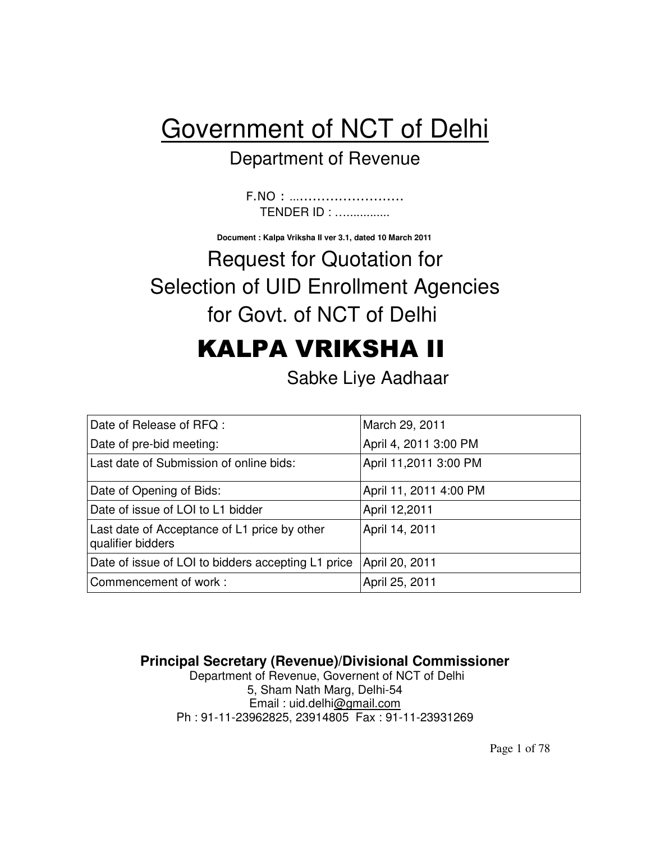# Government of NCT of Delhi

## Department of Revenue

F.NO : …........................ TENDER ID : ….............

**Document : Kalpa Vriksha II ver 3.1, dated 10 March 2011** 

# Request for Quotation for Selection of UID Enrollment Agencies for Govt. of NCT of Delhi

# KALPA VRIKSHA II

Sabke Liye Aadhaar

| March 29, 2011         |
|------------------------|
| April 4, 2011 3:00 PM  |
| April 11,2011 3:00 PM  |
| April 11, 2011 4:00 PM |
| April 12,2011          |
| April 14, 2011         |
| April 20, 2011         |
| April 25, 2011         |
|                        |

**Principal Secretary (Revenue)/Divisional Commissioner** 

Department of Revenue, Governent of NCT of Delhi 5, Sham Nath Marg, Delhi-54 Email : uid.delhi@gmail.com Ph : 91-11-23962825, 23914805 Fax : 91-11-23931269

Page 1 of 78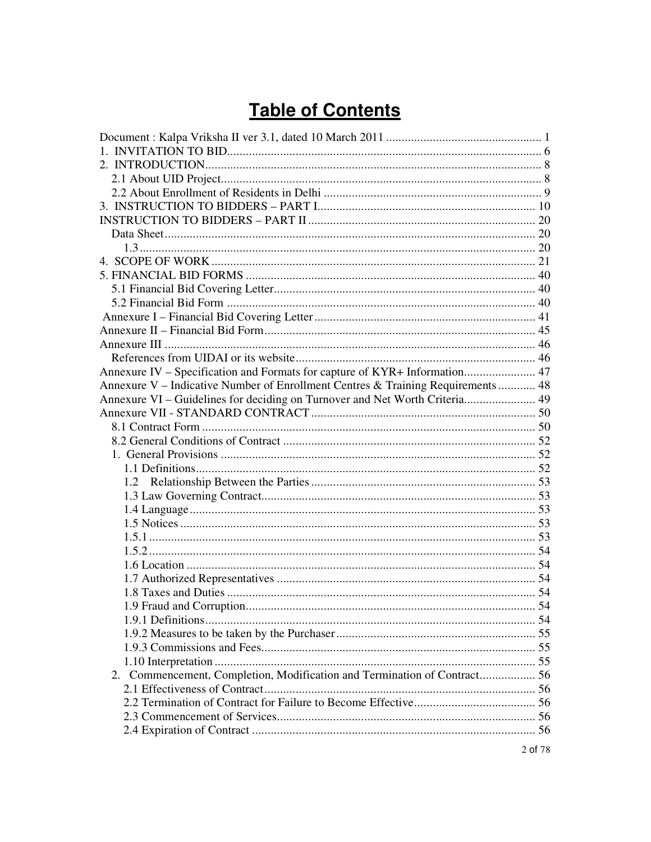## **Table of Contents**

| Annexure IV - Specification and Formats for capture of KYR+ Information 47       |  |
|----------------------------------------------------------------------------------|--|
| Annexure V – Indicative Number of Enrollment Centres & Training Requirements  48 |  |
| Annexure VI – Guidelines for deciding on Turnover and Net Worth Criteria 49      |  |
|                                                                                  |  |
|                                                                                  |  |
|                                                                                  |  |
|                                                                                  |  |
|                                                                                  |  |
|                                                                                  |  |
|                                                                                  |  |
|                                                                                  |  |
|                                                                                  |  |
|                                                                                  |  |
|                                                                                  |  |
|                                                                                  |  |
|                                                                                  |  |
|                                                                                  |  |
|                                                                                  |  |
|                                                                                  |  |
|                                                                                  |  |
|                                                                                  |  |
|                                                                                  |  |
| 2. Commencement, Completion, Modification and Termination of Contract 56         |  |
|                                                                                  |  |
|                                                                                  |  |
|                                                                                  |  |
|                                                                                  |  |
|                                                                                  |  |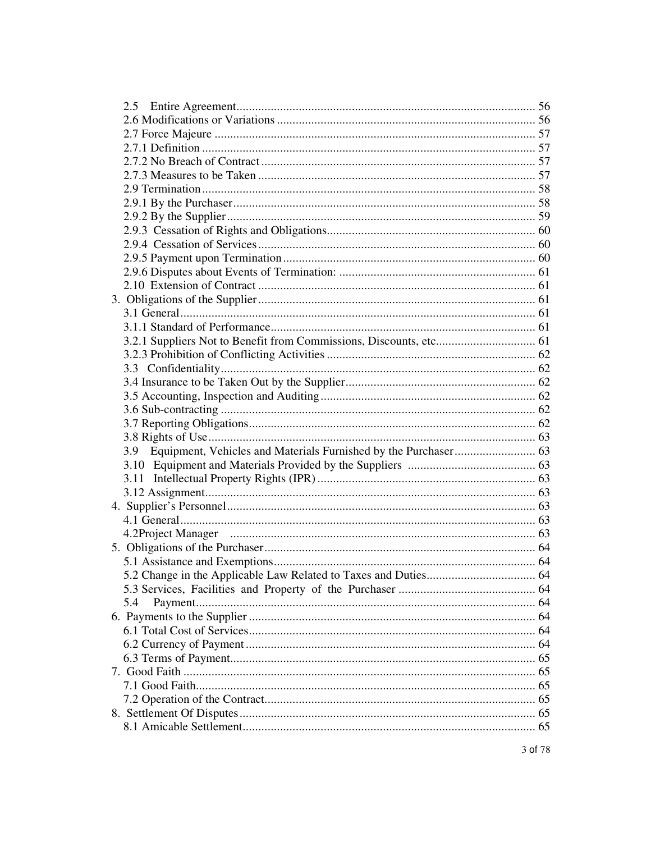| 5.4 |  |
|-----|--|
|     |  |
|     |  |
|     |  |
|     |  |
|     |  |
|     |  |
|     |  |
|     |  |
|     |  |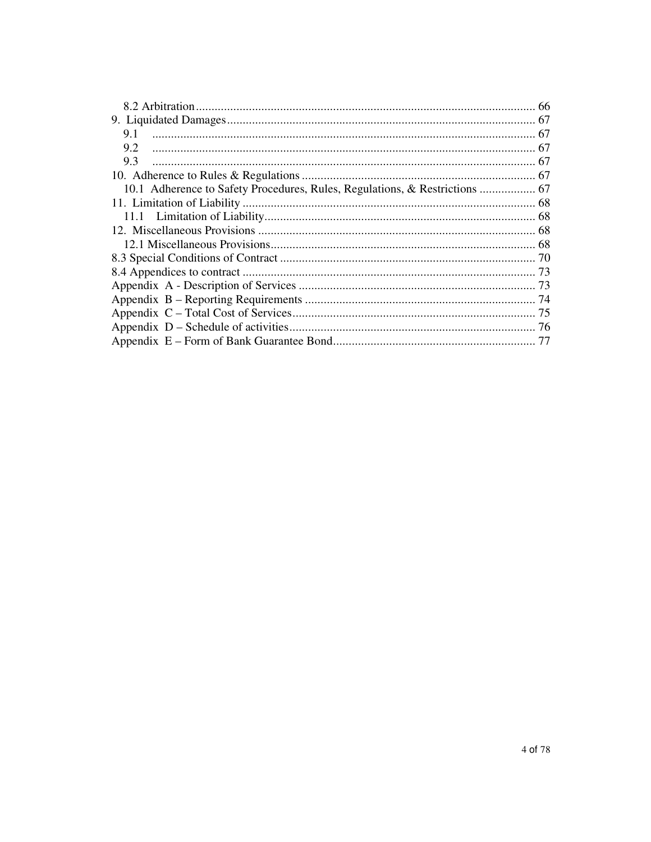| 9.1                                                                         |  |
|-----------------------------------------------------------------------------|--|
| 9.2                                                                         |  |
| 9.3                                                                         |  |
|                                                                             |  |
| 10.1 Adherence to Safety Procedures, Rules, Regulations, & Restrictions  67 |  |
|                                                                             |  |
|                                                                             |  |
|                                                                             |  |
|                                                                             |  |
|                                                                             |  |
|                                                                             |  |
|                                                                             |  |
|                                                                             |  |
|                                                                             |  |
|                                                                             |  |
|                                                                             |  |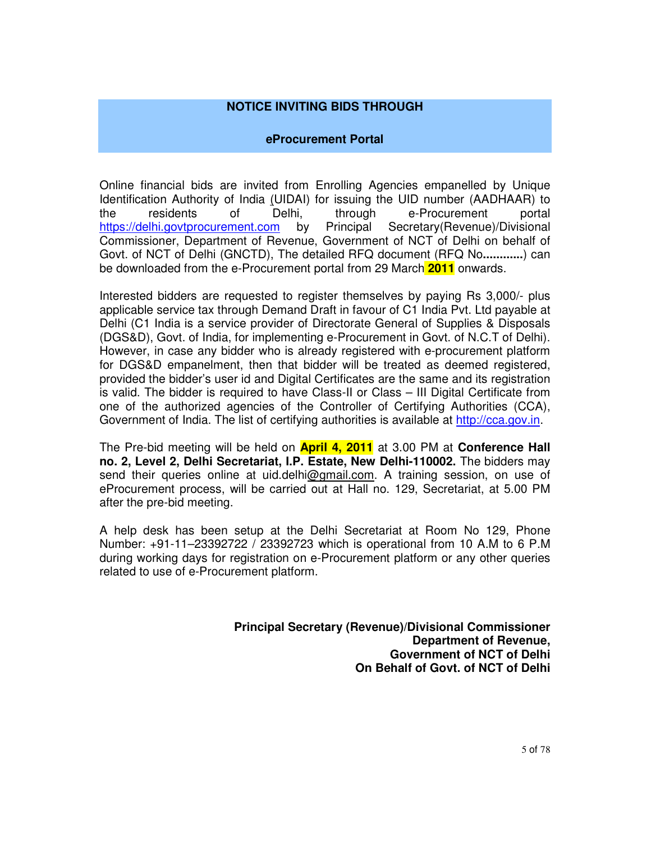#### **NOTICE INVITING BIDS THROUGH**

#### **eProcurement Portal**

Online financial bids are invited from Enrolling Agencies empanelled by Unique Identification Authority of India (UIDAI) for issuing the UID number (AADHAAR) to the residents of Delhi, through e-Procurement portal https://delhi.govtprocurement.com by Principal Secretary(Revenue)/Divisional Commissioner, Department of Revenue, Government of NCT of Delhi on behalf of Govt. of NCT of Delhi (GNCTD), The detailed RFQ document (RFQ No**............**) can be downloaded from the e-Procurement portal from 29 March **2011** onwards.

Interested bidders are requested to register themselves by paying Rs 3,000/- plus applicable service tax through Demand Draft in favour of C1 India Pvt. Ltd payable at Delhi (C1 India is a service provider of Directorate General of Supplies & Disposals (DGS&D), Govt. of India, for implementing e-Procurement in Govt. of N.C.T of Delhi). However, in case any bidder who is already registered with e-procurement platform for DGS&D empanelment, then that bidder will be treated as deemed registered, provided the bidder's user id and Digital Certificates are the same and its registration is valid. The bidder is required to have Class-II or Class – III Digital Certificate from one of the authorized agencies of the Controller of Certifying Authorities (CCA), Government of India. The list of certifying authorities is available at http://cca.gov.in.

The Pre-bid meeting will be held on **April 4, 2011** at 3.00 PM at **Conference Hall no. 2, Level 2, Delhi Secretariat, I.P. Estate, New Delhi-110002.** The bidders may send their queries online at uid.delhi@gmail.com. A training session, on use of eProcurement process, will be carried out at Hall no. 129, Secretariat, at 5.00 PM after the pre-bid meeting.

A help desk has been setup at the Delhi Secretariat at Room No 129, Phone Number: +91-11–23392722 / 23392723 which is operational from 10 A.M to 6 P.M during working days for registration on e-Procurement platform or any other queries related to use of e-Procurement platform.

> **Principal Secretary (Revenue)/Divisional Commissioner Department of Revenue, Government of NCT of Delhi On Behalf of Govt. of NCT of Delhi**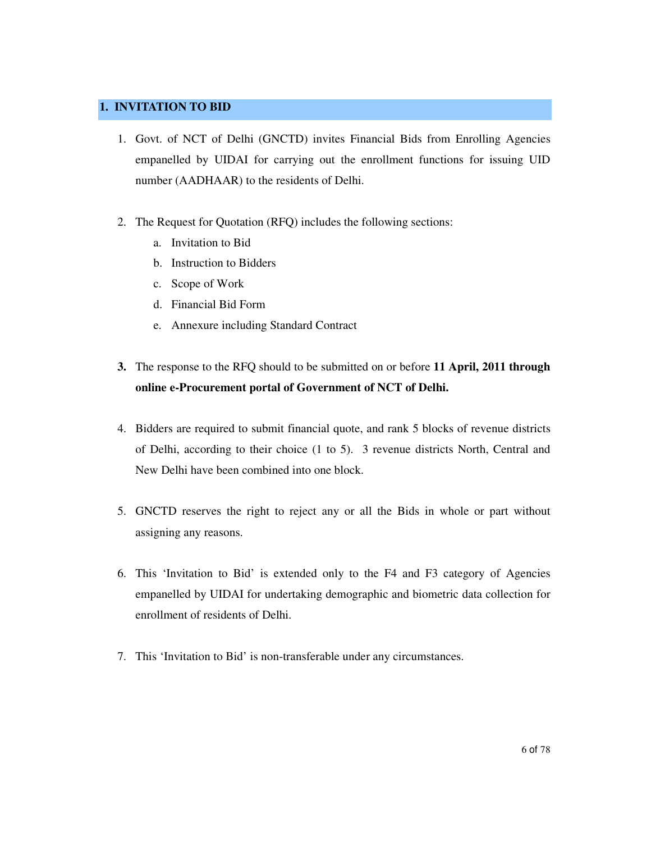#### **1. INVITATION TO BID**

- 1. Govt. of NCT of Delhi (GNCTD) invites Financial Bids from Enrolling Agencies empanelled by UIDAI for carrying out the enrollment functions for issuing UID number (AADHAAR) to the residents of Delhi.
- 2. The Request for Quotation (RFQ) includes the following sections:
	- a. Invitation to Bid
	- b. Instruction to Bidders
	- c. Scope of Work
	- d. Financial Bid Form
	- e. Annexure including Standard Contract
- **3.** The response to the RFQ should to be submitted on or before **11 April, 2011 through online e-Procurement portal of Government of NCT of Delhi.**
- 4. Bidders are required to submit financial quote, and rank 5 blocks of revenue districts of Delhi, according to their choice (1 to 5). 3 revenue districts North, Central and New Delhi have been combined into one block.
- 5. GNCTD reserves the right to reject any or all the Bids in whole or part without assigning any reasons.
- 6. This 'Invitation to Bid' is extended only to the F4 and F3 category of Agencies empanelled by UIDAI for undertaking demographic and biometric data collection for enrollment of residents of Delhi.
- 7. This 'Invitation to Bid' is non-transferable under any circumstances.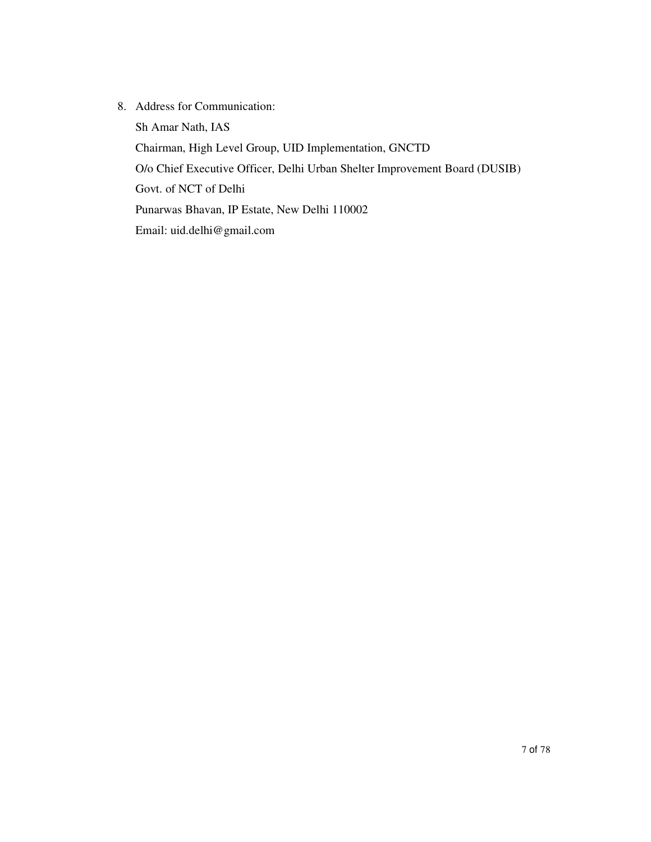8. Address for Communication:

Sh Amar Nath, IAS Chairman, High Level Group, UID Implementation, GNCTD O/o Chief Executive Officer, Delhi Urban Shelter Improvement Board (DUSIB) Govt. of NCT of Delhi Punarwas Bhavan, IP Estate, New Delhi 110002 Email: uid.delhi@gmail.com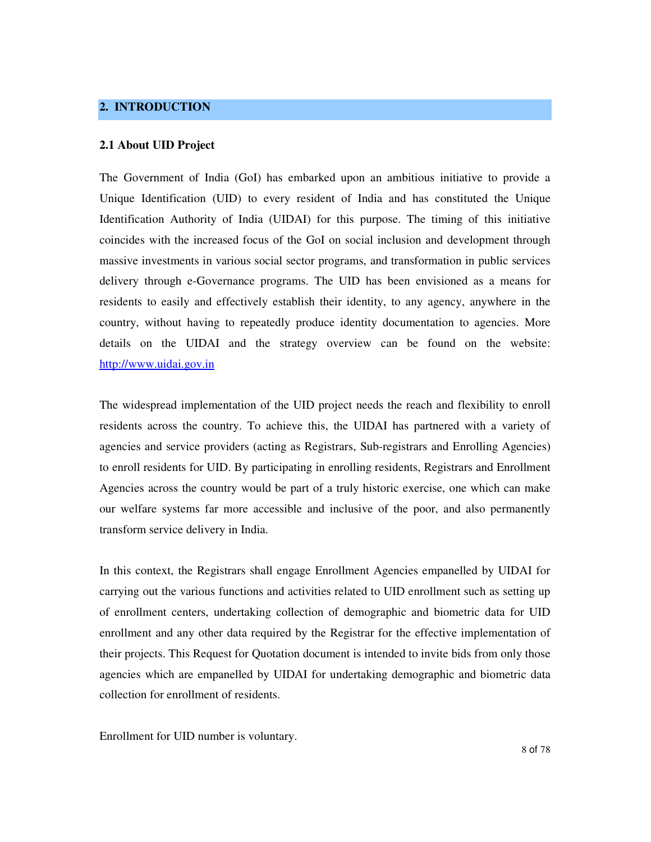#### **2. INTRODUCTION**

#### **2.1 About UID Project**

The Government of India (GoI) has embarked upon an ambitious initiative to provide a Unique Identification (UID) to every resident of India and has constituted the Unique Identification Authority of India (UIDAI) for this purpose. The timing of this initiative coincides with the increased focus of the GoI on social inclusion and development through massive investments in various social sector programs, and transformation in public services delivery through e-Governance programs. The UID has been envisioned as a means for residents to easily and effectively establish their identity, to any agency, anywhere in the country, without having to repeatedly produce identity documentation to agencies. More details on the UIDAI and the strategy overview can be found on the website: http://www.uidai.gov.in

The widespread implementation of the UID project needs the reach and flexibility to enroll residents across the country. To achieve this, the UIDAI has partnered with a variety of agencies and service providers (acting as Registrars, Sub-registrars and Enrolling Agencies) to enroll residents for UID. By participating in enrolling residents, Registrars and Enrollment Agencies across the country would be part of a truly historic exercise, one which can make our welfare systems far more accessible and inclusive of the poor, and also permanently transform service delivery in India.

In this context, the Registrars shall engage Enrollment Agencies empanelled by UIDAI for carrying out the various functions and activities related to UID enrollment such as setting up of enrollment centers, undertaking collection of demographic and biometric data for UID enrollment and any other data required by the Registrar for the effective implementation of their projects. This Request for Quotation document is intended to invite bids from only those agencies which are empanelled by UIDAI for undertaking demographic and biometric data collection for enrollment of residents.

Enrollment for UID number is voluntary.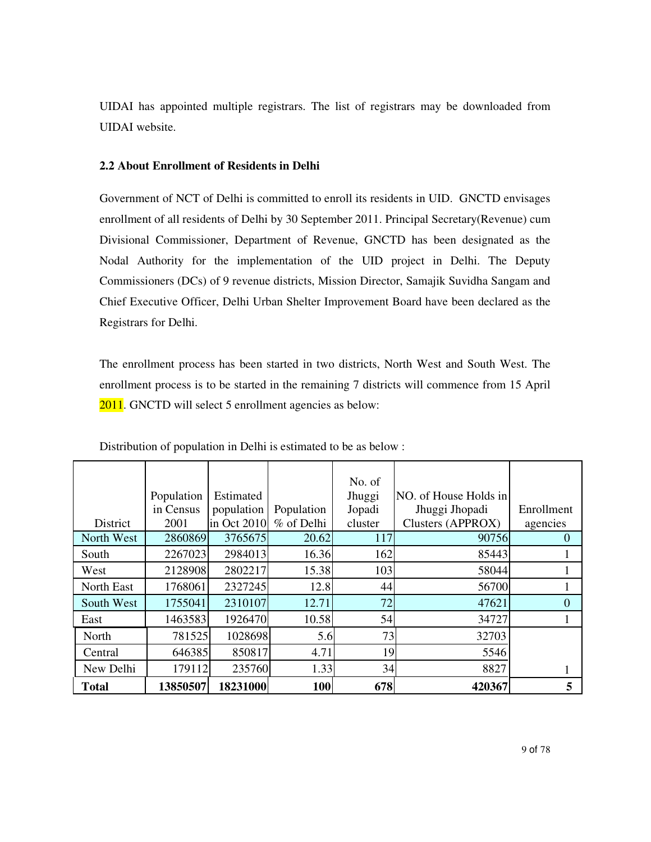UIDAI has appointed multiple registrars. The list of registrars may be downloaded from UIDAI website.

#### **2.2 About Enrollment of Residents in Delhi**

Government of NCT of Delhi is committed to enroll its residents in UID. GNCTD envisages enrollment of all residents of Delhi by 30 September 2011. Principal Secretary(Revenue) cum Divisional Commissioner, Department of Revenue, GNCTD has been designated as the Nodal Authority for the implementation of the UID project in Delhi. The Deputy Commissioners (DCs) of 9 revenue districts, Mission Director, Samajik Suvidha Sangam and Chief Executive Officer, Delhi Urban Shelter Improvement Board have been declared as the Registrars for Delhi.

The enrollment process has been started in two districts, North West and South West. The enrollment process is to be started in the remaining 7 districts will commence from 15 April 2011. GNCTD will select 5 enrollment agencies as below:

|              | Population | Estimated   |            | No. of<br>Jhuggi | NO. of House Holds in |            |
|--------------|------------|-------------|------------|------------------|-----------------------|------------|
|              | in Census  | population  | Population | Jopadi           | Jhuggi Jhopadi        | Enrollment |
| District     | 2001       | in Oct 2010 | % of Delhi | cluster          | Clusters (APPROX)     | agencies   |
| North West   | 2860869    | 3765675     | 20.62      | 117              | 90756                 | $\theta$   |
| South        | 2267023    | 2984013     | 16.36      | 162              | 85443                 |            |
| West         | 2128908    | 2802217     | 15.38      | 103              | 58044                 |            |
| North East   | 1768061    | 2327245     | 12.8       | 44               | 56700                 |            |
| South West   | 1755041    | 2310107     | 12.71      | 72               | 47621                 | $\Omega$   |
| East         | 1463583    | 1926470     | 10.58      | 54               | 34727                 |            |
| North        | 781525     | 1028698     | 5.6        | 73               | 32703                 |            |
| Central      | 646385     | 850817      | 4.71       | 19               | 5546                  |            |
| New Delhi    | 179112     | 235760      | 1.33       | 34               | 8827                  | 1          |
| <b>Total</b> | 13850507   | 18231000    | 100        | 678              | 420367                | 5          |

Distribution of population in Delhi is estimated to be as below :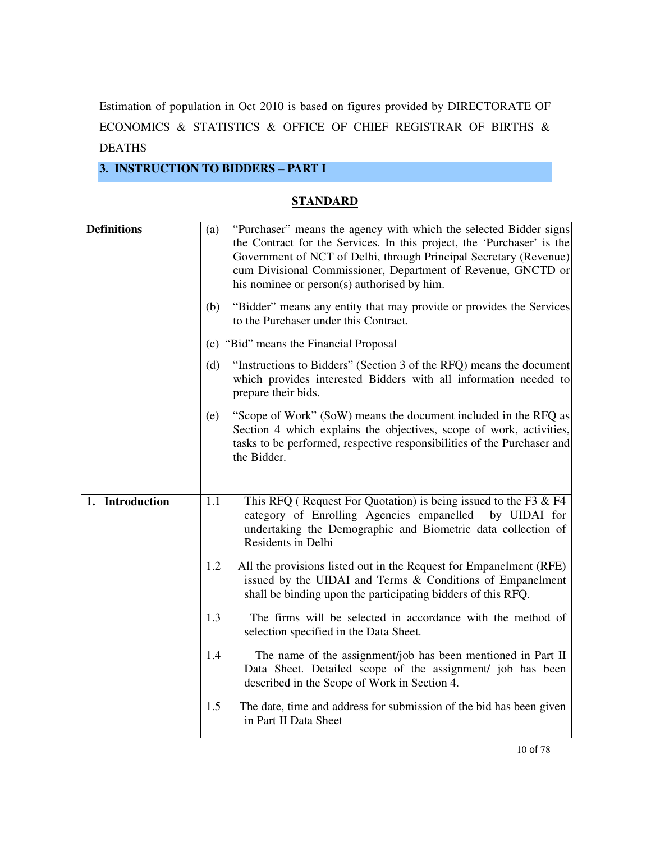Estimation of population in Oct 2010 is based on figures provided by DIRECTORATE OF ECONOMICS & STATISTICS & OFFICE OF CHIEF REGISTRAR OF BIRTHS & DEATHS

### **3. INSTRUCTION TO BIDDERS – PART I**

#### **STANDARD**

| <b>Definitions</b> | (a) | "Purchaser" means the agency with which the selected Bidder signs<br>the Contract for the Services. In this project, the 'Purchaser' is the<br>Government of NCT of Delhi, through Principal Secretary (Revenue)<br>cum Divisional Commissioner, Department of Revenue, GNCTD or<br>his nominee or person(s) authorised by him. |
|--------------------|-----|---------------------------------------------------------------------------------------------------------------------------------------------------------------------------------------------------------------------------------------------------------------------------------------------------------------------------------|
|                    | (b) | "Bidder" means any entity that may provide or provides the Services<br>to the Purchaser under this Contract.                                                                                                                                                                                                                    |
|                    |     | (c) "Bid" means the Financial Proposal                                                                                                                                                                                                                                                                                          |
|                    | (d) | "Instructions to Bidders" (Section 3 of the RFQ) means the document<br>which provides interested Bidders with all information needed to<br>prepare their bids.                                                                                                                                                                  |
|                    | (e) | "Scope of Work" (SoW) means the document included in the RFQ as<br>Section 4 which explains the objectives, scope of work, activities,<br>tasks to be performed, respective responsibilities of the Purchaser and<br>the Bidder.                                                                                                |
|                    |     |                                                                                                                                                                                                                                                                                                                                 |
| 1. Introduction    | 1.1 | This RFQ (Request For Quotation) is being issued to the F3 & F4<br>category of Enrolling Agencies empanelled<br>by UIDAI for<br>undertaking the Demographic and Biometric data collection of<br>Residents in Delhi                                                                                                              |
|                    | 1.2 | All the provisions listed out in the Request for Empanelment (RFE)<br>issued by the UIDAI and Terms & Conditions of Empanelment<br>shall be binding upon the participating bidders of this RFQ.                                                                                                                                 |
|                    | 1.3 | The firms will be selected in accordance with the method of<br>selection specified in the Data Sheet.                                                                                                                                                                                                                           |
|                    | 1.4 | The name of the assignment/job has been mentioned in Part II<br>Data Sheet. Detailed scope of the assignment/ job has been<br>described in the Scope of Work in Section 4.                                                                                                                                                      |
|                    | 1.5 | The date, time and address for submission of the bid has been given<br>in Part II Data Sheet                                                                                                                                                                                                                                    |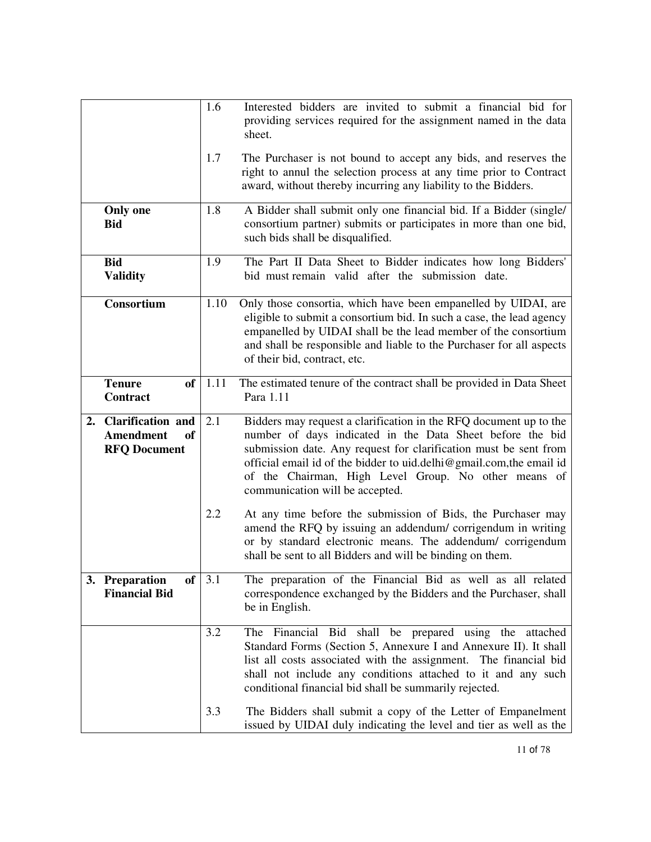|    |                                                                           | 1.6<br>1.7 | Interested bidders are invited to submit a financial bid for<br>providing services required for the assignment named in the data<br>sheet.<br>The Purchaser is not bound to accept any bids, and reserves the<br>right to annul the selection process at any time prior to Contract<br>award, without thereby incurring any liability to the Bidders.                 |
|----|---------------------------------------------------------------------------|------------|-----------------------------------------------------------------------------------------------------------------------------------------------------------------------------------------------------------------------------------------------------------------------------------------------------------------------------------------------------------------------|
|    | <b>Only one</b><br><b>Bid</b>                                             | 1.8        | A Bidder shall submit only one financial bid. If a Bidder (single/<br>consortium partner) submits or participates in more than one bid,<br>such bids shall be disqualified.                                                                                                                                                                                           |
|    | <b>Bid</b><br><b>Validity</b>                                             | 1.9        | The Part II Data Sheet to Bidder indicates how long Bidders'<br>bid must remain valid after the submission date.                                                                                                                                                                                                                                                      |
|    | Consortium                                                                | 1.10       | Only those consortia, which have been empanelled by UIDAI, are<br>eligible to submit a consortium bid. In such a case, the lead agency<br>empanelled by UIDAI shall be the lead member of the consortium<br>and shall be responsible and liable to the Purchaser for all aspects<br>of their bid, contract, etc.                                                      |
|    | <b>Tenure</b><br>of<br><b>Contract</b>                                    | 1.11       | The estimated tenure of the contract shall be provided in Data Sheet<br>Para 1.11                                                                                                                                                                                                                                                                                     |
| 2. | <b>Clarification and</b><br><b>Amendment</b><br>of<br><b>RFQ Document</b> | 2.1        | Bidders may request a clarification in the RFQ document up to the<br>number of days indicated in the Data Sheet before the bid<br>submission date. Any request for clarification must be sent from<br>official email id of the bidder to uid.delhi@gmail.com, the email id<br>of the Chairman, High Level Group. No other means of<br>communication will be accepted. |
|    |                                                                           | 2.2        | At any time before the submission of Bids, the Purchaser may<br>amend the RFQ by issuing an addendum/corrigendum in writing<br>or by standard electronic means. The addendum/ corrigendum<br>shall be sent to all Bidders and will be binding on them.                                                                                                                |
|    | 3. Preparation<br>of<br><b>Financial Bid</b>                              | 3.1        | The preparation of the Financial Bid as well as all related<br>correspondence exchanged by the Bidders and the Purchaser, shall<br>be in English.                                                                                                                                                                                                                     |
|    |                                                                           | 3.2        | The Financial Bid shall be prepared using the attached<br>Standard Forms (Section 5, Annexure I and Annexure II). It shall<br>list all costs associated with the assignment. The financial bid<br>shall not include any conditions attached to it and any such<br>conditional financial bid shall be summarily rejected.                                              |
|    |                                                                           | 3.3        | The Bidders shall submit a copy of the Letter of Empanelment<br>issued by UIDAI duly indicating the level and tier as well as the                                                                                                                                                                                                                                     |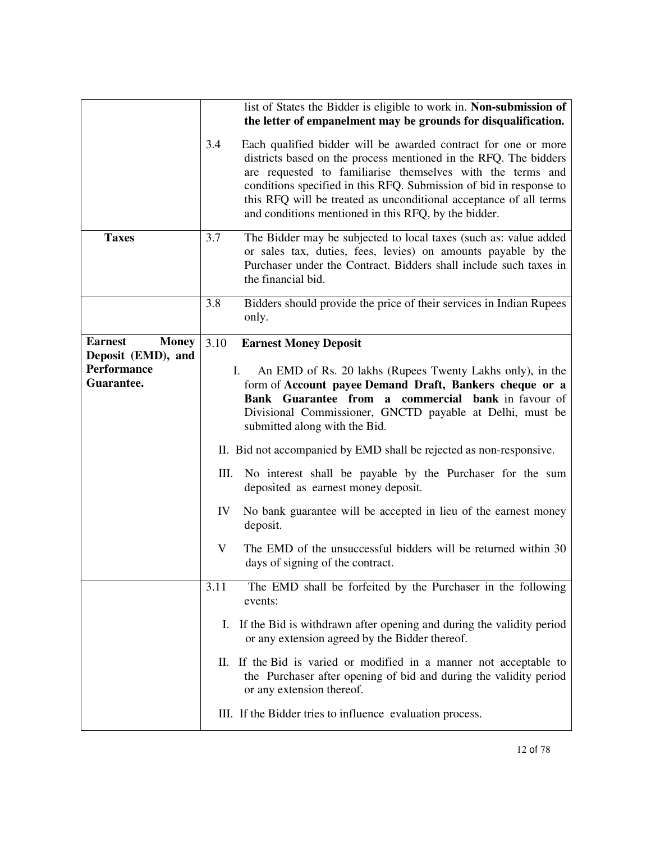|                                                      |      | list of States the Bidder is eligible to work in. Non-submission of<br>the letter of empanelment may be grounds for disqualification.                                                                                                                                                                                                                                                               |
|------------------------------------------------------|------|-----------------------------------------------------------------------------------------------------------------------------------------------------------------------------------------------------------------------------------------------------------------------------------------------------------------------------------------------------------------------------------------------------|
|                                                      | 3.4  | Each qualified bidder will be awarded contract for one or more<br>districts based on the process mentioned in the RFQ. The bidders<br>are requested to familiarise themselves with the terms and<br>conditions specified in this RFQ. Submission of bid in response to<br>this RFQ will be treated as unconditional acceptance of all terms<br>and conditions mentioned in this RFQ, by the bidder. |
| <b>Taxes</b>                                         | 3.7  | The Bidder may be subjected to local taxes (such as: value added<br>or sales tax, duties, fees, levies) on amounts payable by the<br>Purchaser under the Contract. Bidders shall include such taxes in<br>the financial bid.                                                                                                                                                                        |
|                                                      | 3.8  | Bidders should provide the price of their services in Indian Rupees<br>only.                                                                                                                                                                                                                                                                                                                        |
| <b>Earnest</b><br><b>Money</b><br>Deposit (EMD), and | 3.10 | <b>Earnest Money Deposit</b>                                                                                                                                                                                                                                                                                                                                                                        |
| <b>Performance</b>                                   |      | I.<br>An EMD of Rs. 20 lakhs (Rupees Twenty Lakhs only), in the                                                                                                                                                                                                                                                                                                                                     |
| Guarantee.                                           |      | form of Account payee Demand Draft, Bankers cheque or a                                                                                                                                                                                                                                                                                                                                             |
|                                                      |      | Bank Guarantee from a commercial bank in favour of<br>Divisional Commissioner, GNCTD payable at Delhi, must be<br>submitted along with the Bid.                                                                                                                                                                                                                                                     |
|                                                      |      | II. Bid not accompanied by EMD shall be rejected as non-responsive.                                                                                                                                                                                                                                                                                                                                 |
|                                                      | Ш.   | No interest shall be payable by the Purchaser for the sum<br>deposited as earnest money deposit.                                                                                                                                                                                                                                                                                                    |
|                                                      | IV   | No bank guarantee will be accepted in lieu of the earnest money<br>deposit.                                                                                                                                                                                                                                                                                                                         |
|                                                      | V    | The EMD of the unsuccessful bidders will be returned within 30<br>days of signing of the contract.                                                                                                                                                                                                                                                                                                  |
|                                                      | 3.11 | The EMD shall be forfeited by the Purchaser in the following<br>events:                                                                                                                                                                                                                                                                                                                             |
|                                                      | I.   | If the Bid is withdrawn after opening and during the validity period<br>or any extension agreed by the Bidder thereof.                                                                                                                                                                                                                                                                              |
|                                                      | П.   | If the Bid is varied or modified in a manner not acceptable to<br>the Purchaser after opening of bid and during the validity period<br>or any extension thereof.                                                                                                                                                                                                                                    |
|                                                      |      | III. If the Bidder tries to influence evaluation process.                                                                                                                                                                                                                                                                                                                                           |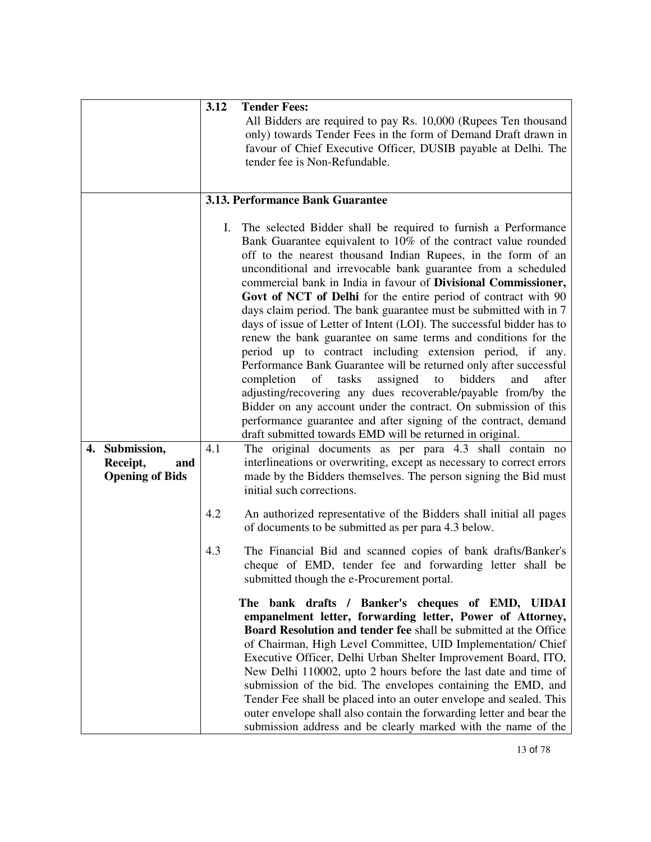|                                                             | 3.12 | <b>Tender Fees:</b><br>All Bidders are required to pay Rs. 10,000 (Rupees Ten thousand<br>only) towards Tender Fees in the form of Demand Draft drawn in<br>favour of Chief Executive Officer, DUSIB payable at Delhi. The<br>tender fee is Non-Refundable.                                                                                                                                                                                                                                                                                                                                                                                                                                                                                                                                                                                                                                                                                                                                                                                                                                          |
|-------------------------------------------------------------|------|------------------------------------------------------------------------------------------------------------------------------------------------------------------------------------------------------------------------------------------------------------------------------------------------------------------------------------------------------------------------------------------------------------------------------------------------------------------------------------------------------------------------------------------------------------------------------------------------------------------------------------------------------------------------------------------------------------------------------------------------------------------------------------------------------------------------------------------------------------------------------------------------------------------------------------------------------------------------------------------------------------------------------------------------------------------------------------------------------|
|                                                             |      | 3.13. Performance Bank Guarantee                                                                                                                                                                                                                                                                                                                                                                                                                                                                                                                                                                                                                                                                                                                                                                                                                                                                                                                                                                                                                                                                     |
|                                                             | Ι.   | The selected Bidder shall be required to furnish a Performance<br>Bank Guarantee equivalent to 10% of the contract value rounded<br>off to the nearest thousand Indian Rupees, in the form of an<br>unconditional and irrevocable bank guarantee from a scheduled<br>commercial bank in India in favour of Divisional Commissioner,<br>Govt of NCT of Delhi for the entire period of contract with 90<br>days claim period. The bank guarantee must be submitted with in 7<br>days of issue of Letter of Intent (LOI). The successful bidder has to<br>renew the bank guarantee on same terms and conditions for the<br>period up to contract including extension period, if any.<br>Performance Bank Guarantee will be returned only after successful<br>after<br>completion<br>of<br>tasks<br>assigned<br>bidders<br>and<br>to<br>adjusting/recovering any dues recoverable/payable from/by the<br>Bidder on any account under the contract. On submission of this<br>performance guarantee and after signing of the contract, demand<br>draft submitted towards EMD will be returned in original. |
| 4. Submission,<br>Receipt,<br>and<br><b>Opening of Bids</b> | 4.1  | The original documents as per para 4.3 shall contain no<br>interlineations or overwriting, except as necessary to correct errors<br>made by the Bidders themselves. The person signing the Bid must<br>initial such corrections.                                                                                                                                                                                                                                                                                                                                                                                                                                                                                                                                                                                                                                                                                                                                                                                                                                                                     |
|                                                             | 4.2  | An authorized representative of the Bidders shall initial all pages<br>of documents to be submitted as per para 4.3 below.                                                                                                                                                                                                                                                                                                                                                                                                                                                                                                                                                                                                                                                                                                                                                                                                                                                                                                                                                                           |
|                                                             | 4.3  | The Financial Bid and scanned copies of bank drafts/Banker's<br>cheque of EMD, tender fee and forwarding letter shall be<br>submitted though the e-Procurement portal.                                                                                                                                                                                                                                                                                                                                                                                                                                                                                                                                                                                                                                                                                                                                                                                                                                                                                                                               |
|                                                             |      | bank drafts / Banker's cheques of EMD, UIDAI<br>The<br>empanelment letter, forwarding letter, Power of Attorney,<br>Board Resolution and tender fee shall be submitted at the Office<br>of Chairman, High Level Committee, UID Implementation/ Chief<br>Executive Officer, Delhi Urban Shelter Improvement Board, ITO,<br>New Delhi 110002, upto 2 hours before the last date and time of<br>submission of the bid. The envelopes containing the EMD, and<br>Tender Fee shall be placed into an outer envelope and sealed. This<br>outer envelope shall also contain the forwarding letter and bear the<br>submission address and be clearly marked with the name of the                                                                                                                                                                                                                                                                                                                                                                                                                             |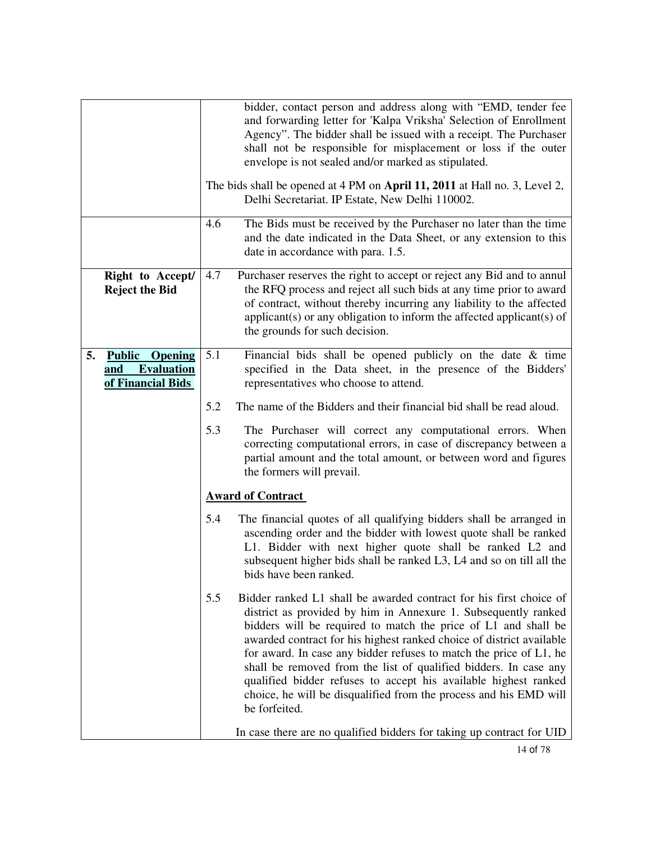|    |                                                                                  |                          | bidder, contact person and address along with "EMD, tender fee<br>and forwarding letter for 'Kalpa Vriksha' Selection of Enrollment<br>Agency". The bidder shall be issued with a receipt. The Purchaser<br>shall not be responsible for misplacement or loss if the outer<br>envelope is not sealed and/or marked as stipulated.                                                                                                                                                                                                                                                 |
|----|----------------------------------------------------------------------------------|--------------------------|-----------------------------------------------------------------------------------------------------------------------------------------------------------------------------------------------------------------------------------------------------------------------------------------------------------------------------------------------------------------------------------------------------------------------------------------------------------------------------------------------------------------------------------------------------------------------------------|
|    |                                                                                  |                          | The bids shall be opened at 4 PM on April 11, 2011 at Hall no. 3, Level 2,<br>Delhi Secretariat. IP Estate, New Delhi 110002.                                                                                                                                                                                                                                                                                                                                                                                                                                                     |
|    |                                                                                  | 4.6                      | The Bids must be received by the Purchaser no later than the time<br>and the date indicated in the Data Sheet, or any extension to this<br>date in accordance with para. 1.5.                                                                                                                                                                                                                                                                                                                                                                                                     |
|    | Right to Accept/<br><b>Reject the Bid</b>                                        | 4.7                      | Purchaser reserves the right to accept or reject any Bid and to annul<br>the RFQ process and reject all such bids at any time prior to award<br>of contract, without thereby incurring any liability to the affected<br>applicant(s) or any obligation to inform the affected applicant(s) of<br>the grounds for such decision.                                                                                                                                                                                                                                                   |
| 5. | <b>Public</b><br><b>Opening</b><br><b>Evaluation</b><br>and<br>of Financial Bids | 5.1                      | Financial bids shall be opened publicly on the date $\&$ time<br>specified in the Data sheet, in the presence of the Bidders'<br>representatives who choose to attend.                                                                                                                                                                                                                                                                                                                                                                                                            |
|    |                                                                                  | 5.2                      | The name of the Bidders and their financial bid shall be read aloud.                                                                                                                                                                                                                                                                                                                                                                                                                                                                                                              |
|    |                                                                                  | 5.3                      | The Purchaser will correct any computational errors. When<br>correcting computational errors, in case of discrepancy between a<br>partial amount and the total amount, or between word and figures<br>the formers will prevail.                                                                                                                                                                                                                                                                                                                                                   |
|    |                                                                                  | <b>Award of Contract</b> |                                                                                                                                                                                                                                                                                                                                                                                                                                                                                                                                                                                   |
|    |                                                                                  | 5.4                      | The financial quotes of all qualifying bidders shall be arranged in<br>ascending order and the bidder with lowest quote shall be ranked<br>L1. Bidder with next higher quote shall be ranked L2 and<br>subsequent higher bids shall be ranked L3, L4 and so on till all the<br>bids have been ranked.                                                                                                                                                                                                                                                                             |
|    |                                                                                  | 5.5                      | Bidder ranked L1 shall be awarded contract for his first choice of<br>district as provided by him in Annexure 1. Subsequently ranked<br>bidders will be required to match the price of L1 and shall be<br>awarded contract for his highest ranked choice of district available<br>for award. In case any bidder refuses to match the price of L1, he<br>shall be removed from the list of qualified bidders. In case any<br>qualified bidder refuses to accept his available highest ranked<br>choice, he will be disqualified from the process and his EMD will<br>be forfeited. |
|    |                                                                                  |                          | In case there are no qualified bidders for taking up contract for UID                                                                                                                                                                                                                                                                                                                                                                                                                                                                                                             |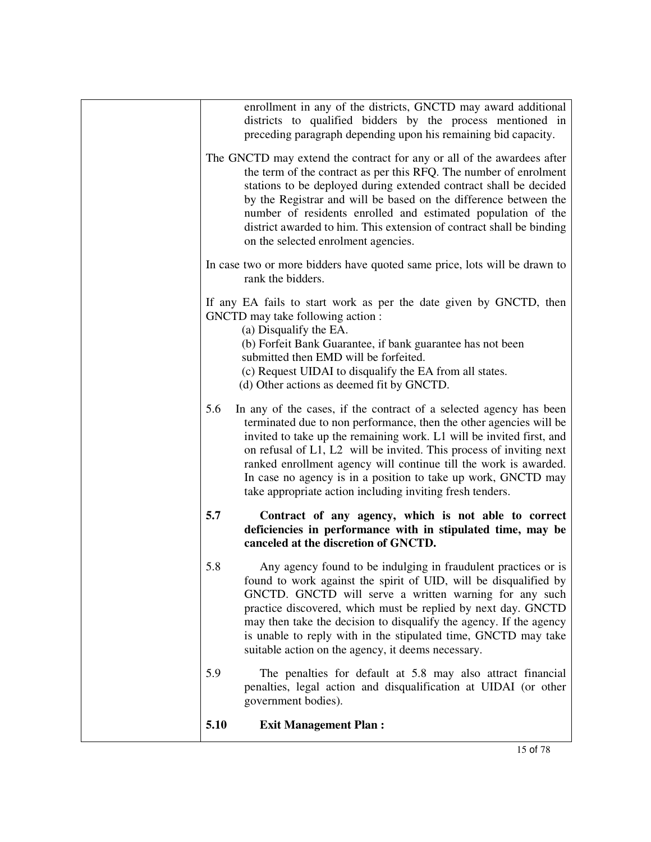| 5.10 | <b>Exit Management Plan:</b>                                                                                                                                                                                                                                                                                                                                                                                                                                                                        |
|------|-----------------------------------------------------------------------------------------------------------------------------------------------------------------------------------------------------------------------------------------------------------------------------------------------------------------------------------------------------------------------------------------------------------------------------------------------------------------------------------------------------|
| 5.9  | The penalties for default at 5.8 may also attract financial<br>penalties, legal action and disqualification at UIDAI (or other<br>government bodies).                                                                                                                                                                                                                                                                                                                                               |
| 5.8  | canceled at the discretion of GNCTD.<br>Any agency found to be indulging in fraudulent practices or is<br>found to work against the spirit of UID, will be disqualified by<br>GNCTD. GNCTD will serve a written warning for any such<br>practice discovered, which must be replied by next day. GNCTD<br>may then take the decision to disqualify the agency. If the agency<br>is unable to reply with in the stipulated time, GNCTD may take<br>suitable action on the agency, it deems necessary. |
| 5.7  | Contract of any agency, which is not able to correct<br>deficiencies in performance with in stipulated time, may be                                                                                                                                                                                                                                                                                                                                                                                 |
| 5.6  | In any of the cases, if the contract of a selected agency has been<br>terminated due to non performance, then the other agencies will be<br>invited to take up the remaining work. L1 will be invited first, and<br>on refusal of L1, L2 will be invited. This process of inviting next<br>ranked enrollment agency will continue till the work is awarded.<br>In case no agency is in a position to take up work, GNCTD may<br>take appropriate action including inviting fresh tenders.           |
|      | If any EA fails to start work as per the date given by GNCTD, then<br>GNCTD may take following action:<br>(a) Disqualify the EA.<br>(b) Forfeit Bank Guarantee, if bank guarantee has not been<br>submitted then EMD will be forfeited.<br>(c) Request UIDAI to disqualify the EA from all states.<br>(d) Other actions as deemed fit by GNCTD.                                                                                                                                                     |
|      | In case two or more bidders have quoted same price, lots will be drawn to<br>rank the bidders.                                                                                                                                                                                                                                                                                                                                                                                                      |
|      | The GNCTD may extend the contract for any or all of the awardees after<br>the term of the contract as per this RFQ. The number of enrolment<br>stations to be deployed during extended contract shall be decided<br>by the Registrar and will be based on the difference between the<br>number of residents enrolled and estimated population of the<br>district awarded to him. This extension of contract shall be binding<br>on the selected enrolment agencies.                                 |
|      | enrollment in any of the districts, GNCTD may award additional<br>districts to qualified bidders by the process mentioned in<br>preceding paragraph depending upon his remaining bid capacity.                                                                                                                                                                                                                                                                                                      |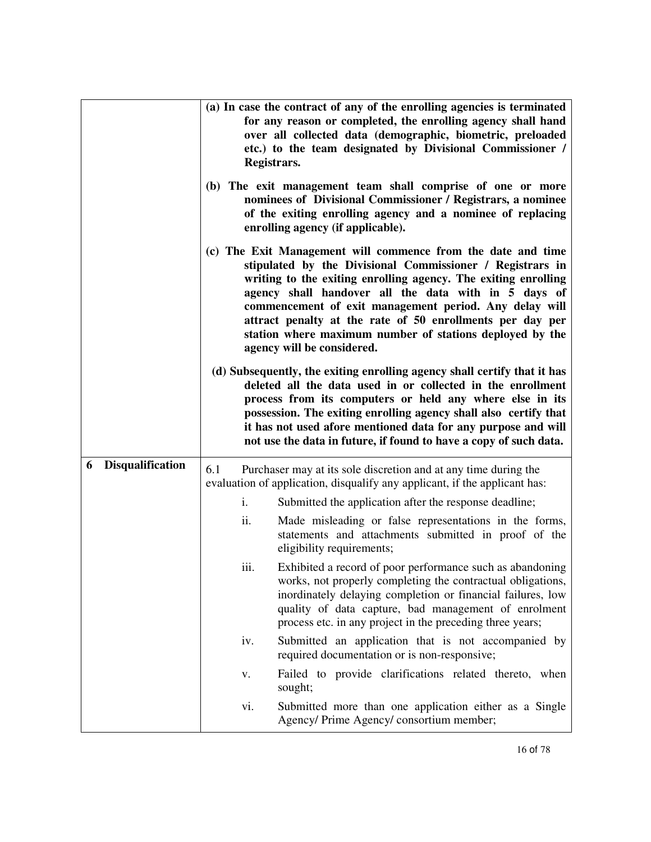|                              | (a) In case the contract of any of the enrolling agencies is terminated<br>for any reason or completed, the enrolling agency shall hand<br>over all collected data (demographic, biometric, preloaded<br>etc.) to the team designated by Divisional Commissioner /<br>Registrars.<br>(b) The exit management team shall comprise of one or more<br>nominees of Divisional Commissioner / Registrars, a nominee<br>of the exiting enrolling agency and a nominee of replacing<br>enrolling agency (if applicable).<br>(c) The Exit Management will commence from the date and time<br>stipulated by the Divisional Commissioner / Registrars in<br>writing to the exiting enrolling agency. The exiting enrolling<br>agency shall handover all the data with in 5 days of<br>commencement of exit management period. Any delay will<br>attract penalty at the rate of 50 enrollments per day per |
|------------------------------|-------------------------------------------------------------------------------------------------------------------------------------------------------------------------------------------------------------------------------------------------------------------------------------------------------------------------------------------------------------------------------------------------------------------------------------------------------------------------------------------------------------------------------------------------------------------------------------------------------------------------------------------------------------------------------------------------------------------------------------------------------------------------------------------------------------------------------------------------------------------------------------------------|
|                              | station where maximum number of stations deployed by the<br>agency will be considered.<br>(d) Subsequently, the exiting enrolling agency shall certify that it has<br>deleted all the data used in or collected in the enrollment<br>process from its computers or held any where else in its<br>possession. The exiting enrolling agency shall also certify that<br>it has not used afore mentioned data for any purpose and will<br>not use the data in future, if found to have a copy of such data.                                                                                                                                                                                                                                                                                                                                                                                         |
| <b>Disqualification</b><br>6 | 6.1<br>Purchaser may at its sole discretion and at any time during the<br>evaluation of application, disqualify any applicant, if the applicant has:                                                                                                                                                                                                                                                                                                                                                                                                                                                                                                                                                                                                                                                                                                                                            |
|                              | Submitted the application after the response deadline;<br>i.                                                                                                                                                                                                                                                                                                                                                                                                                                                                                                                                                                                                                                                                                                                                                                                                                                    |
|                              | ii.<br>Made misleading or false representations in the forms,<br>statements and attachments submitted in proof of the<br>eligibility requirements;                                                                                                                                                                                                                                                                                                                                                                                                                                                                                                                                                                                                                                                                                                                                              |
|                              | iii.<br>Exhibited a record of poor performance such as abandoning<br>works, not properly completing the contractual obligations,<br>inordinately delaying completion or financial failures, low<br>quality of data capture, bad management of enrolment<br>process etc. in any project in the preceding three years;                                                                                                                                                                                                                                                                                                                                                                                                                                                                                                                                                                            |
|                              | Submitted an application that is not accompanied by<br>iv.<br>required documentation or is non-responsive;                                                                                                                                                                                                                                                                                                                                                                                                                                                                                                                                                                                                                                                                                                                                                                                      |
|                              | Failed to provide clarifications related thereto, when<br>V.<br>sought;                                                                                                                                                                                                                                                                                                                                                                                                                                                                                                                                                                                                                                                                                                                                                                                                                         |
|                              | Submitted more than one application either as a Single<br>vi.<br>Agency/ Prime Agency/ consortium member;                                                                                                                                                                                                                                                                                                                                                                                                                                                                                                                                                                                                                                                                                                                                                                                       |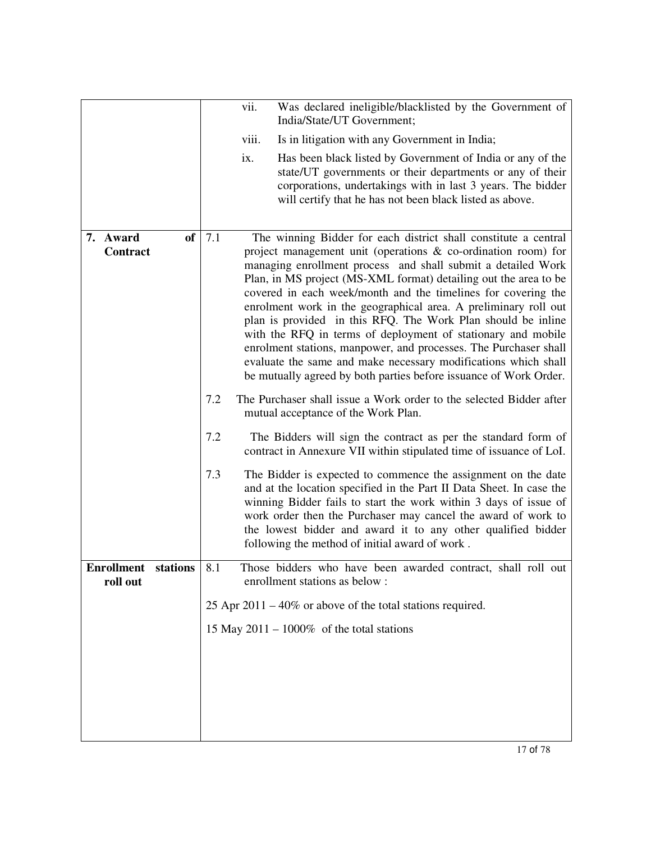|                                          |  | vii.<br>Was declared ineligible/blacklisted by the Government of<br>India/State/UT Government;                                                                                                                                                                                                                                                                                                                                                                                                                                                                                                                                                                                                                                                         |  |
|------------------------------------------|--|--------------------------------------------------------------------------------------------------------------------------------------------------------------------------------------------------------------------------------------------------------------------------------------------------------------------------------------------------------------------------------------------------------------------------------------------------------------------------------------------------------------------------------------------------------------------------------------------------------------------------------------------------------------------------------------------------------------------------------------------------------|--|
|                                          |  | viii.<br>Is in litigation with any Government in India;                                                                                                                                                                                                                                                                                                                                                                                                                                                                                                                                                                                                                                                                                                |  |
|                                          |  | Has been black listed by Government of India or any of the<br>ix.<br>state/UT governments or their departments or any of their<br>corporations, undertakings with in last 3 years. The bidder<br>will certify that he has not been black listed as above.                                                                                                                                                                                                                                                                                                                                                                                                                                                                                              |  |
| <b>of</b><br>7.1<br>7. Award<br>Contract |  | The winning Bidder for each district shall constitute a central<br>project management unit (operations $\&$ co-ordination room) for<br>managing enrollment process and shall submit a detailed Work<br>Plan, in MS project (MS-XML format) detailing out the area to be<br>covered in each week/month and the timelines for covering the<br>enrolment work in the geographical area. A preliminary roll out<br>plan is provided in this RFQ. The Work Plan should be inline<br>with the RFQ in terms of deployment of stationary and mobile<br>enrolment stations, manpower, and processes. The Purchaser shall<br>evaluate the same and make necessary modifications which shall<br>be mutually agreed by both parties before issuance of Work Order. |  |
|                                          |  | 7.2<br>The Purchaser shall issue a Work order to the selected Bidder after<br>mutual acceptance of the Work Plan.                                                                                                                                                                                                                                                                                                                                                                                                                                                                                                                                                                                                                                      |  |
|                                          |  | 7.2<br>The Bidders will sign the contract as per the standard form of<br>contract in Annexure VII within stipulated time of issuance of LoI.                                                                                                                                                                                                                                                                                                                                                                                                                                                                                                                                                                                                           |  |
|                                          |  | 7.3<br>The Bidder is expected to commence the assignment on the date<br>and at the location specified in the Part II Data Sheet. In case the<br>winning Bidder fails to start the work within 3 days of issue of<br>work order then the Purchaser may cancel the award of work to<br>the lowest bidder and award it to any other qualified bidder<br>following the method of initial award of work.                                                                                                                                                                                                                                                                                                                                                    |  |
| <b>Enrollment</b> stations<br>roll out   |  | 8.1<br>Those bidders who have been awarded contract, shall roll out<br>enrollment stations as below :                                                                                                                                                                                                                                                                                                                                                                                                                                                                                                                                                                                                                                                  |  |
|                                          |  | 25 Apr $2011 - 40\%$ or above of the total stations required.                                                                                                                                                                                                                                                                                                                                                                                                                                                                                                                                                                                                                                                                                          |  |
|                                          |  | 15 May 2011 – 1000% of the total stations                                                                                                                                                                                                                                                                                                                                                                                                                                                                                                                                                                                                                                                                                                              |  |
|                                          |  |                                                                                                                                                                                                                                                                                                                                                                                                                                                                                                                                                                                                                                                                                                                                                        |  |
|                                          |  |                                                                                                                                                                                                                                                                                                                                                                                                                                                                                                                                                                                                                                                                                                                                                        |  |
|                                          |  |                                                                                                                                                                                                                                                                                                                                                                                                                                                                                                                                                                                                                                                                                                                                                        |  |
|                                          |  |                                                                                                                                                                                                                                                                                                                                                                                                                                                                                                                                                                                                                                                                                                                                                        |  |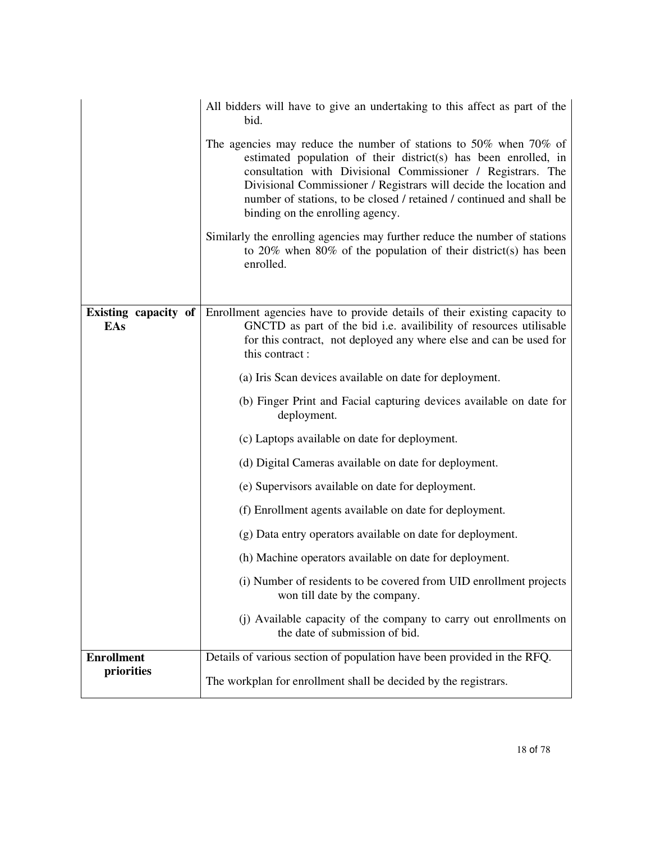|                             | All bidders will have to give an undertaking to this affect as part of the<br>bid.                                                                                                                                                                                                                                                                                                   |  |  |
|-----------------------------|--------------------------------------------------------------------------------------------------------------------------------------------------------------------------------------------------------------------------------------------------------------------------------------------------------------------------------------------------------------------------------------|--|--|
|                             | The agencies may reduce the number of stations to 50% when 70% of<br>estimated population of their district(s) has been enrolled, in<br>consultation with Divisional Commissioner / Registrars. The<br>Divisional Commissioner / Registrars will decide the location and<br>number of stations, to be closed / retained / continued and shall be<br>binding on the enrolling agency. |  |  |
|                             | Similarly the enrolling agencies may further reduce the number of stations<br>to $20\%$ when $80\%$ of the population of their district(s) has been<br>enrolled.                                                                                                                                                                                                                     |  |  |
|                             |                                                                                                                                                                                                                                                                                                                                                                                      |  |  |
| Existing capacity of<br>EAs | Enrollment agencies have to provide details of their existing capacity to<br>GNCTD as part of the bid i.e. availibility of resources utilisable<br>for this contract, not deployed any where else and can be used for<br>this contract:                                                                                                                                              |  |  |
|                             | (a) Iris Scan devices available on date for deployment.                                                                                                                                                                                                                                                                                                                              |  |  |
|                             | (b) Finger Print and Facial capturing devices available on date for<br>deployment.                                                                                                                                                                                                                                                                                                   |  |  |
|                             | (c) Laptops available on date for deployment.                                                                                                                                                                                                                                                                                                                                        |  |  |
|                             | (d) Digital Cameras available on date for deployment.                                                                                                                                                                                                                                                                                                                                |  |  |
|                             | (e) Supervisors available on date for deployment.                                                                                                                                                                                                                                                                                                                                    |  |  |
|                             | (f) Enrollment agents available on date for deployment.                                                                                                                                                                                                                                                                                                                              |  |  |
|                             | (g) Data entry operators available on date for deployment.                                                                                                                                                                                                                                                                                                                           |  |  |
|                             | (h) Machine operators available on date for deployment.                                                                                                                                                                                                                                                                                                                              |  |  |
|                             | (i) Number of residents to be covered from UID enrollment projects<br>won till date by the company.                                                                                                                                                                                                                                                                                  |  |  |
|                             | (j) Available capacity of the company to carry out enrollments on<br>the date of submission of bid.                                                                                                                                                                                                                                                                                  |  |  |
| <b>Enrollment</b>           | Details of various section of population have been provided in the RFQ.                                                                                                                                                                                                                                                                                                              |  |  |
| priorities                  | The workplan for enrollment shall be decided by the registrars.                                                                                                                                                                                                                                                                                                                      |  |  |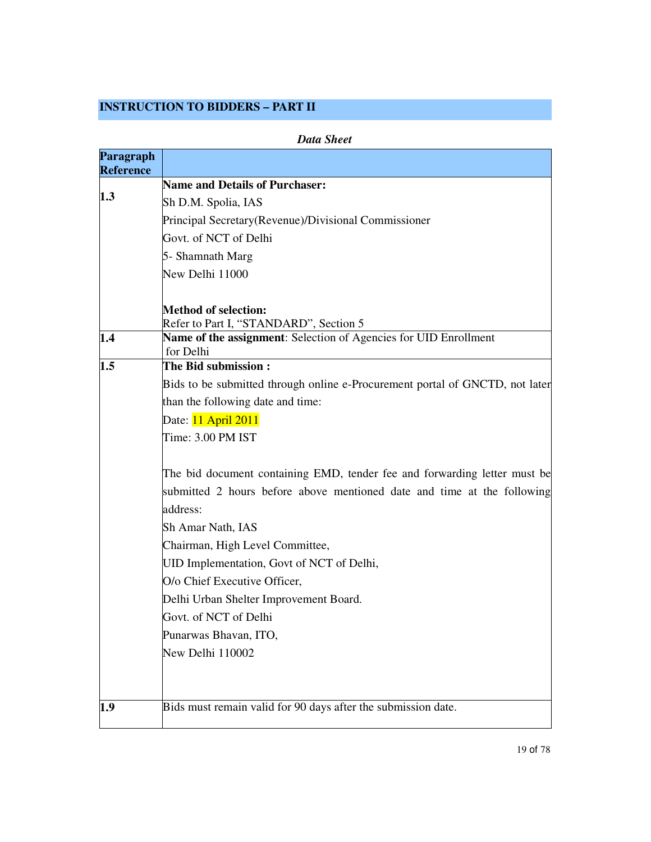#### **INSTRUCTION TO BIDDERS – PART II**

|                               | <b>Data Sheet</b>                                                                   |
|-------------------------------|-------------------------------------------------------------------------------------|
| Paragraph<br><b>Reference</b> |                                                                                     |
|                               | <b>Name and Details of Purchaser:</b>                                               |
| 1.3                           | Sh D.M. Spolia, IAS                                                                 |
|                               | Principal Secretary(Revenue)/Divisional Commissioner                                |
|                               | Govt. of NCT of Delhi                                                               |
|                               | 5- Shamnath Marg                                                                    |
|                               | New Delhi 11000                                                                     |
|                               | <b>Method of selection:</b><br>Refer to Part I, "STANDARD", Section 5               |
| 1.4                           | Name of the assignment: Selection of Agencies for UID Enrollment<br>for Delhi       |
| $1.5\,$                       | The Bid submission:                                                                 |
|                               | Bids to be submitted through online e-Procurement portal of GNCTD, not later        |
|                               | than the following date and time:                                                   |
|                               | Date: 11 April 2011                                                                 |
|                               | Time: 3.00 PM IST                                                                   |
|                               | The bid document containing EMD, tender fee and forwarding letter must be           |
|                               | submitted 2 hours before above mentioned date and time at the following<br>address: |
|                               | Sh Amar Nath, IAS                                                                   |
|                               | Chairman, High Level Committee,                                                     |
|                               | UID Implementation, Govt of NCT of Delhi,                                           |
|                               | O/o Chief Executive Officer,                                                        |
|                               | Delhi Urban Shelter Improvement Board.                                              |
|                               | Govt. of NCT of Delhi                                                               |
|                               | Punarwas Bhavan, ITO,                                                               |
|                               | New Delhi 110002                                                                    |
|                               |                                                                                     |
| 1.9                           | Bids must remain valid for 90 days after the submission date.                       |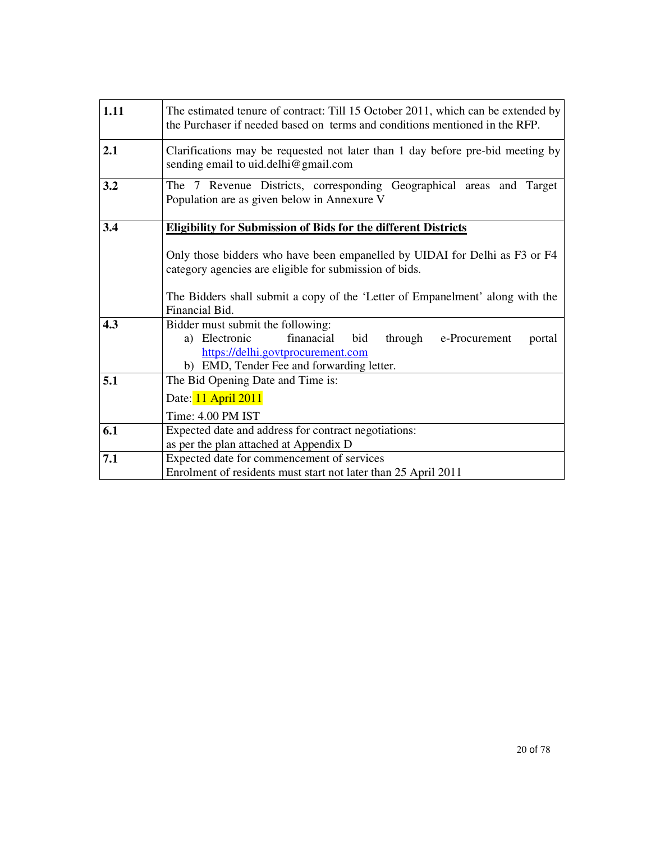| 1.11 | The estimated tenure of contract: Till 15 October 2011, which can be extended by<br>the Purchaser if needed based on terms and conditions mentioned in the RFP.                                                                         |  |  |
|------|-----------------------------------------------------------------------------------------------------------------------------------------------------------------------------------------------------------------------------------------|--|--|
| 2.1  | Clarifications may be requested not later than 1 day before pre-bid meeting by<br>sending email to uid.delhi@gmail.com                                                                                                                  |  |  |
| 3.2  | The 7 Revenue Districts, corresponding Geographical areas and Target<br>Population are as given below in Annexure V                                                                                                                     |  |  |
| 3.4  | <b>Eligibility for Submission of Bids for the different Districts</b>                                                                                                                                                                   |  |  |
|      | Only those bidders who have been empanelled by UIDAI for Delhi as F3 or F4<br>category agencies are eligible for submission of bids.<br>The Bidders shall submit a copy of the 'Letter of Empanelment' along with the<br>Financial Bid. |  |  |
| 4.3  | Bidder must submit the following:<br>finanacial<br>a) Electronic<br>bid<br>through<br>e-Procurement<br>portal<br>https://delhi.govtprocurement.com<br>b) EMD, Tender Fee and forwarding letter.                                         |  |  |
| 5.1  | The Bid Opening Date and Time is:                                                                                                                                                                                                       |  |  |
|      | Date: 11 April 2011                                                                                                                                                                                                                     |  |  |
|      | Time: 4.00 PM IST                                                                                                                                                                                                                       |  |  |
| 6.1  | Expected date and address for contract negotiations:                                                                                                                                                                                    |  |  |
|      | as per the plan attached at Appendix D                                                                                                                                                                                                  |  |  |
| 7.1  | Expected date for commencement of services<br>Enrolment of residents must start not later than 25 April 2011                                                                                                                            |  |  |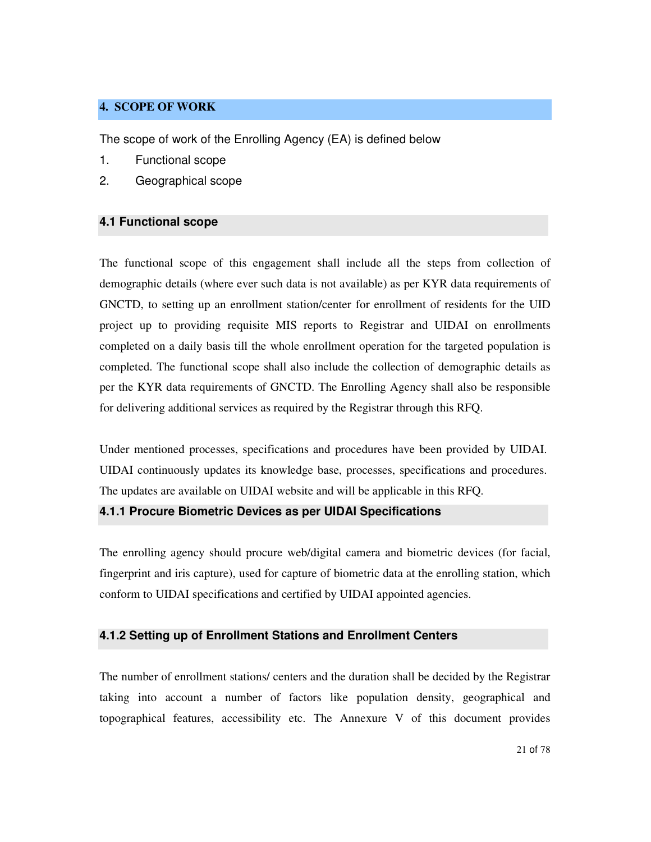#### **4. SCOPE OF WORK**

The scope of work of the Enrolling Agency (EA) is defined below

- 1. Functional scope
- 2. Geographical scope

#### **4.1 Functional scope**

The functional scope of this engagement shall include all the steps from collection of demographic details (where ever such data is not available) as per KYR data requirements of GNCTD, to setting up an enrollment station/center for enrollment of residents for the UID project up to providing requisite MIS reports to Registrar and UIDAI on enrollments completed on a daily basis till the whole enrollment operation for the targeted population is completed. The functional scope shall also include the collection of demographic details as per the KYR data requirements of GNCTD. The Enrolling Agency shall also be responsible for delivering additional services as required by the Registrar through this RFQ.

Under mentioned processes, specifications and procedures have been provided by UIDAI. UIDAI continuously updates its knowledge base, processes, specifications and procedures. The updates are available on UIDAI website and will be applicable in this RFQ.

#### **4.1.1 Procure Biometric Devices as per UIDAI Specifications**

The enrolling agency should procure web/digital camera and biometric devices (for facial, fingerprint and iris capture), used for capture of biometric data at the enrolling station, which conform to UIDAI specifications and certified by UIDAI appointed agencies.

#### **4.1.2 Setting up of Enrollment Stations and Enrollment Centers**

The number of enrollment stations/ centers and the duration shall be decided by the Registrar taking into account a number of factors like population density, geographical and topographical features, accessibility etc. The Annexure V of this document provides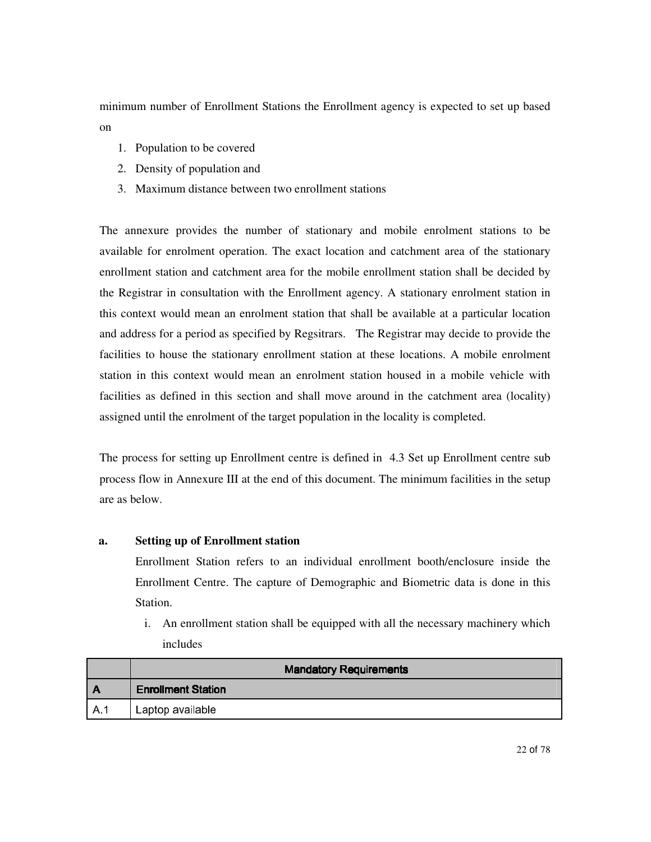minimum number of Enrollment Stations the Enrollment agency is expected to set up based on

- 1. Population to be covered
- 2. Density of population and
- 3. Maximum distance between two enrollment stations

The annexure provides the number of stationary and mobile enrolment stations to be available for enrolment operation. The exact location and catchment area of the stationary enrollment station and catchment area for the mobile enrollment station shall be decided by the Registrar in consultation with the Enrollment agency. A stationary enrolment station in this context would mean an enrolment station that shall be available at a particular location and address for a period as specified by Regsitrars. The Registrar may decide to provide the facilities to house the stationary enrollment station at these locations. A mobile enrolment station in this context would mean an enrolment station housed in a mobile vehicle with facilities as defined in this section and shall move around in the catchment area (locality) assigned until the enrolment of the target population in the locality is completed.

The process for setting up Enrollment centre is defined in 4.3 Set up Enrollment centre sub process flow in Annexure III at the end of this document. The minimum facilities in the setup are as below.

#### **a. Setting up of Enrollment station**

Enrollment Station refers to an individual enrollment booth/enclosure inside the Enrollment Centre. The capture of Demographic and Biometric data is done in this Station.

i. An enrollment station shall be equipped with all the necessary machinery which includes

|     | <b>Mandatory Requirements</b> |
|-----|-------------------------------|
|     | <b>Enrollment Station</b>     |
| A 1 | ' Laptop available            |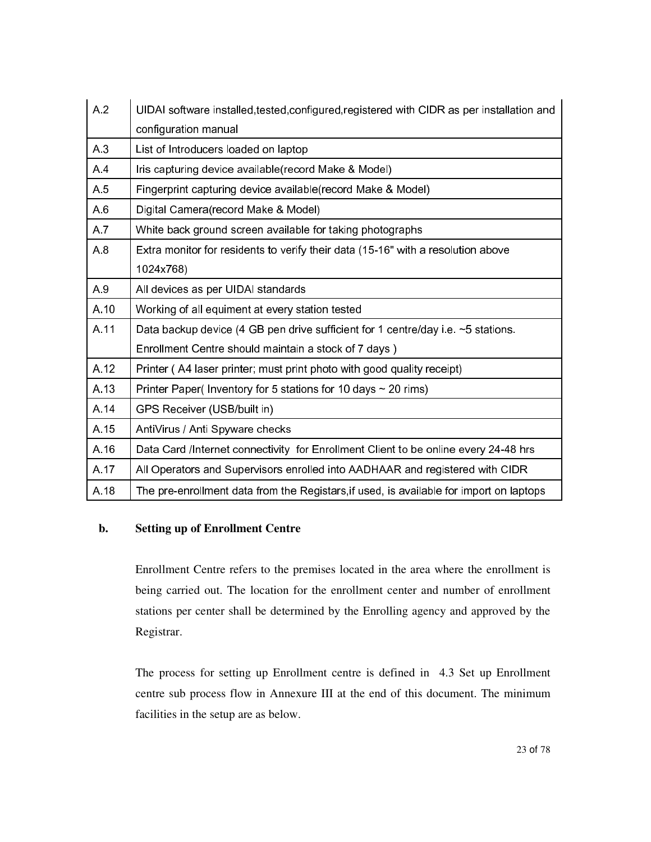| A <sub>2</sub> | UIDAI software installed, tested, configured, registered with CIDR as per installation and |  |  |
|----------------|--------------------------------------------------------------------------------------------|--|--|
|                | configuration manual                                                                       |  |  |
| A.3            | List of Introducers loaded on laptop                                                       |  |  |
| A4             | Iris capturing device available(record Make & Model)                                       |  |  |
| A.5            | Fingerprint capturing device available(record Make & Model)                                |  |  |
| A <sub>6</sub> | Digital Camera(record Make & Model)                                                        |  |  |
| A.7            | White back ground screen available for taking photographs                                  |  |  |
| A8             | Extra monitor for residents to verify their data (15-16" with a resolution above           |  |  |
|                | 1024x768)                                                                                  |  |  |
| A 9            | All devices as per UIDAI standards                                                         |  |  |
| A.10           | Working of all equiment at every station tested                                            |  |  |
| A.11           | Data backup device (4 GB pen drive sufficient for 1 centre/day i.e. ~5 stations.           |  |  |
|                | Enrollment Centre should maintain a stock of 7 days)                                       |  |  |
| A.12           | Printer (A4 laser printer; must print photo with good quality receipt)                     |  |  |
| A.13           | Printer Paper( Inventory for 5 stations for 10 days $\sim$ 20 rims)                        |  |  |
| A 14           | GPS Receiver (USB/built in)                                                                |  |  |
| A.15           | AntiVirus / Anti Spyware checks                                                            |  |  |
| A.16           | Data Card /Internet connectivity for Enrollment Client to be online every 24-48 hrs        |  |  |
| A.17           | All Operators and Supervisors enrolled into AADHAAR and registered with CIDR               |  |  |
| A.18           | The pre-enrollment data from the Registars, if used, is available for import on laptops    |  |  |

#### **b. Setting up of Enrollment Centre**

Enrollment Centre refers to the premises located in the area where the enrollment is being carried out. The location for the enrollment center and number of enrollment stations per center shall be determined by the Enrolling agency and approved by the Registrar.

The process for setting up Enrollment centre is defined in 4.3 Set up Enrollment centre sub process flow in Annexure III at the end of this document. The minimum facilities in the setup are as below.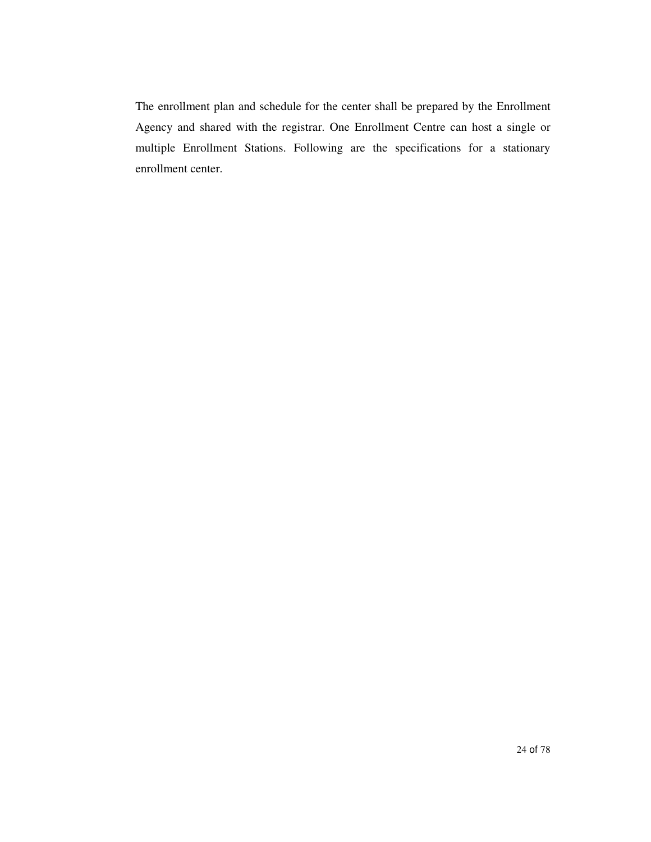The enrollment plan and schedule for the center shall be prepared by the Enrollment Agency and shared with the registrar. One Enrollment Centre can host a single or multiple Enrollment Stations. Following are the specifications for a stationary enrollment center.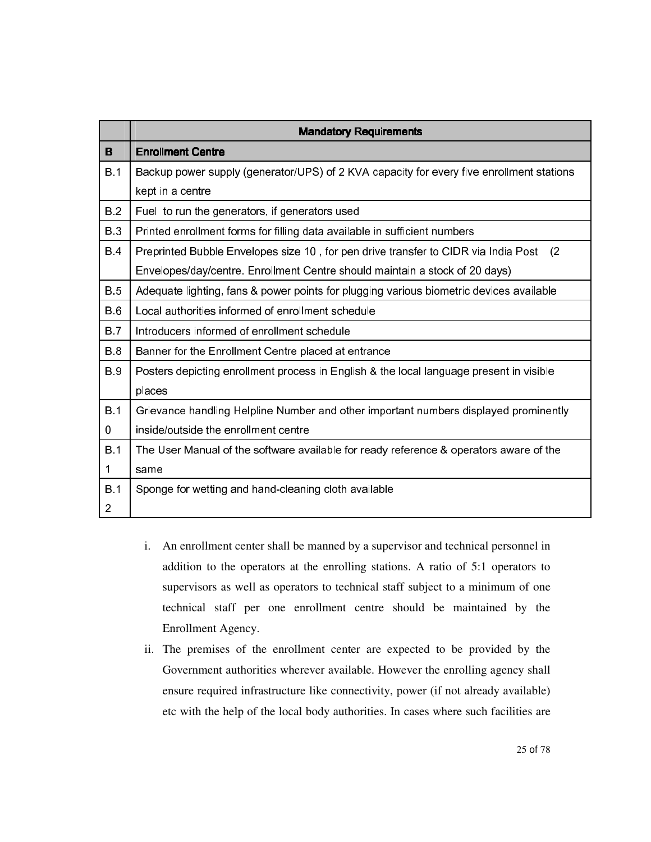|                | <b>Mandatory Requirements</b>                                                             |  |  |
|----------------|-------------------------------------------------------------------------------------------|--|--|
| B              | <b>Enrollment Centre</b>                                                                  |  |  |
| <b>B</b> 1     | Backup power supply (generator/UPS) of 2 KVA capacity for every five enrollment stations  |  |  |
|                | kept in a centre                                                                          |  |  |
| <b>B2</b>      | Fuel to run the generators, if generators used                                            |  |  |
| <b>B</b> 3     | Printed enrollment forms for filling data available in sufficient numbers                 |  |  |
| <b>B4</b>      | Preprinted Bubble Envelopes size 10, for pen drive transfer to CIDR via India Post<br>(2) |  |  |
|                | Envelopes/day/centre. Enrollment Centre should maintain a stock of 20 days)               |  |  |
| <b>B</b> 5     | Adequate lighting, fans & power points for plugging various biometric devices available   |  |  |
| <b>B</b> 6     | Local authorities informed of enrollment schedule                                         |  |  |
| <b>B</b> 7     | Introducers informed of enrollment schedule                                               |  |  |
| <b>B</b> 8     | Banner for the Enrollment Centre placed at entrance                                       |  |  |
| <b>B</b> 9     | Posters depicting enrollment process in English & the local language present in visible   |  |  |
|                | places                                                                                    |  |  |
| <b>B</b> 1     | Grievance handling Helpline Number and other important numbers displayed prominently      |  |  |
| 0              | inside/outside the enrollment centre                                                      |  |  |
| <b>B</b> 1     | The User Manual of the software available for ready reference & operators aware of the    |  |  |
| 1              | same                                                                                      |  |  |
| <b>B</b> 1     | Sponge for wetting and hand-cleaning cloth available                                      |  |  |
| $\overline{2}$ |                                                                                           |  |  |

- i. An enrollment center shall be manned by a supervisor and technical personnel in addition to the operators at the enrolling stations. A ratio of 5:1 operators to supervisors as well as operators to technical staff subject to a minimum of one technical staff per one enrollment centre should be maintained by the Enrollment Agency.
- ii. The premises of the enrollment center are expected to be provided by the Government authorities wherever available. However the enrolling agency shall ensure required infrastructure like connectivity, power (if not already available) etc with the help of the local body authorities. In cases where such facilities are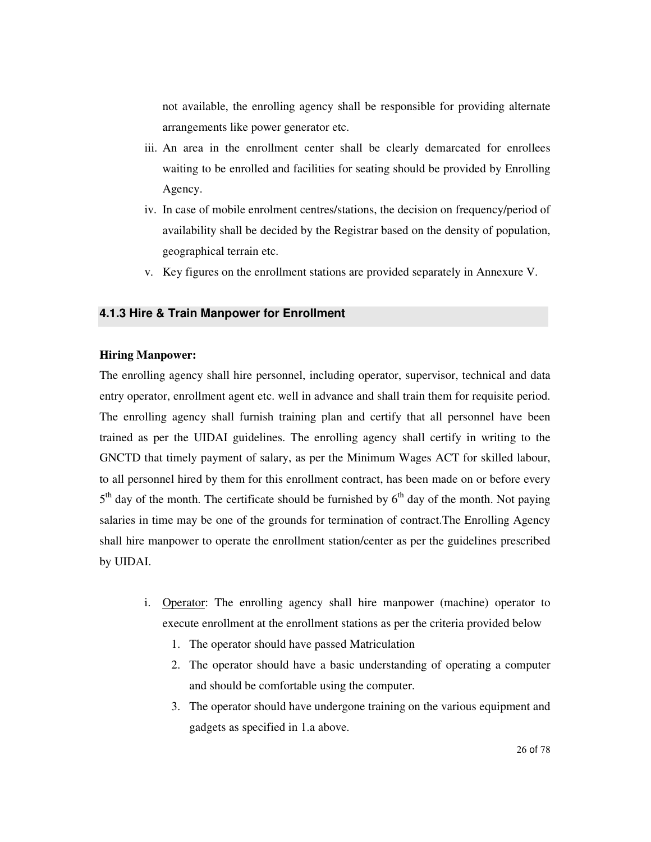not available, the enrolling agency shall be responsible for providing alternate arrangements like power generator etc.

- iii. An area in the enrollment center shall be clearly demarcated for enrollees waiting to be enrolled and facilities for seating should be provided by Enrolling Agency.
- iv. In case of mobile enrolment centres/stations, the decision on frequency/period of availability shall be decided by the Registrar based on the density of population, geographical terrain etc.
- v. Key figures on the enrollment stations are provided separately in Annexure V.

#### **4.1.3 Hire & Train Manpower for Enrollment**

#### **Hiring Manpower:**

The enrolling agency shall hire personnel, including operator, supervisor, technical and data entry operator, enrollment agent etc. well in advance and shall train them for requisite period. The enrolling agency shall furnish training plan and certify that all personnel have been trained as per the UIDAI guidelines. The enrolling agency shall certify in writing to the GNCTD that timely payment of salary, as per the Minimum Wages ACT for skilled labour, to all personnel hired by them for this enrollment contract, has been made on or before every 5<sup>th</sup> day of the month. The certificate should be furnished by 6<sup>th</sup> day of the month. Not paying salaries in time may be one of the grounds for termination of contract.The Enrolling Agency shall hire manpower to operate the enrollment station/center as per the guidelines prescribed by UIDAI.

- i. Operator: The enrolling agency shall hire manpower (machine) operator to execute enrollment at the enrollment stations as per the criteria provided below
	- 1. The operator should have passed Matriculation
	- 2. The operator should have a basic understanding of operating a computer and should be comfortable using the computer.
	- 3. The operator should have undergone training on the various equipment and gadgets as specified in 1.a above.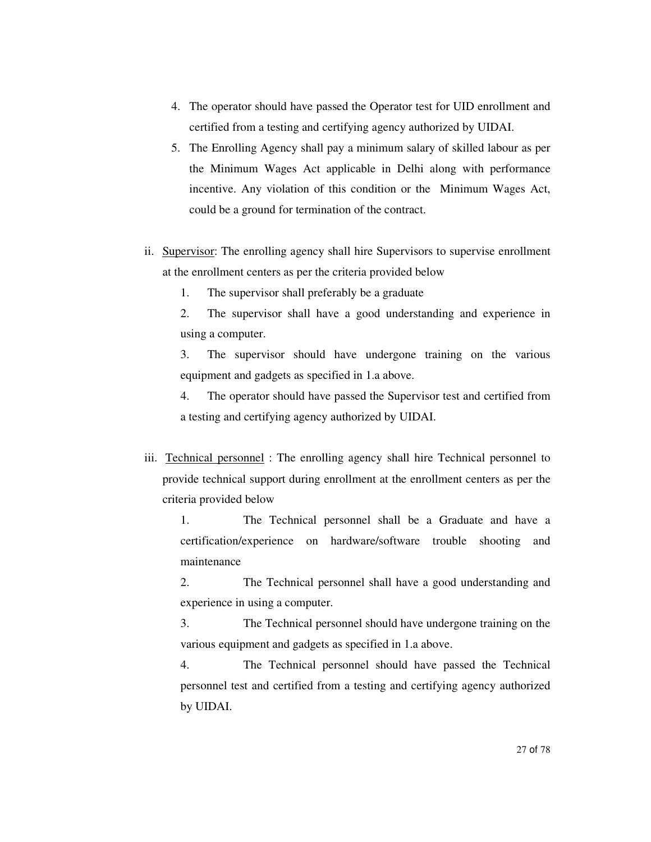- 4. The operator should have passed the Operator test for UID enrollment and certified from a testing and certifying agency authorized by UIDAI.
- 5. The Enrolling Agency shall pay a minimum salary of skilled labour as per the Minimum Wages Act applicable in Delhi along with performance incentive. Any violation of this condition or the Minimum Wages Act, could be a ground for termination of the contract.
- ii. Supervisor: The enrolling agency shall hire Supervisors to supervise enrollment at the enrollment centers as per the criteria provided below

1. The supervisor shall preferably be a graduate

2. The supervisor shall have a good understanding and experience in using a computer.

3. The supervisor should have undergone training on the various equipment and gadgets as specified in 1.a above.

4. The operator should have passed the Supervisor test and certified from a testing and certifying agency authorized by UIDAI.

iii. Technical personnel : The enrolling agency shall hire Technical personnel to provide technical support during enrollment at the enrollment centers as per the criteria provided below

1. The Technical personnel shall be a Graduate and have a certification/experience on hardware/software trouble shooting and maintenance

2. The Technical personnel shall have a good understanding and experience in using a computer.

3. The Technical personnel should have undergone training on the various equipment and gadgets as specified in 1.a above.

4. The Technical personnel should have passed the Technical personnel test and certified from a testing and certifying agency authorized by UIDAI.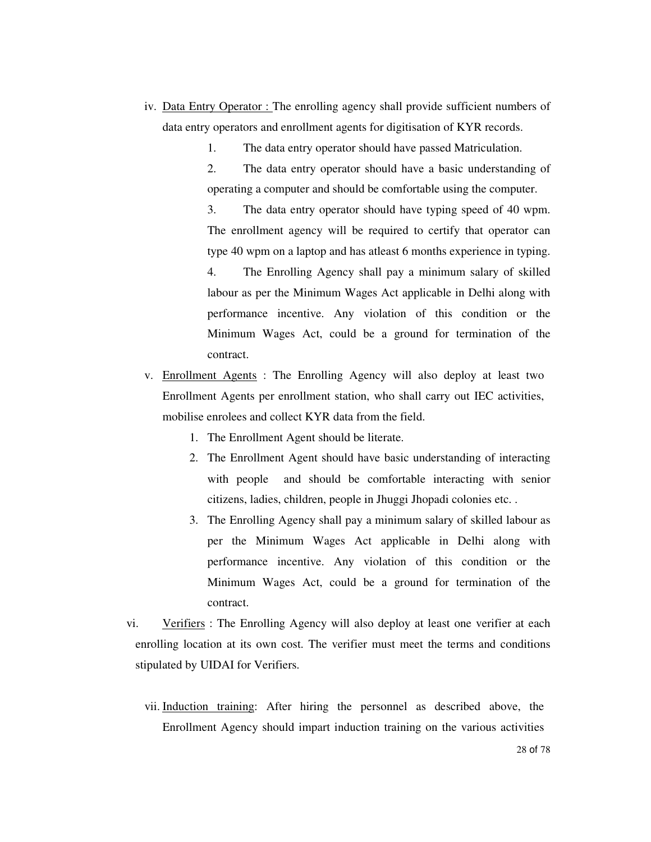- iv. Data Entry Operator : The enrolling agency shall provide sufficient numbers of data entry operators and enrollment agents for digitisation of KYR records.
	- 1. The data entry operator should have passed Matriculation.

2. The data entry operator should have a basic understanding of operating a computer and should be comfortable using the computer.

3. The data entry operator should have typing speed of 40 wpm. The enrollment agency will be required to certify that operator can type 40 wpm on a laptop and has atleast 6 months experience in typing.

4. The Enrolling Agency shall pay a minimum salary of skilled labour as per the Minimum Wages Act applicable in Delhi along with performance incentive. Any violation of this condition or the Minimum Wages Act, could be a ground for termination of the contract.

- v. Enrollment Agents : The Enrolling Agency will also deploy at least two Enrollment Agents per enrollment station, who shall carry out IEC activities, mobilise enrolees and collect KYR data from the field.
	- 1. The Enrollment Agent should be literate.
	- 2. The Enrollment Agent should have basic understanding of interacting with people and should be comfortable interacting with senior citizens, ladies, children, people in Jhuggi Jhopadi colonies etc. .
	- 3. The Enrolling Agency shall pay a minimum salary of skilled labour as per the Minimum Wages Act applicable in Delhi along with performance incentive. Any violation of this condition or the Minimum Wages Act, could be a ground for termination of the contract.
- vi. Verifiers : The Enrolling Agency will also deploy at least one verifier at each enrolling location at its own cost. The verifier must meet the terms and conditions stipulated by UIDAI for Verifiers.
	- vii. Induction training: After hiring the personnel as described above, the Enrollment Agency should impart induction training on the various activities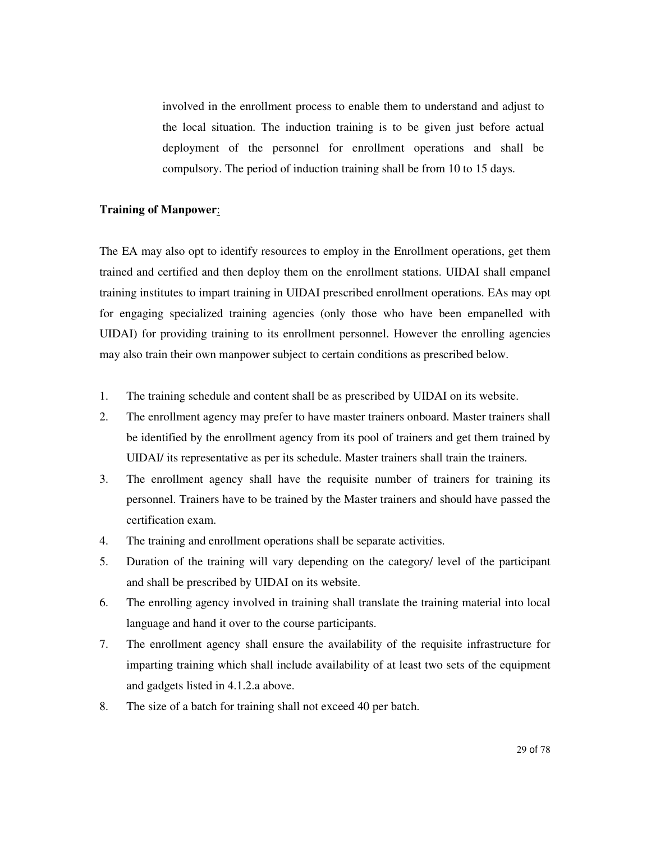involved in the enrollment process to enable them to understand and adjust to the local situation. The induction training is to be given just before actual deployment of the personnel for enrollment operations and shall be compulsory. The period of induction training shall be from 10 to 15 days.

#### **Training of Manpower**:

The EA may also opt to identify resources to employ in the Enrollment operations, get them trained and certified and then deploy them on the enrollment stations. UIDAI shall empanel training institutes to impart training in UIDAI prescribed enrollment operations. EAs may opt for engaging specialized training agencies (only those who have been empanelled with UIDAI) for providing training to its enrollment personnel. However the enrolling agencies may also train their own manpower subject to certain conditions as prescribed below.

- 1. The training schedule and content shall be as prescribed by UIDAI on its website.
- 2. The enrollment agency may prefer to have master trainers onboard. Master trainers shall be identified by the enrollment agency from its pool of trainers and get them trained by UIDAI/ its representative as per its schedule. Master trainers shall train the trainers.
- 3. The enrollment agency shall have the requisite number of trainers for training its personnel. Trainers have to be trained by the Master trainers and should have passed the certification exam.
- 4. The training and enrollment operations shall be separate activities.
- 5. Duration of the training will vary depending on the category/ level of the participant and shall be prescribed by UIDAI on its website.
- 6. The enrolling agency involved in training shall translate the training material into local language and hand it over to the course participants.
- 7. The enrollment agency shall ensure the availability of the requisite infrastructure for imparting training which shall include availability of at least two sets of the equipment and gadgets listed in 4.1.2.a above.
- 8. The size of a batch for training shall not exceed 40 per batch.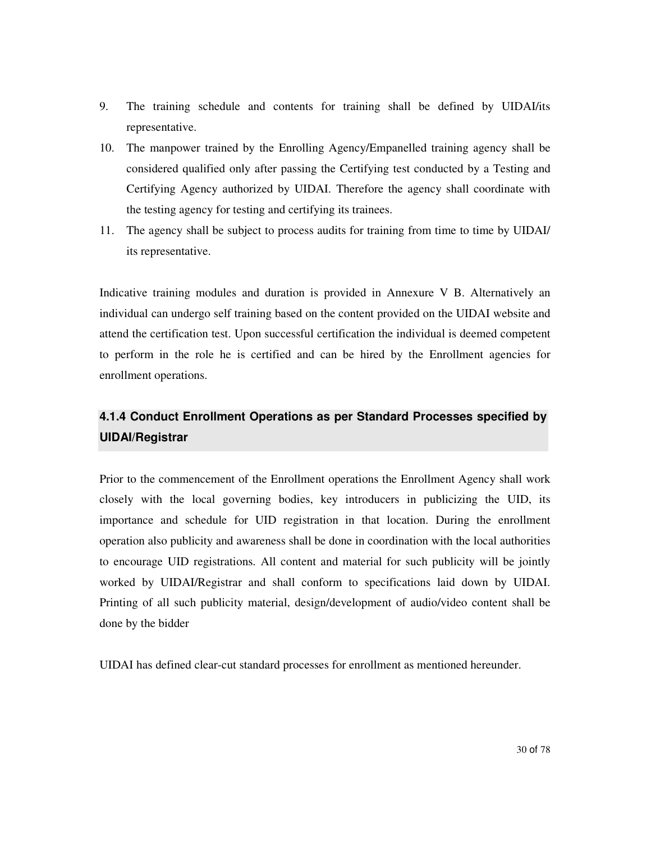- 9. The training schedule and contents for training shall be defined by UIDAI/its representative.
- 10. The manpower trained by the Enrolling Agency/Empanelled training agency shall be considered qualified only after passing the Certifying test conducted by a Testing and Certifying Agency authorized by UIDAI. Therefore the agency shall coordinate with the testing agency for testing and certifying its trainees.
- 11. The agency shall be subject to process audits for training from time to time by UIDAI/ its representative.

Indicative training modules and duration is provided in Annexure V B. Alternatively an individual can undergo self training based on the content provided on the UIDAI website and attend the certification test. Upon successful certification the individual is deemed competent to perform in the role he is certified and can be hired by the Enrollment agencies for enrollment operations.

### **4.1.4 Conduct Enrollment Operations as per Standard Processes specified by UIDAI/Registrar**

Prior to the commencement of the Enrollment operations the Enrollment Agency shall work closely with the local governing bodies, key introducers in publicizing the UID, its importance and schedule for UID registration in that location. During the enrollment operation also publicity and awareness shall be done in coordination with the local authorities to encourage UID registrations. All content and material for such publicity will be jointly worked by UIDAI/Registrar and shall conform to specifications laid down by UIDAI. Printing of all such publicity material, design/development of audio/video content shall be done by the bidder

UIDAI has defined clear-cut standard processes for enrollment as mentioned hereunder.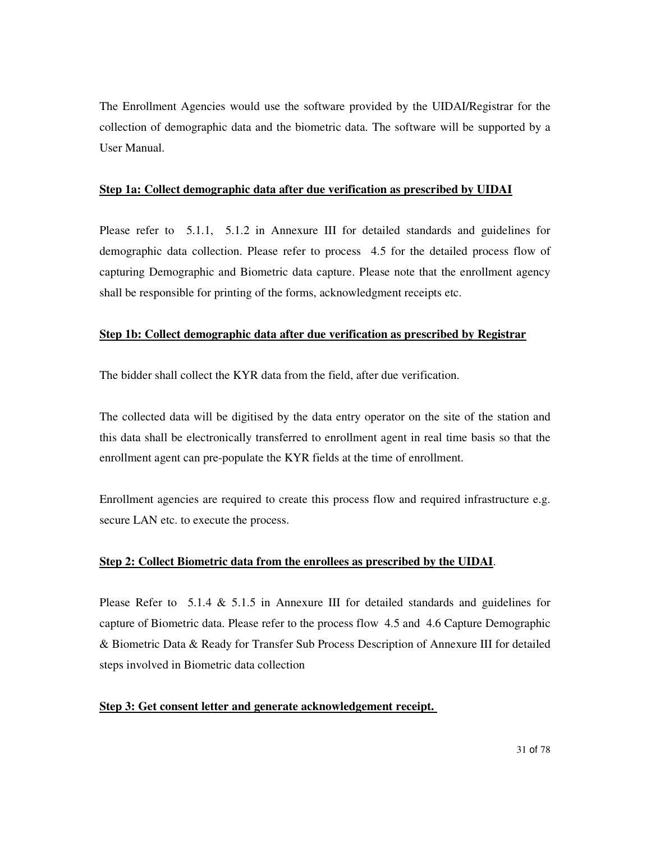The Enrollment Agencies would use the software provided by the UIDAI/Registrar for the collection of demographic data and the biometric data. The software will be supported by a User Manual.

#### **Step 1a: Collect demographic data after due verification as prescribed by UIDAI**

Please refer to 5.1.1, 5.1.2 in Annexure III for detailed standards and guidelines for demographic data collection. Please refer to process 4.5 for the detailed process flow of capturing Demographic and Biometric data capture. Please note that the enrollment agency shall be responsible for printing of the forms, acknowledgment receipts etc.

#### **Step 1b: Collect demographic data after due verification as prescribed by Registrar**

The bidder shall collect the KYR data from the field, after due verification.

The collected data will be digitised by the data entry operator on the site of the station and this data shall be electronically transferred to enrollment agent in real time basis so that the enrollment agent can pre-populate the KYR fields at the time of enrollment.

Enrollment agencies are required to create this process flow and required infrastructure e.g. secure LAN etc. to execute the process.

#### **Step 2: Collect Biometric data from the enrollees as prescribed by the UIDAI**.

Please Refer to 5.1.4  $\&$  5.1.5 in Annexure III for detailed standards and guidelines for capture of Biometric data. Please refer to the process flow 4.5 and 4.6 Capture Demographic & Biometric Data & Ready for Transfer Sub Process Description of Annexure III for detailed steps involved in Biometric data collection

#### **Step 3: Get consent letter and generate acknowledgement receipt.**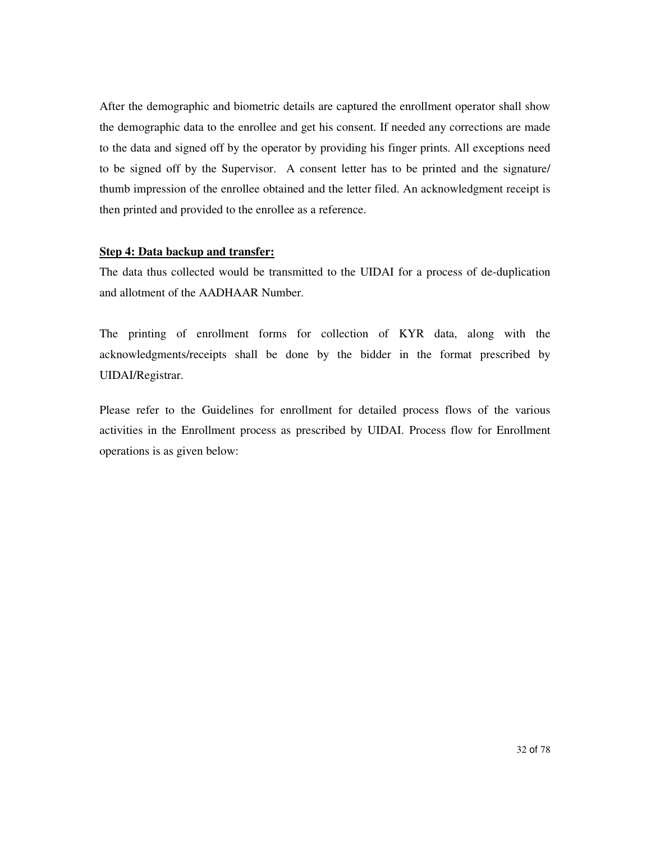After the demographic and biometric details are captured the enrollment operator shall show the demographic data to the enrollee and get his consent. If needed any corrections are made to the data and signed off by the operator by providing his finger prints. All exceptions need to be signed off by the Supervisor. A consent letter has to be printed and the signature/ thumb impression of the enrollee obtained and the letter filed. An acknowledgment receipt is then printed and provided to the enrollee as a reference.

#### **Step 4: Data backup and transfer:**

The data thus collected would be transmitted to the UIDAI for a process of de-duplication and allotment of the AADHAAR Number.

The printing of enrollment forms for collection of KYR data, along with the acknowledgments/receipts shall be done by the bidder in the format prescribed by UIDAI/Registrar.

Please refer to the Guidelines for enrollment for detailed process flows of the various activities in the Enrollment process as prescribed by UIDAI. Process flow for Enrollment operations is as given below: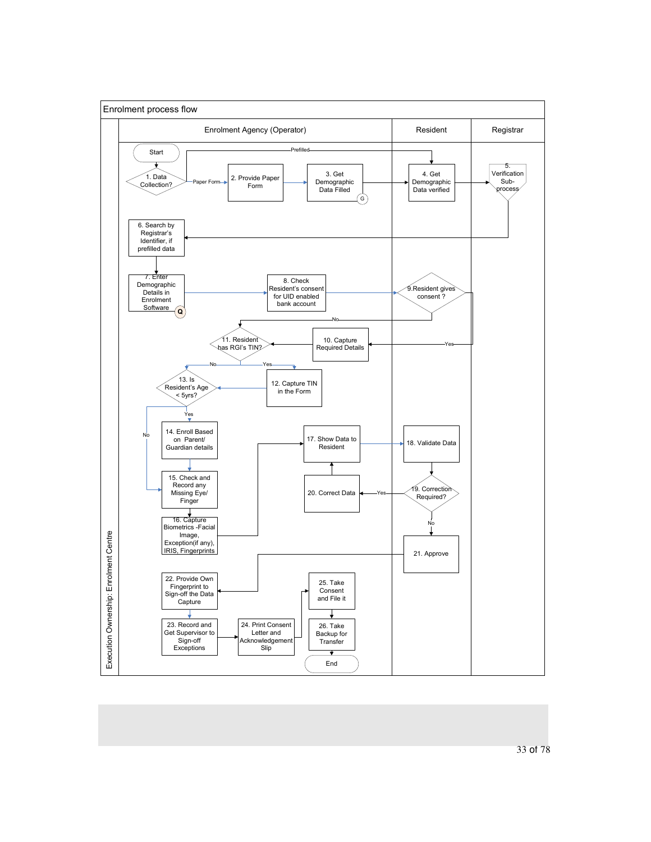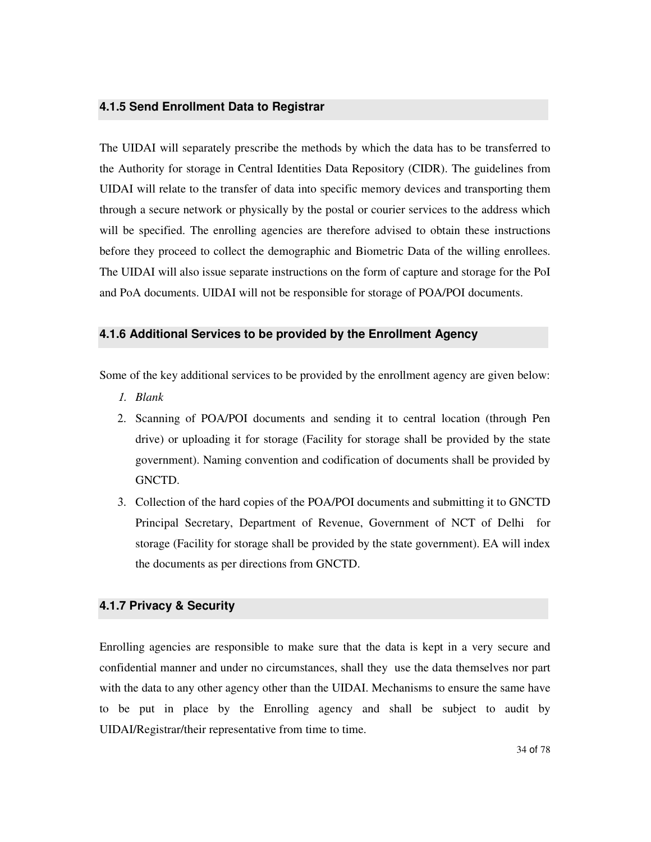#### **4.1.5 Send Enrollment Data to Registrar**

The UIDAI will separately prescribe the methods by which the data has to be transferred to the Authority for storage in Central Identities Data Repository (CIDR). The guidelines from UIDAI will relate to the transfer of data into specific memory devices and transporting them through a secure network or physically by the postal or courier services to the address which will be specified. The enrolling agencies are therefore advised to obtain these instructions before they proceed to collect the demographic and Biometric Data of the willing enrollees. The UIDAI will also issue separate instructions on the form of capture and storage for the PoI and PoA documents. UIDAI will not be responsible for storage of POA/POI documents.

#### **4.1.6 Additional Services to be provided by the Enrollment Agency**

Some of the key additional services to be provided by the enrollment agency are given below:

- 1. *Blank*
- 2. Scanning of POA/POI documents and sending it to central location (through Pen drive) or uploading it for storage (Facility for storage shall be provided by the state government). Naming convention and codification of documents shall be provided by GNCTD.
- 3. Collection of the hard copies of the POA/POI documents and submitting it to GNCTD Principal Secretary, Department of Revenue, Government of NCT of Delhi for storage (Facility for storage shall be provided by the state government). EA will index the documents as per directions from GNCTD.

#### **4.1.7 Privacy & Security**

Enrolling agencies are responsible to make sure that the data is kept in a very secure and confidential manner and under no circumstances, shall they use the data themselves nor part with the data to any other agency other than the UIDAI. Mechanisms to ensure the same have to be put in place by the Enrolling agency and shall be subject to audit by UIDAI/Registrar/their representative from time to time.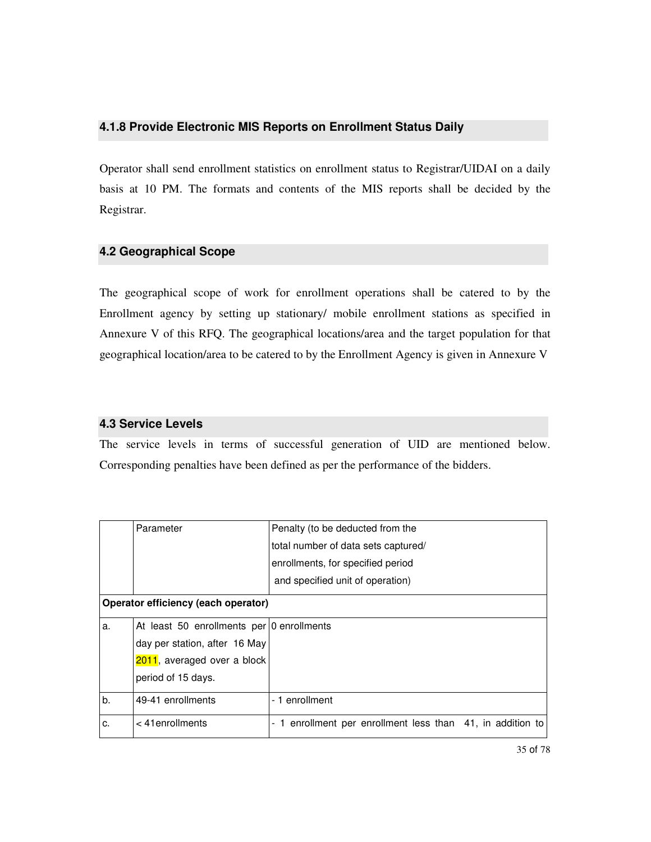#### **4.1.8 Provide Electronic MIS Reports on Enrollment Status Daily**

Operator shall send enrollment statistics on enrollment status to Registrar/UIDAI on a daily basis at 10 PM. The formats and contents of the MIS reports shall be decided by the Registrar.

#### **4.2 Geographical Scope**

The geographical scope of work for enrollment operations shall be catered to by the Enrollment agency by setting up stationary/ mobile enrollment stations as specified in Annexure V of this RFQ. The geographical locations/area and the target population for that geographical location/area to be catered to by the Enrollment Agency is given in Annexure V

#### **4.3 Service Levels**

The service levels in terms of successful generation of UID are mentioned below. Corresponding penalties have been defined as per the performance of the bidders.

|    | Parameter                                 | Penalty (to be deducted from the                           |
|----|-------------------------------------------|------------------------------------------------------------|
|    |                                           | total number of data sets captured/                        |
|    |                                           | enrollments, for specified period                          |
|    |                                           | and specified unit of operation)                           |
|    | Operator efficiency (each operator)       |                                                            |
| a. | At least 50 enrollments per 0 enrollments |                                                            |
|    | day per station, after 16 May             |                                                            |
|    | 2011, averaged over a block               |                                                            |
|    | period of 15 days.                        |                                                            |
| b. | 49-41 enrollments                         | - 1 enrollment                                             |
| c. | $< 41$ enrollments                        | - 1 enrollment per enrollment less than 41, in addition to |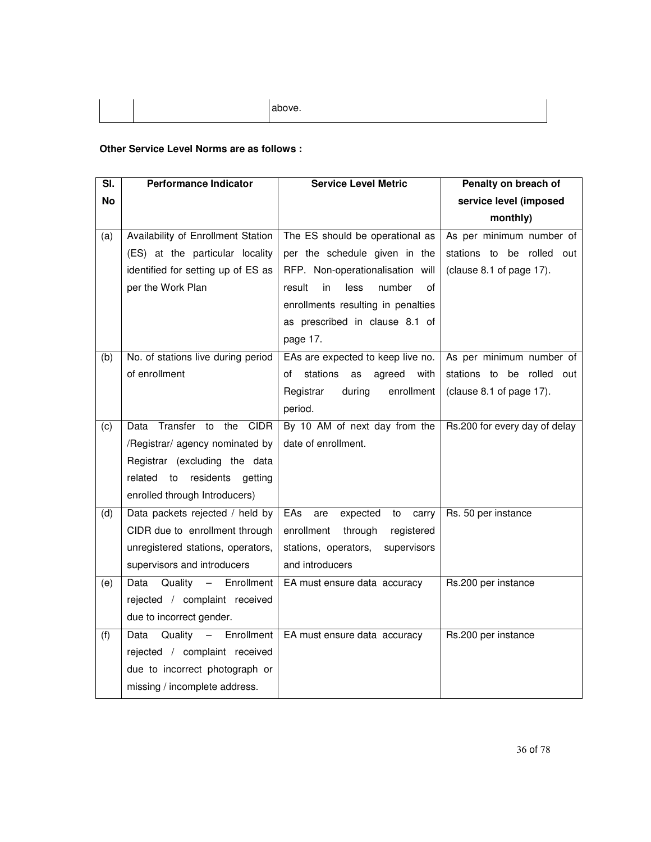#### **Other Service Level Norms are as follows :**

| SI.       | <b>Performance Indicator</b>       | <b>Service Level Metric</b>            | Penalty on breach of          |  |
|-----------|------------------------------------|----------------------------------------|-------------------------------|--|
| <b>No</b> |                                    |                                        | service level (imposed        |  |
|           |                                    |                                        | monthly)                      |  |
| (a)       | Availability of Enrollment Station | The ES should be operational as        | As per minimum number of      |  |
|           | (ES) at the particular locality    | per the schedule given in the          | stations to be rolled out     |  |
|           | identified for setting up of ES as | RFP. Non-operationalisation will       | (clause 8.1 of page 17).      |  |
|           | per the Work Plan                  | in<br>less<br>number<br>result<br>οf   |                               |  |
|           |                                    | enrollments resulting in penalties     |                               |  |
|           |                                    | as prescribed in clause 8.1 of         |                               |  |
|           |                                    | page 17.                               |                               |  |
| (b)       | No. of stations live during period | EAs are expected to keep live no.      | As per minimum number of      |  |
|           | of enrollment                      | stations<br>of<br>agreed<br>with<br>as | stations to be rolled out     |  |
|           |                                    | enrollment<br>Registrar<br>during      | (clause 8.1 of page 17).      |  |
|           |                                    | period.                                |                               |  |
| (c)       | Transfer to<br>the CIDR<br>Data    | By 10 AM of next day from the          | Rs.200 for every day of delay |  |
|           | /Registrar/ agency nominated by    | date of enrollment.                    |                               |  |
|           | Registrar (excluding the data      |                                        |                               |  |
|           | related to residents<br>getting    |                                        |                               |  |
|           | enrolled through Introducers)      |                                        |                               |  |
| (d)       | Data packets rejected / held by    | EAs<br>expected<br>are<br>to<br>carry  | Rs. 50 per instance           |  |
|           | CIDR due to enrollment through     | enrollment<br>through<br>registered    |                               |  |
|           | unregistered stations, operators,  | stations, operators,<br>supervisors    |                               |  |
|           | supervisors and introducers        | and introducers                        |                               |  |
| (e)       | Data Quality - Enrollment          | EA must ensure data accuracy           | Rs.200 per instance           |  |
|           | rejected / complaint received      |                                        |                               |  |
|           | due to incorrect gender.           |                                        |                               |  |
| (f)       | Data Quality - Enrollment          | EA must ensure data accuracy           | Rs.200 per instance           |  |
|           | rejected / complaint received      |                                        |                               |  |
|           | due to incorrect photograph or     |                                        |                               |  |
|           | missing / incomplete address.      |                                        |                               |  |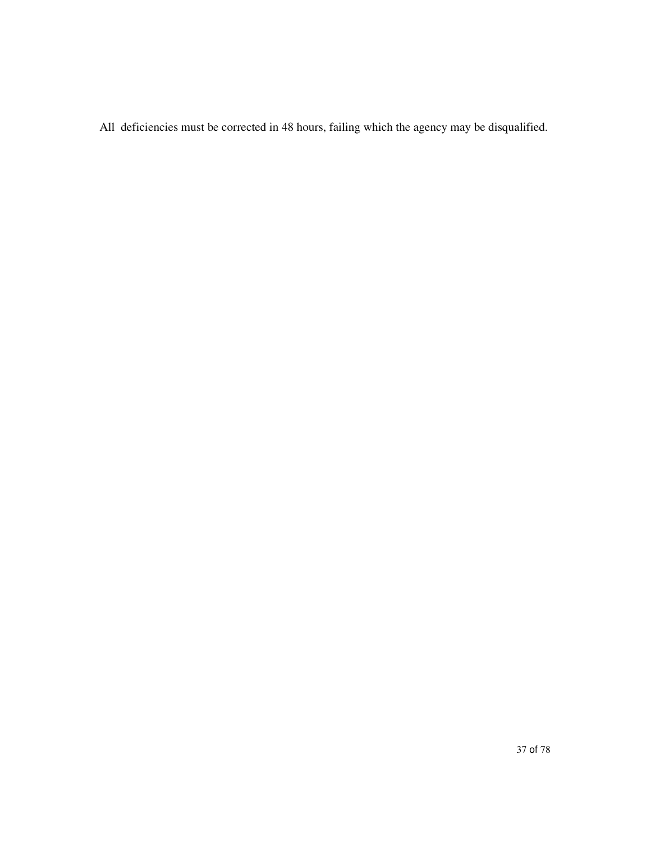All deficiencies must be corrected in 48 hours, failing which the agency may be disqualified.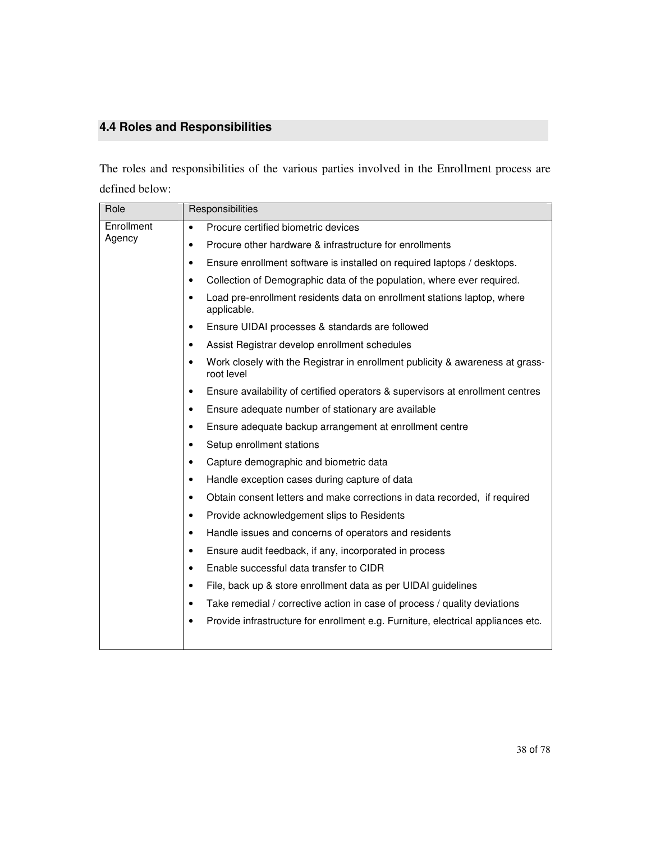# **4.4 Roles and Responsibilities**

The roles and responsibilities of the various parties involved in the Enrollment process are defined below:

| Role                 | Responsibilities                                                                                         |
|----------------------|----------------------------------------------------------------------------------------------------------|
| Enrollment<br>Agency | Procure certified biometric devices<br>$\bullet$                                                         |
|                      | Procure other hardware & infrastructure for enrollments<br>٠                                             |
|                      | Ensure enrollment software is installed on required laptops / desktops.<br>٠                             |
|                      | Collection of Demographic data of the population, where ever required.<br>٠                              |
|                      | Load pre-enrollment residents data on enrollment stations laptop, where<br>$\bullet$<br>applicable.      |
|                      | Ensure UIDAI processes & standards are followed<br>٠                                                     |
|                      | Assist Registrar develop enrollment schedules<br>٠                                                       |
|                      | Work closely with the Registrar in enrollment publicity & awareness at grass-<br>$\bullet$<br>root level |
|                      | Ensure availability of certified operators & supervisors at enrollment centres<br>$\bullet$              |
|                      | Ensure adequate number of stationary are available<br>$\bullet$                                          |
|                      | Ensure adequate backup arrangement at enrollment centre<br>$\bullet$                                     |
|                      | Setup enrollment stations<br>$\bullet$                                                                   |
|                      | Capture demographic and biometric data<br>$\bullet$                                                      |
|                      | Handle exception cases during capture of data<br>٠                                                       |
|                      | Obtain consent letters and make corrections in data recorded, if required<br>$\bullet$                   |
|                      | Provide acknowledgement slips to Residents<br>$\bullet$                                                  |
|                      | Handle issues and concerns of operators and residents<br>$\bullet$                                       |
|                      | Ensure audit feedback, if any, incorporated in process<br>$\bullet$                                      |
|                      | Enable successful data transfer to CIDR<br>$\bullet$                                                     |
|                      | File, back up & store enrollment data as per UIDAI guidelines<br>$\bullet$                               |
|                      | Take remedial / corrective action in case of process / quality deviations<br>$\bullet$                   |
|                      | Provide infrastructure for enrollment e.g. Furniture, electrical appliances etc.<br>٠                    |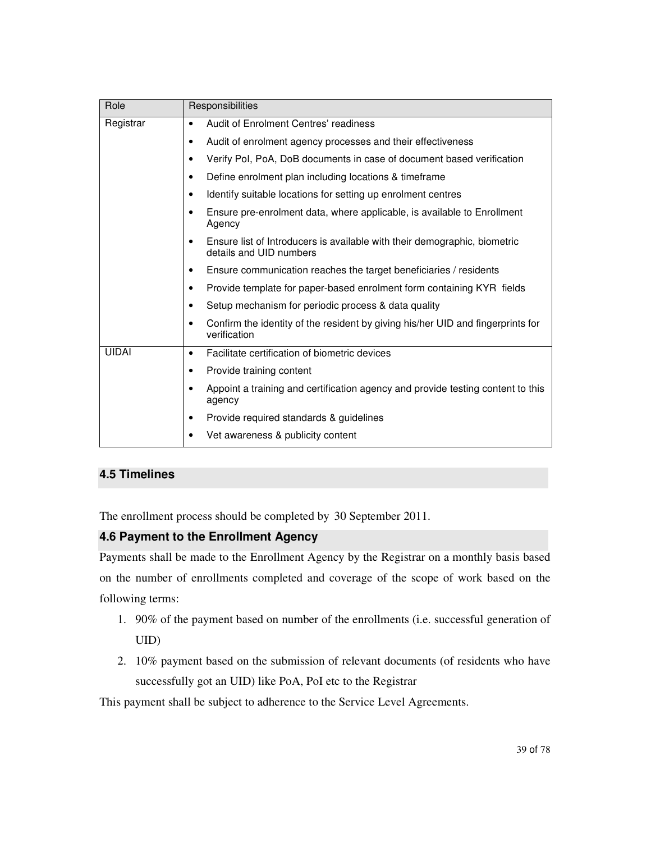| Role         | Responsibilities                                                                                     |
|--------------|------------------------------------------------------------------------------------------------------|
| Registrar    | Audit of Enrolment Centres' readiness<br>$\bullet$                                                   |
|              | Audit of enrolment agency processes and their effectiveness<br>٠                                     |
|              | Verify Pol, PoA, DoB documents in case of document based verification<br>٠                           |
|              | Define enrolment plan including locations & timeframe<br>٠                                           |
|              | Identify suitable locations for setting up enrolment centres<br>٠                                    |
|              | Ensure pre-enrolment data, where applicable, is available to Enrollment<br>Agency                    |
|              | Ensure list of Introducers is available with their demographic, biometric<br>details and UID numbers |
|              | Ensure communication reaches the target beneficiaries / residents<br>٠                               |
|              | Provide template for paper-based enrolment form containing KYR fields<br>٠                           |
|              | Setup mechanism for periodic process & data quality<br>٠                                             |
|              | Confirm the identity of the resident by giving his/her UID and fingerprints for<br>٠<br>verification |
| <b>UIDAI</b> | Facilitate certification of biometric devices<br>$\bullet$                                           |
|              | Provide training content<br>٠                                                                        |
|              | Appoint a training and certification agency and provide testing content to this<br>agency            |
|              | Provide required standards & guidelines<br>٠                                                         |
|              | Vet awareness & publicity content                                                                    |

### **4.5 Timelines**

The enrollment process should be completed by 30 September 2011.

### **4.6 Payment to the Enrollment Agency**

Payments shall be made to the Enrollment Agency by the Registrar on a monthly basis based on the number of enrollments completed and coverage of the scope of work based on the following terms:

- 1. 90% of the payment based on number of the enrollments (i.e. successful generation of UID)
- 2. 10% payment based on the submission of relevant documents (of residents who have successfully got an UID) like PoA, PoI etc to the Registrar

This payment shall be subject to adherence to the Service Level Agreements.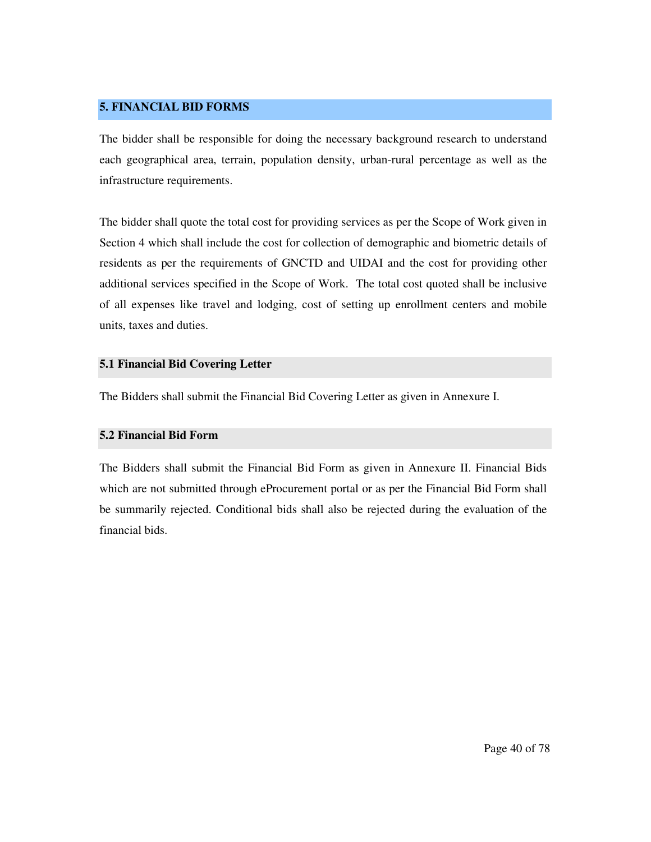#### **5. FINANCIAL BID FORMS**

The bidder shall be responsible for doing the necessary background research to understand each geographical area, terrain, population density, urban-rural percentage as well as the infrastructure requirements.

The bidder shall quote the total cost for providing services as per the Scope of Work given in Section 4 which shall include the cost for collection of demographic and biometric details of residents as per the requirements of GNCTD and UIDAI and the cost for providing other additional services specified in the Scope of Work. The total cost quoted shall be inclusive of all expenses like travel and lodging, cost of setting up enrollment centers and mobile units, taxes and duties.

#### **5.1 Financial Bid Covering Letter**

The Bidders shall submit the Financial Bid Covering Letter as given in Annexure I.

### **5.2 Financial Bid Form**

The Bidders shall submit the Financial Bid Form as given in Annexure II. Financial Bids which are not submitted through eProcurement portal or as per the Financial Bid Form shall be summarily rejected. Conditional bids shall also be rejected during the evaluation of the financial bids.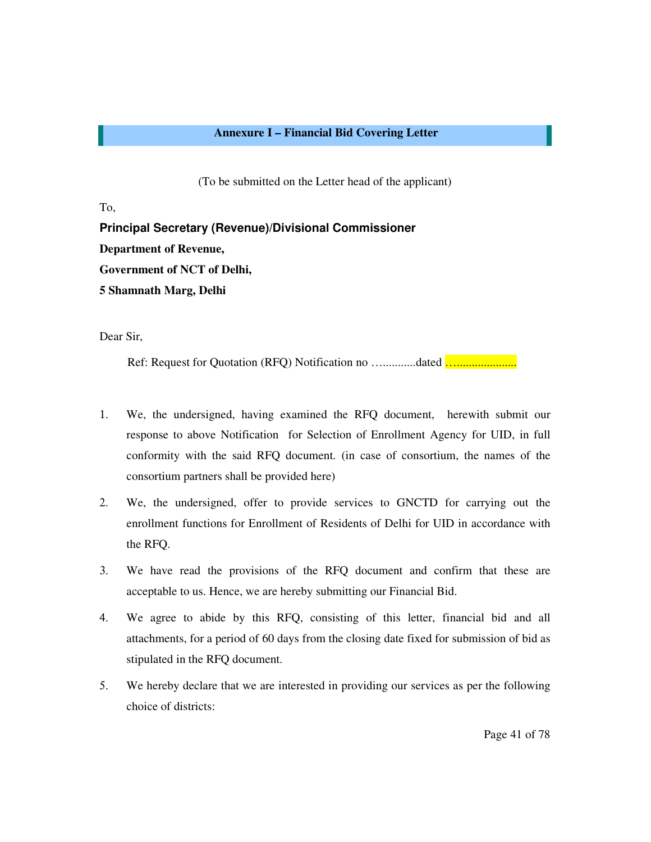#### **Annexure I – Financial Bid Covering Letter**

(To be submitted on the Letter head of the applicant)

To,

**Principal Secretary (Revenue)/Divisional Commissioner Department of Revenue, Government of NCT of Delhi, 5 Shamnath Marg, Delhi** 

Dear Sir,

Ref: Request for Quotation (RFQ) Notification no …...........dated …....................

- 1. We, the undersigned, having examined the RFQ document, herewith submit our response to above Notification for Selection of Enrollment Agency for UID, in full conformity with the said RFQ document. (in case of consortium, the names of the consortium partners shall be provided here)
- 2. We, the undersigned, offer to provide services to GNCTD for carrying out the enrollment functions for Enrollment of Residents of Delhi for UID in accordance with the RFQ.
- 3. We have read the provisions of the RFQ document and confirm that these are acceptable to us. Hence, we are hereby submitting our Financial Bid.
- 4. We agree to abide by this RFQ, consisting of this letter, financial bid and all attachments, for a period of 60 days from the closing date fixed for submission of bid as stipulated in the RFQ document.
- 5. We hereby declare that we are interested in providing our services as per the following choice of districts: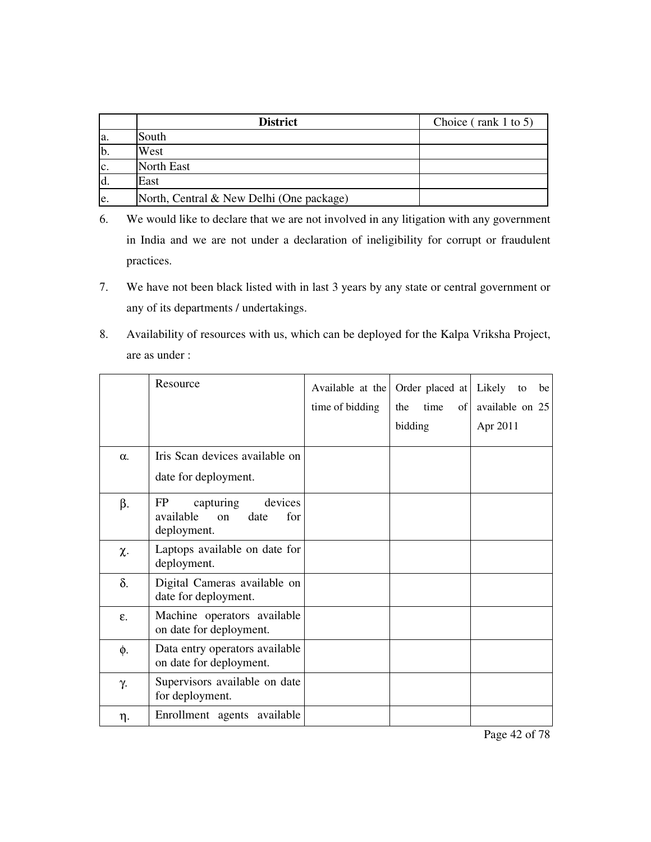|     | <b>District</b>                          | Choice ( $rank 1 to 5$ ) |
|-----|------------------------------------------|--------------------------|
| a.  | South                                    |                          |
| b   | West                                     |                          |
| c.  | <b>North East</b>                        |                          |
| d.  | East                                     |                          |
| le. | North, Central & New Delhi (One package) |                          |

- 6. We would like to declare that we are not involved in any litigation with any government in India and we are not under a declaration of ineligibility for corrupt or fraudulent practices.
- 7. We have not been black listed with in last 3 years by any state or central government or any of its departments / undertakings.
- 8. Availability of resources with us, which can be deployed for the Kalpa Vriksha Project, are as under :

|            | Resource                                                                          | Available at the<br>time of bidding | Order placed at<br>time<br>the<br>of<br>bidding | Likely<br>be<br>to<br>available on 25<br>Apr 2011 |
|------------|-----------------------------------------------------------------------------------|-------------------------------------|-------------------------------------------------|---------------------------------------------------|
| $\alpha$ . | Iris Scan devices available on<br>date for deployment.                            |                                     |                                                 |                                                   |
| β.         | FP<br>capturing<br>devices<br>available<br>date<br>for<br>$\alpha$<br>deployment. |                                     |                                                 |                                                   |
| χ.         | Laptops available on date for<br>deployment.                                      |                                     |                                                 |                                                   |
| δ.         | Digital Cameras available on<br>date for deployment.                              |                                     |                                                 |                                                   |
| ε.         | Machine operators available<br>on date for deployment.                            |                                     |                                                 |                                                   |
| φ.         | Data entry operators available<br>on date for deployment.                         |                                     |                                                 |                                                   |
| γ.         | Supervisors available on date<br>for deployment.                                  |                                     |                                                 |                                                   |
| η.         | Enrollment agents available                                                       |                                     |                                                 |                                                   |

Page 42 of 78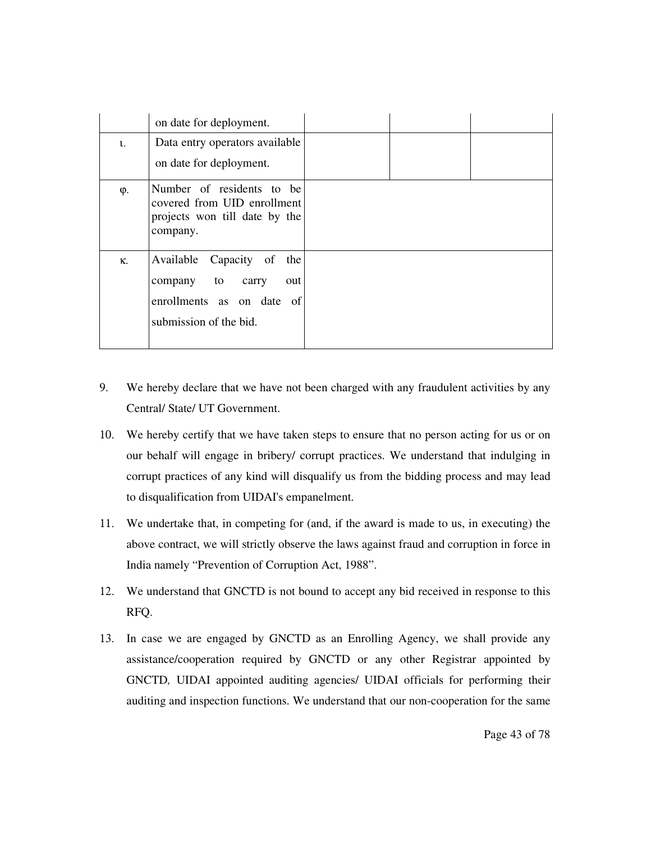|    | on date for deployment.                                                                                     |  |  |
|----|-------------------------------------------------------------------------------------------------------------|--|--|
| l. | Data entry operators available                                                                              |  |  |
|    | on date for deployment.                                                                                     |  |  |
| φ. | Number of residents to be<br>covered from UID enrollment<br>projects won till date by the<br>company.       |  |  |
| κ. | Available Capacity of the<br>company to carry<br>out<br>enrollments as on date of<br>submission of the bid. |  |  |

- 9. We hereby declare that we have not been charged with any fraudulent activities by any Central/ State/ UT Government.
- 10. We hereby certify that we have taken steps to ensure that no person acting for us or on our behalf will engage in bribery/ corrupt practices. We understand that indulging in corrupt practices of any kind will disqualify us from the bidding process and may lead to disqualification from UIDAI's empanelment.
- 11. We undertake that, in competing for (and, if the award is made to us, in executing) the above contract, we will strictly observe the laws against fraud and corruption in force in India namely "Prevention of Corruption Act, 1988".
- 12. We understand that GNCTD is not bound to accept any bid received in response to this RFQ.
- 13. In case we are engaged by GNCTD as an Enrolling Agency, we shall provide any assistance/cooperation required by GNCTD or any other Registrar appointed by GNCTD*,* UIDAI appointed auditing agencies/ UIDAI officials for performing their auditing and inspection functions. We understand that our non-cooperation for the same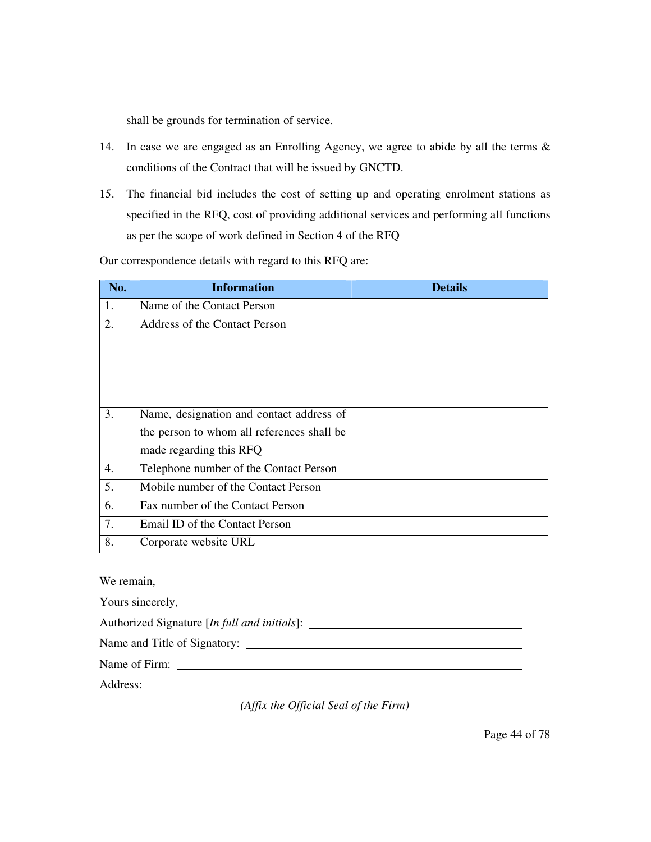shall be grounds for termination of service.

- 14. In case we are engaged as an Enrolling Agency, we agree to abide by all the terms & conditions of the Contract that will be issued by GNCTD.
- 15. The financial bid includes the cost of setting up and operating enrolment stations as specified in the RFQ, cost of providing additional services and performing all functions as per the scope of work defined in Section 4 of the RFQ

Our correspondence details with regard to this RFQ are:

| No. | <b>Information</b>                         | <b>Details</b> |  |  |
|-----|--------------------------------------------|----------------|--|--|
| 1.  | Name of the Contact Person                 |                |  |  |
| 2.  | Address of the Contact Person              |                |  |  |
|     |                                            |                |  |  |
| 3.  | Name, designation and contact address of   |                |  |  |
|     | the person to whom all references shall be |                |  |  |
|     | made regarding this RFQ                    |                |  |  |
| 4.  | Telephone number of the Contact Person     |                |  |  |
| 5.  | Mobile number of the Contact Person        |                |  |  |
| 6.  | Fax number of the Contact Person           |                |  |  |
| 7.  | Email ID of the Contact Person             |                |  |  |
| 8.  | Corporate website URL                      |                |  |  |

We remain,

Yours sincerely,

Authorized Signature [*In full and initials*]:

Name and Title of Signatory:

Name of Firm:

Address:

*(Affix the Official Seal of the Firm)*

Page 44 of 78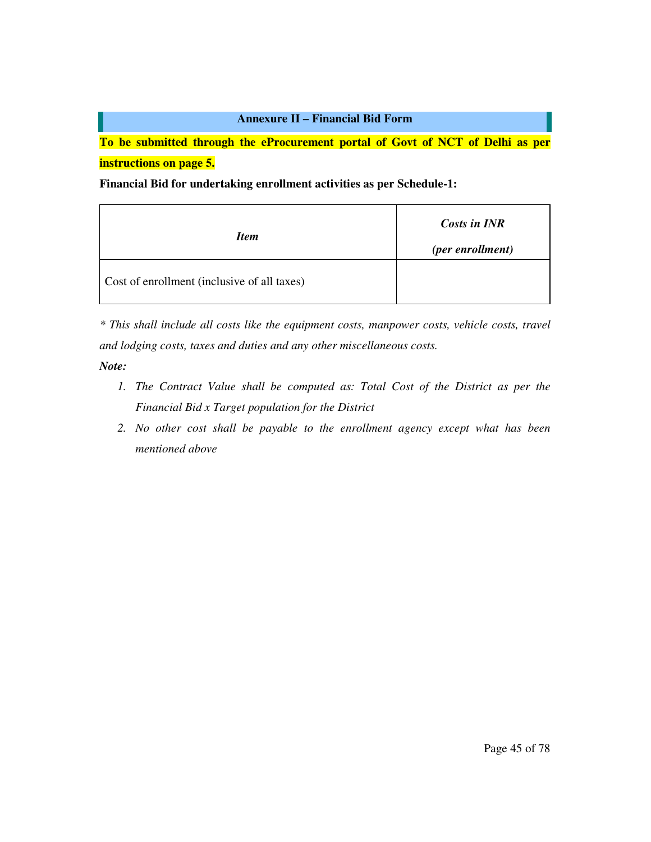**To be submitted through the eProcurement portal of Govt of NCT of Delhi as per instructions on page 5.** 

**Financial Bid for undertaking enrollment activities as per Schedule-1:** 

| <b>Item</b>                                 | Costs in INR<br>(per enrollment) |
|---------------------------------------------|----------------------------------|
| Cost of enrollment (inclusive of all taxes) |                                  |

*\* This shall include all costs like the equipment costs, manpower costs, vehicle costs, travel and lodging costs, taxes and duties and any other miscellaneous costs.* 

*Note:* 

- *1. The Contract Value shall be computed as: Total Cost of the District as per the Financial Bid x Target population for the District*
- *2. No other cost shall be payable to the enrollment agency except what has been mentioned above*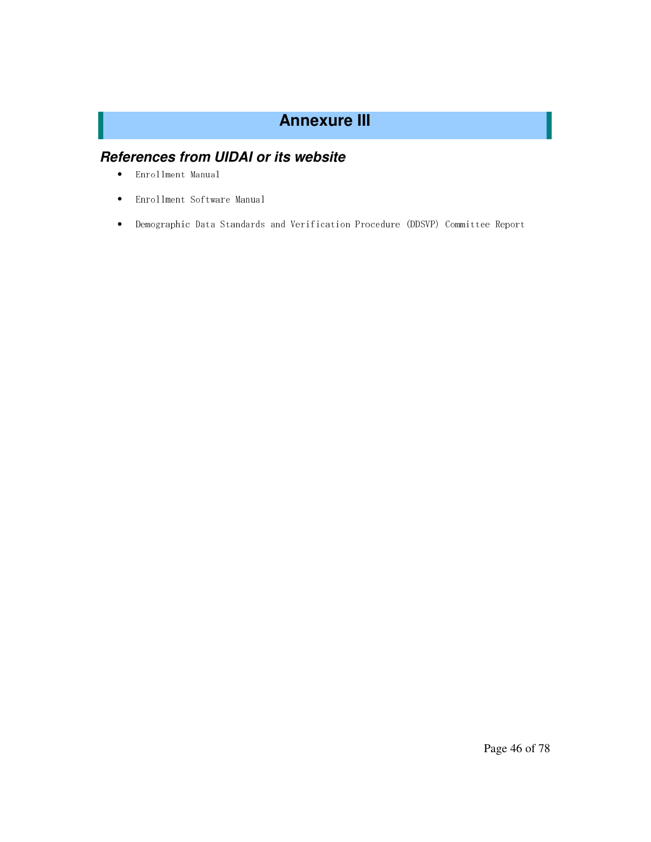# **Annexure III**

# **References from UIDAI or its website**

- Enrollment Manual
- Enrollment Software Manual
- Demographic Data Standards and Verification Procedure (DDSVP) Committee Report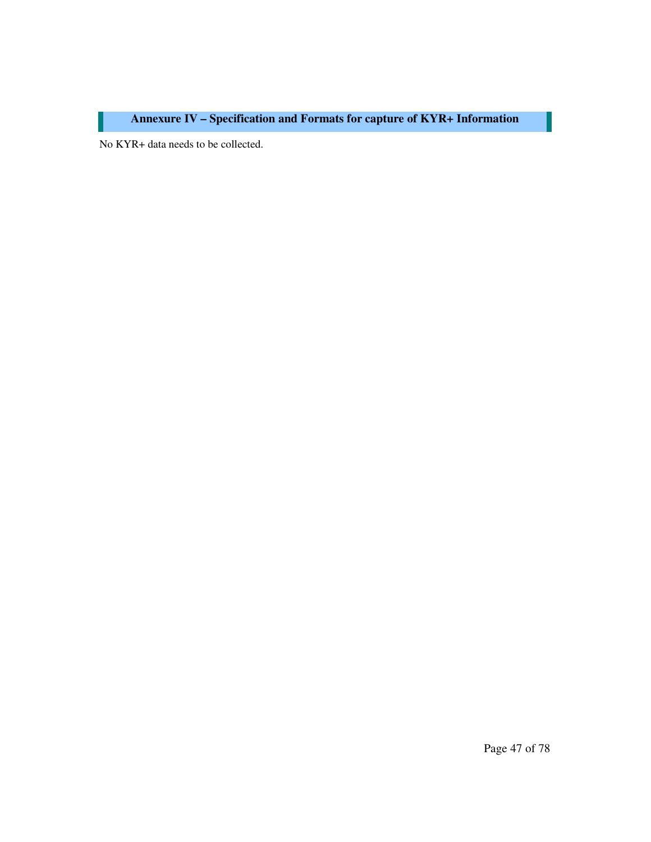# **Annexure IV – Specification and Formats for capture of KYR+ Information**

No KYR+ data needs to be collected.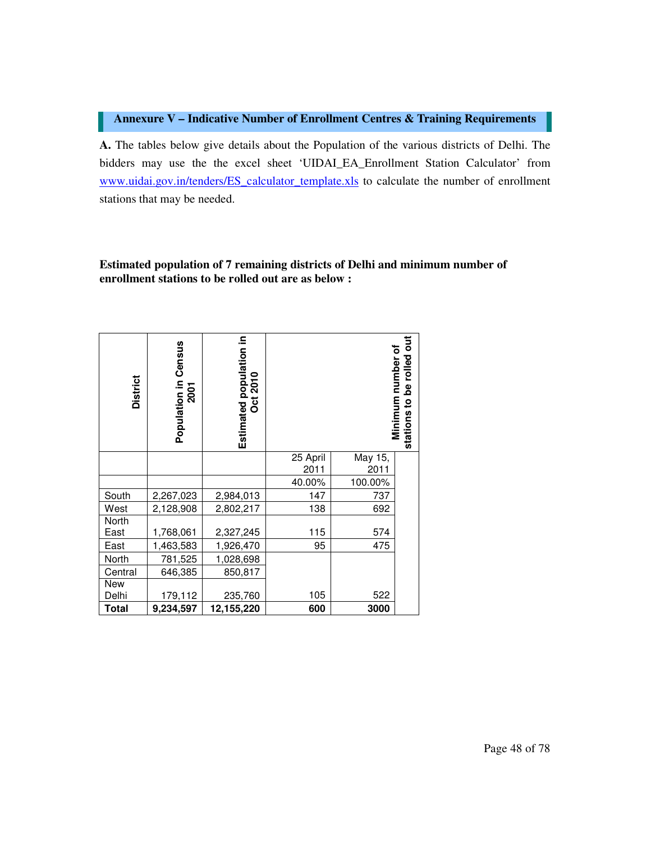#### **Annexure V – Indicative Number of Enrollment Centres & Training Requirements**

**A.** The tables below give details about the Population of the various districts of Delhi. The bidders may use the the excel sheet 'UIDAI\_EA\_Enrollment Station Calculator' from www.uidai.gov.in/tenders/ES\_calculator\_template.xls to calculate the number of enrollment stations that may be needed.

#### **Estimated population of 7 remaining districts of Delhi and minimum number of enrollment stations to be rolled out are as below :**

| <b>District</b> | Population in Census<br>2001 | Estimated population in<br>Oct 2010 |          |         | Minimum number of<br>ations to be rolled out<br>$\overline{8}$<br>stations |
|-----------------|------------------------------|-------------------------------------|----------|---------|----------------------------------------------------------------------------|
|                 |                              |                                     | 25 April | May 15, |                                                                            |
|                 |                              |                                     | 2011     | 2011    |                                                                            |
|                 |                              |                                     | 40.00%   | 100.00% |                                                                            |
| South           | 2,267,023                    | 2,984,013                           | 147      | 737     |                                                                            |
| West            | 2,128,908                    | 2,802,217                           | 138      | 692     |                                                                            |
| North           |                              |                                     |          |         |                                                                            |
| East            | 1,768,061                    | 2,327,245                           | 115      | 574     |                                                                            |
| East            | 1,463,583                    | 1,926,470                           | 95       | 475     |                                                                            |
| North           | 781,525                      | 1,028,698                           |          |         |                                                                            |
| Central         | 646,385                      | 850,817                             |          |         |                                                                            |
| New             |                              |                                     |          |         |                                                                            |
| Delhi           | 179,112                      | 235,760                             | 105      | 522     |                                                                            |
| <b>Total</b>    | 9,234,597                    | 12,155,220                          | 600      | 3000    |                                                                            |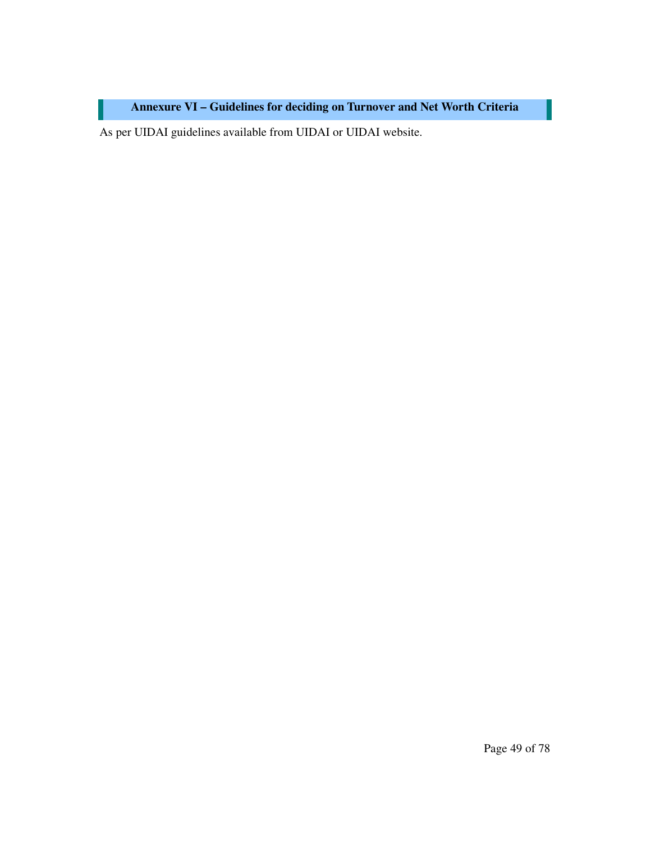**Annexure VI – Guidelines for deciding on Turnover and Net Worth Criteria** 

As per UIDAI guidelines available from UIDAI or UIDAI website.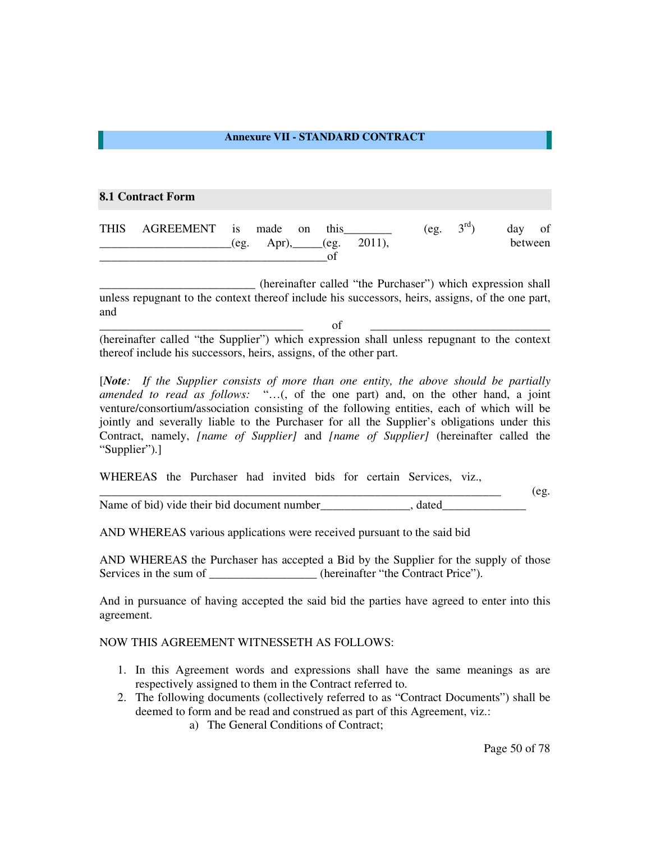#### **Annexure VII - STANDARD CONTRACT**

#### **8.1 Contract Form**

| THIS AGREEMENT is made on |      |  | this |                   | (eg. | $3^{\rm rd}$ ) | day of  |
|---------------------------|------|--|------|-------------------|------|----------------|---------|
|                           | (eg. |  |      | Apr), (eg. 2011), |      |                | between |
|                           |      |  |      |                   |      |                |         |

(hereinafter called "the Purchaser") which expression shall unless repugnant to the context thereof include his successors, heirs, assigns, of the one part, and

\_\_\_\_\_\_\_\_\_\_\_\_\_\_\_\_\_\_\_\_\_\_\_\_\_\_\_\_\_\_\_\_\_\_ of \_\_\_\_\_\_\_\_\_\_\_\_\_\_\_\_\_\_\_\_\_\_\_\_\_\_\_\_\_\_ (hereinafter called "the Supplier") which expression shall unless repugnant to the context thereof include his successors, heirs, assigns, of the other part.

[*Note: If the Supplier consists of more than one entity, the above should be partially amended to read as follows:* "…(, of the one part) and, on the other hand, a joint venture/consortium/association consisting of the following entities, each of which will be jointly and severally liable to the Purchaser for all the Supplier's obligations under this Contract, namely, *[name of Supplier]* and *[name of Supplier]* (hereinafter called the "Supplier").]

WHEREAS the Purchaser had invited bids for certain Services, viz.,

 $\qquad \qquad \text{ (eg.}$ Name of bid) vide their bid document number , dated

AND WHEREAS various applications were received pursuant to the said bid

AND WHEREAS the Purchaser has accepted a Bid by the Supplier for the supply of those Services in the sum of \_\_\_\_\_\_\_\_\_\_\_\_\_\_\_\_\_\_(hereinafter "the Contract Price").

And in pursuance of having accepted the said bid the parties have agreed to enter into this agreement.

#### NOW THIS AGREEMENT WITNESSETH AS FOLLOWS:

- 1. In this Agreement words and expressions shall have the same meanings as are respectively assigned to them in the Contract referred to.
- 2. The following documents (collectively referred to as "Contract Documents") shall be deemed to form and be read and construed as part of this Agreement, viz.:
	- a) The General Conditions of Contract;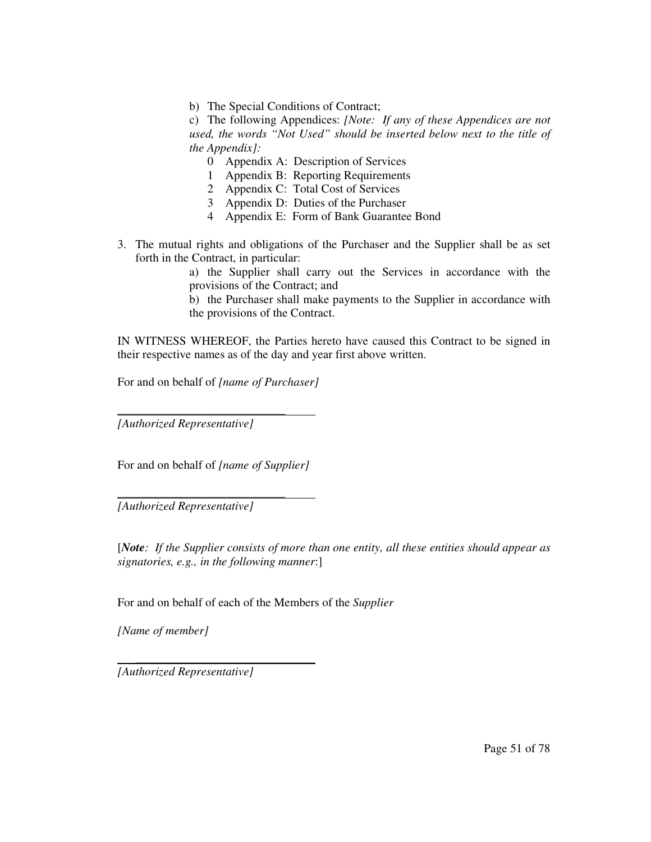b) The Special Conditions of Contract;

c) The following Appendices: *[Note: If any of these Appendices are not used, the words "Not Used" should be inserted below next to the title of the Appendix]:* 

- 0 Appendix A: Description of Services
- 1 Appendix B: Reporting Requirements
- 2 Appendix C: Total Cost of Services
- 3 Appendix D: Duties of the Purchaser
- 4 Appendix E: Form of Bank Guarantee Bond
- 3. The mutual rights and obligations of the Purchaser and the Supplier shall be as set forth in the Contract, in particular:

a) the Supplier shall carry out the Services in accordance with the provisions of the Contract; and

b) the Purchaser shall make payments to the Supplier in accordance with the provisions of the Contract.

IN WITNESS WHEREOF, the Parties hereto have caused this Contract to be signed in their respective names as of the day and year first above written.

For and on behalf of *[name of Purchaser]* 

*[Authorized Representative]* 

\_\_\_\_\_\_\_\_\_\_\_\_\_\_\_\_\_\_\_\_\_\_\_\_\_\_\_\_

\_\_\_\_\_\_\_\_\_\_\_\_\_\_\_\_\_\_\_\_\_\_\_\_\_\_\_\_

For and on behalf of *[name of Supplier]* 

*[Authorized Representative]* 

[*Note: If the Supplier consists of more than one entity, all these entities should appear as signatories, e.g., in the following manner*:]

For and on behalf of each of the Members of the *Supplier* 

*[Name of member]* 

*[Authorized Representative]* 

 $\overline{\phantom{a}}$  , which is a set of the set of the set of the set of the set of the set of the set of the set of the set of the set of the set of the set of the set of the set of the set of the set of the set of the set of th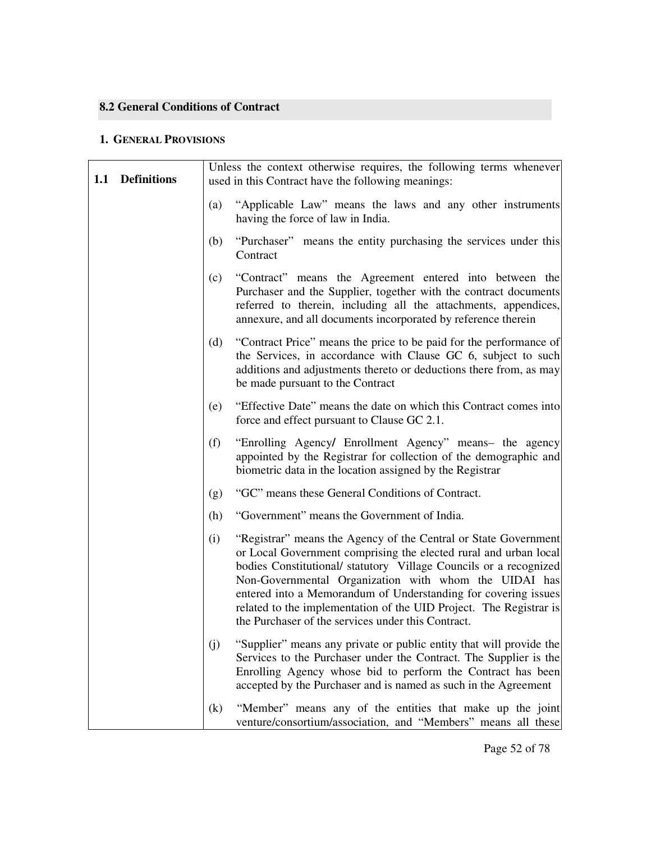### **8.2 General Conditions of Contract**

#### **1. GENERAL PROVISIONS**

| 1.1 | <b>Definitions</b> | Unless the context otherwise requires, the following terms whenever<br>used in this Contract have the following meanings: |                                                                                                                                                                                                                                                                                                                                                                                                                                                                 |  |  |
|-----|--------------------|---------------------------------------------------------------------------------------------------------------------------|-----------------------------------------------------------------------------------------------------------------------------------------------------------------------------------------------------------------------------------------------------------------------------------------------------------------------------------------------------------------------------------------------------------------------------------------------------------------|--|--|
|     |                    | (a)                                                                                                                       | "Applicable Law" means the laws and any other instruments<br>having the force of law in India.                                                                                                                                                                                                                                                                                                                                                                  |  |  |
|     |                    | (b)                                                                                                                       | "Purchaser" means the entity purchasing the services under this<br>Contract                                                                                                                                                                                                                                                                                                                                                                                     |  |  |
|     |                    | (c)                                                                                                                       | "Contract" means the Agreement entered into between the<br>Purchaser and the Supplier, together with the contract documents<br>referred to therein, including all the attachments, appendices,<br>annexure, and all documents incorporated by reference therein                                                                                                                                                                                                 |  |  |
|     |                    | (d)                                                                                                                       | "Contract Price" means the price to be paid for the performance of<br>the Services, in accordance with Clause GC 6, subject to such<br>additions and adjustments thereto or deductions there from, as may<br>be made pursuant to the Contract                                                                                                                                                                                                                   |  |  |
|     |                    | (e)                                                                                                                       | "Effective Date" means the date on which this Contract comes into<br>force and effect pursuant to Clause GC 2.1.                                                                                                                                                                                                                                                                                                                                                |  |  |
|     |                    | (f)                                                                                                                       | "Enrolling Agency/ Enrollment Agency" means- the agency<br>appointed by the Registrar for collection of the demographic and<br>biometric data in the location assigned by the Registrar                                                                                                                                                                                                                                                                         |  |  |
|     |                    | (g)                                                                                                                       | "GC" means these General Conditions of Contract.                                                                                                                                                                                                                                                                                                                                                                                                                |  |  |
|     |                    | (h)                                                                                                                       | "Government" means the Government of India.                                                                                                                                                                                                                                                                                                                                                                                                                     |  |  |
|     |                    | (i)                                                                                                                       | "Registrar" means the Agency of the Central or State Government<br>or Local Government comprising the elected rural and urban local<br>bodies Constitutional/ statutory Village Councils or a recognized<br>Non-Governmental Organization with whom the UIDAI has<br>entered into a Memorandum of Understanding for covering issues<br>related to the implementation of the UID Project. The Registrar is<br>the Purchaser of the services under this Contract. |  |  |
|     |                    | (i)                                                                                                                       | "Supplier" means any private or public entity that will provide the<br>Services to the Purchaser under the Contract. The Supplier is the<br>Enrolling Agency whose bid to perform the Contract has been<br>accepted by the Purchaser and is named as such in the Agreement                                                                                                                                                                                      |  |  |
|     |                    | $\left( k\right)$                                                                                                         | "Member" means any of the entities that make up the joint<br>venture/consortium/association, and "Members" means all these                                                                                                                                                                                                                                                                                                                                      |  |  |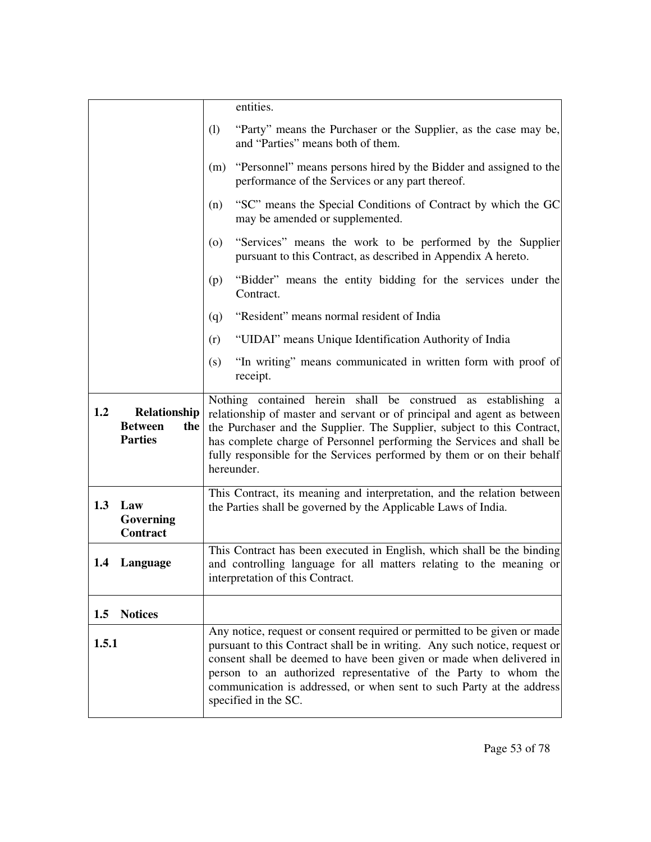|       |                                                         | entities.                                                                                                                                                                                                                                                                                                                                                                                          |
|-------|---------------------------------------------------------|----------------------------------------------------------------------------------------------------------------------------------------------------------------------------------------------------------------------------------------------------------------------------------------------------------------------------------------------------------------------------------------------------|
|       |                                                         | (1)<br>"Party" means the Purchaser or the Supplier, as the case may be,<br>and "Parties" means both of them.                                                                                                                                                                                                                                                                                       |
|       |                                                         | "Personnel" means persons hired by the Bidder and assigned to the<br>(m)<br>performance of the Services or any part thereof.                                                                                                                                                                                                                                                                       |
|       |                                                         | "SC" means the Special Conditions of Contract by which the GC<br>(n)<br>may be amended or supplemented.                                                                                                                                                                                                                                                                                            |
|       |                                                         | "Services" means the work to be performed by the Supplier<br>(0)<br>pursuant to this Contract, as described in Appendix A hereto.                                                                                                                                                                                                                                                                  |
|       |                                                         | "Bidder" means the entity bidding for the services under the<br>(p)<br>Contract.                                                                                                                                                                                                                                                                                                                   |
|       |                                                         | "Resident" means normal resident of India<br>(q)                                                                                                                                                                                                                                                                                                                                                   |
|       |                                                         | "UIDAI" means Unique Identification Authority of India<br>(r)                                                                                                                                                                                                                                                                                                                                      |
|       |                                                         | "In writing" means communicated in written form with proof of<br>(s)<br>receipt.                                                                                                                                                                                                                                                                                                                   |
| 1.2   | Relationship<br><b>Between</b><br>the<br><b>Parties</b> | Nothing contained herein shall be construed as establishing a<br>relationship of master and servant or of principal and agent as between<br>the Purchaser and the Supplier. The Supplier, subject to this Contract,<br>has complete charge of Personnel performing the Services and shall be<br>fully responsible for the Services performed by them or on their behalf<br>hereunder.              |
| 1.3   | Law<br>Governing<br><b>Contract</b>                     | This Contract, its meaning and interpretation, and the relation between<br>the Parties shall be governed by the Applicable Laws of India.                                                                                                                                                                                                                                                          |
| 1.4   | Language                                                | This Contract has been executed in English, which shall be the binding<br>and controlling language for all matters relating to the meaning or<br>interpretation of this Contract.                                                                                                                                                                                                                  |
| 1.5   | <b>Notices</b>                                          |                                                                                                                                                                                                                                                                                                                                                                                                    |
| 1.5.1 |                                                         | Any notice, request or consent required or permitted to be given or made<br>pursuant to this Contract shall be in writing. Any such notice, request or<br>consent shall be deemed to have been given or made when delivered in<br>person to an authorized representative of the Party to whom the<br>communication is addressed, or when sent to such Party at the address<br>specified in the SC. |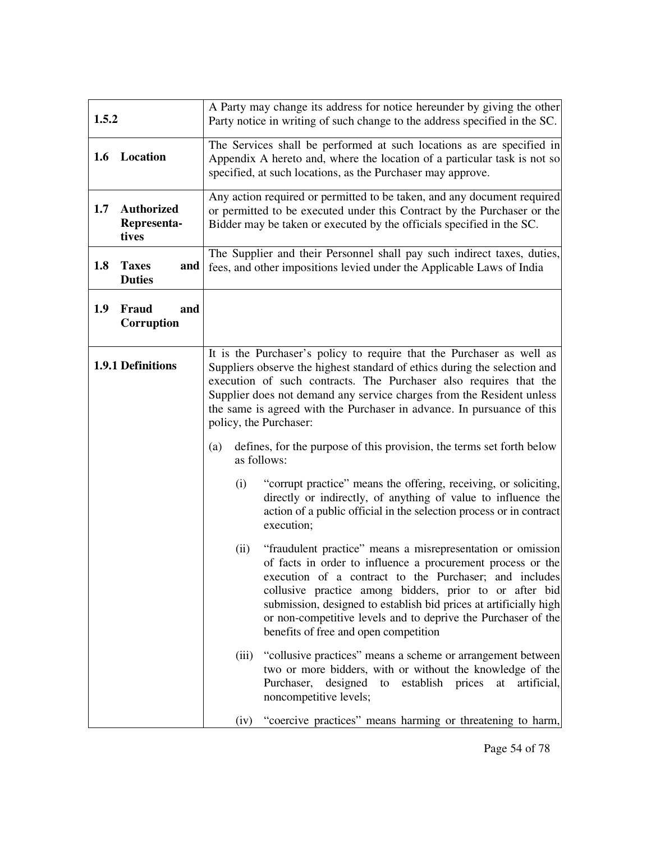| 1.5.2 |                                           | A Party may change its address for notice hereunder by giving the other<br>Party notice in writing of such change to the address specified in the SC.                                                                                                                                                                                                                                                                                  |
|-------|-------------------------------------------|----------------------------------------------------------------------------------------------------------------------------------------------------------------------------------------------------------------------------------------------------------------------------------------------------------------------------------------------------------------------------------------------------------------------------------------|
|       | 1.6 Location                              | The Services shall be performed at such locations as are specified in<br>Appendix A hereto and, where the location of a particular task is not so<br>specified, at such locations, as the Purchaser may approve.                                                                                                                                                                                                                       |
| 1.7   | <b>Authorized</b><br>Representa-<br>tives | Any action required or permitted to be taken, and any document required<br>or permitted to be executed under this Contract by the Purchaser or the<br>Bidder may be taken or executed by the officials specified in the SC.                                                                                                                                                                                                            |
| 1.8   | <b>Taxes</b><br>and<br><b>Duties</b>      | The Supplier and their Personnel shall pay such indirect taxes, duties,<br>fees, and other impositions levied under the Applicable Laws of India                                                                                                                                                                                                                                                                                       |
| 1.9   | Fraud<br>and<br>Corruption                |                                                                                                                                                                                                                                                                                                                                                                                                                                        |
|       | 1.9.1 Definitions                         | It is the Purchaser's policy to require that the Purchaser as well as<br>Suppliers observe the highest standard of ethics during the selection and<br>execution of such contracts. The Purchaser also requires that the<br>Supplier does not demand any service charges from the Resident unless<br>the same is agreed with the Purchaser in advance. In pursuance of this<br>policy, the Purchaser:                                   |
|       |                                           | defines, for the purpose of this provision, the terms set forth below<br>(a)<br>as follows:                                                                                                                                                                                                                                                                                                                                            |
|       |                                           | "corrupt practice" means the offering, receiving, or soliciting,<br>(i)<br>directly or indirectly, of anything of value to influence the<br>action of a public official in the selection process or in contract<br>execution;                                                                                                                                                                                                          |
|       |                                           | "fraudulent practice" means a misrepresentation or omission<br>(ii)<br>of facts in order to influence a procurement process or the<br>execution of a contract to the Purchaser; and includes<br>collusive practice among bidders, prior to or after bid<br>submission, designed to establish bid prices at artificially high<br>or non-competitive levels and to deprive the Purchaser of the<br>benefits of free and open competition |
|       |                                           | "collusive practices" means a scheme or arrangement between<br>(iii)<br>two or more bidders, with or without the knowledge of the<br>Purchaser,<br>designed<br>establish prices<br>to<br>artificial,<br>at<br>noncompetitive levels;                                                                                                                                                                                                   |
|       |                                           | "coercive practices" means harming or threatening to harm,<br>(iv)                                                                                                                                                                                                                                                                                                                                                                     |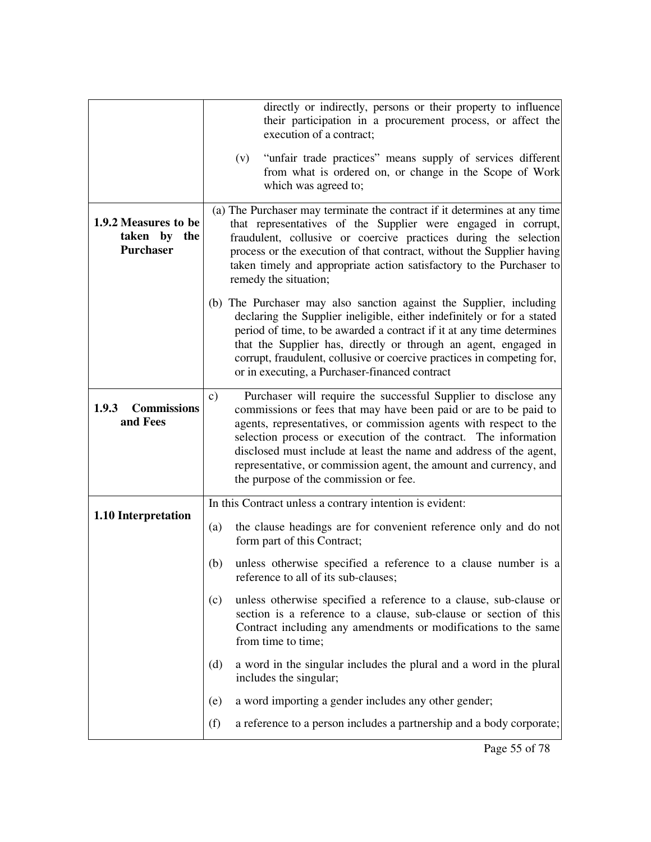|                                                          | directly or indirectly, persons or their property to influence<br>their participation in a procurement process, or affect the<br>execution of a contract;                                                                                                                                                                                                                                                                                                                       |
|----------------------------------------------------------|---------------------------------------------------------------------------------------------------------------------------------------------------------------------------------------------------------------------------------------------------------------------------------------------------------------------------------------------------------------------------------------------------------------------------------------------------------------------------------|
|                                                          | "unfair trade practices" means supply of services different<br>(v)<br>from what is ordered on, or change in the Scope of Work<br>which was agreed to;                                                                                                                                                                                                                                                                                                                           |
| 1.9.2 Measures to be<br>taken by the<br><b>Purchaser</b> | (a) The Purchaser may terminate the contract if it determines at any time<br>that representatives of the Supplier were engaged in corrupt,<br>fraudulent, collusive or coercive practices during the selection<br>process or the execution of that contract, without the Supplier having<br>taken timely and appropriate action satisfactory to the Purchaser to<br>remedy the situation;                                                                                       |
|                                                          | (b) The Purchaser may also sanction against the Supplier, including<br>declaring the Supplier ineligible, either indefinitely or for a stated<br>period of time, to be awarded a contract if it at any time determines<br>that the Supplier has, directly or through an agent, engaged in<br>corrupt, fraudulent, collusive or coercive practices in competing for,<br>or in executing, a Purchaser-financed contract                                                           |
| <b>Commissions</b><br>1.9.3<br>and Fees                  | Purchaser will require the successful Supplier to disclose any<br>$\mathbf{c})$<br>commissions or fees that may have been paid or are to be paid to<br>agents, representatives, or commission agents with respect to the<br>selection process or execution of the contract. The information<br>disclosed must include at least the name and address of the agent,<br>representative, or commission agent, the amount and currency, and<br>the purpose of the commission or fee. |
|                                                          | In this Contract unless a contrary intention is evident:                                                                                                                                                                                                                                                                                                                                                                                                                        |
| 1.10 Interpretation                                      | the clause headings are for convenient reference only and do not<br>(a)<br>form part of this Contract;                                                                                                                                                                                                                                                                                                                                                                          |
|                                                          | unless otherwise specified a reference to a clause number is a<br>(b)<br>reference to all of its sub-clauses;                                                                                                                                                                                                                                                                                                                                                                   |
|                                                          | unless otherwise specified a reference to a clause, sub-clause or<br>(c)<br>section is a reference to a clause, sub-clause or section of this<br>Contract including any amendments or modifications to the same<br>from time to time;                                                                                                                                                                                                                                           |
|                                                          | a word in the singular includes the plural and a word in the plural<br>(d)<br>includes the singular;                                                                                                                                                                                                                                                                                                                                                                            |
|                                                          | a word importing a gender includes any other gender;<br>(e)                                                                                                                                                                                                                                                                                                                                                                                                                     |
|                                                          | (f)<br>a reference to a person includes a partnership and a body corporate;                                                                                                                                                                                                                                                                                                                                                                                                     |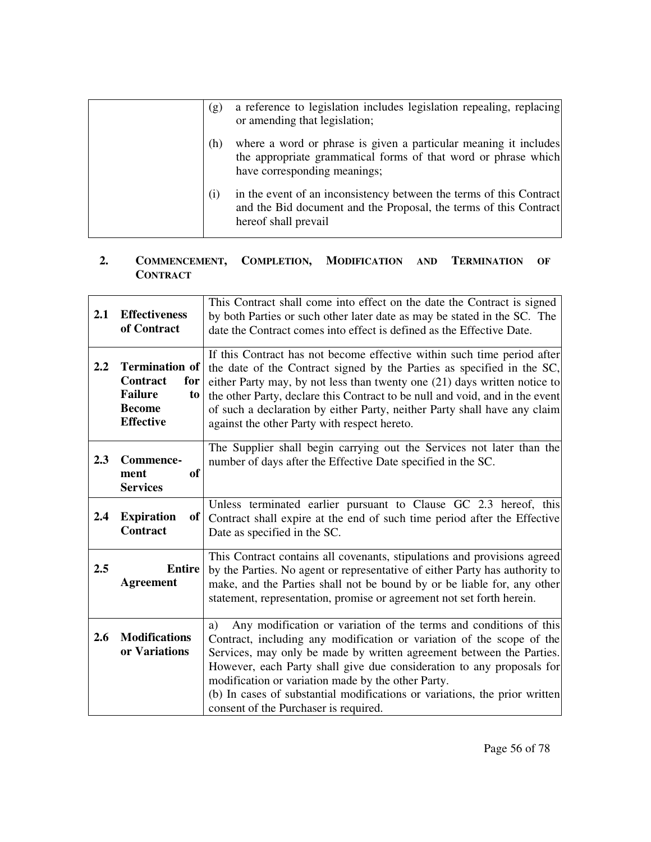| (g) | a reference to legislation includes legislation repealing, replacing<br>or amending that legislation;                                                              |
|-----|--------------------------------------------------------------------------------------------------------------------------------------------------------------------|
| (h) | where a word or phrase is given a particular meaning it includes<br>the appropriate grammatical forms of that word or phrase which<br>have corresponding meanings; |
| (i) | in the event of an inconsistency between the terms of this Contract<br>and the Bid document and the Proposal, the terms of this Contract<br>hereof shall prevail   |

### **2. COMMENCEMENT, COMPLETION, MODIFICATION AND TERMINATION OF CONTRACT**

| 2.1 | <b>Effectiveness</b><br>of Contract                                                                   | This Contract shall come into effect on the date the Contract is signed<br>by both Parties or such other later date as may be stated in the SC. The<br>date the Contract comes into effect is defined as the Effective Date.                                                                                                                                                                                                                                                   |
|-----|-------------------------------------------------------------------------------------------------------|--------------------------------------------------------------------------------------------------------------------------------------------------------------------------------------------------------------------------------------------------------------------------------------------------------------------------------------------------------------------------------------------------------------------------------------------------------------------------------|
| 2.2 | <b>Termination of</b><br>Contract<br>for<br><b>Failure</b><br>to<br><b>Become</b><br><b>Effective</b> | If this Contract has not become effective within such time period after<br>the date of the Contract signed by the Parties as specified in the SC,<br>either Party may, by not less than twenty one (21) days written notice to<br>the other Party, declare this Contract to be null and void, and in the event<br>of such a declaration by either Party, neither Party shall have any claim<br>against the other Party with respect hereto.                                    |
| 2.3 | Commence-<br><sub>of</sub><br>ment<br><b>Services</b>                                                 | The Supplier shall begin carrying out the Services not later than the<br>number of days after the Effective Date specified in the SC.                                                                                                                                                                                                                                                                                                                                          |
| 2.4 | <b>Expiration</b><br>of<br><b>Contract</b>                                                            | Unless terminated earlier pursuant to Clause GC 2.3 hereof, this<br>Contract shall expire at the end of such time period after the Effective<br>Date as specified in the SC.                                                                                                                                                                                                                                                                                                   |
| 2.5 | <b>Entire</b><br><b>Agreement</b>                                                                     | This Contract contains all covenants, stipulations and provisions agreed<br>by the Parties. No agent or representative of either Party has authority to<br>make, and the Parties shall not be bound by or be liable for, any other<br>statement, representation, promise or agreement not set forth herein.                                                                                                                                                                    |
| 2.6 | <b>Modifications</b><br>or Variations                                                                 | Any modification or variation of the terms and conditions of this<br>a)<br>Contract, including any modification or variation of the scope of the<br>Services, may only be made by written agreement between the Parties.<br>However, each Party shall give due consideration to any proposals for<br>modification or variation made by the other Party.<br>(b) In cases of substantial modifications or variations, the prior written<br>consent of the Purchaser is required. |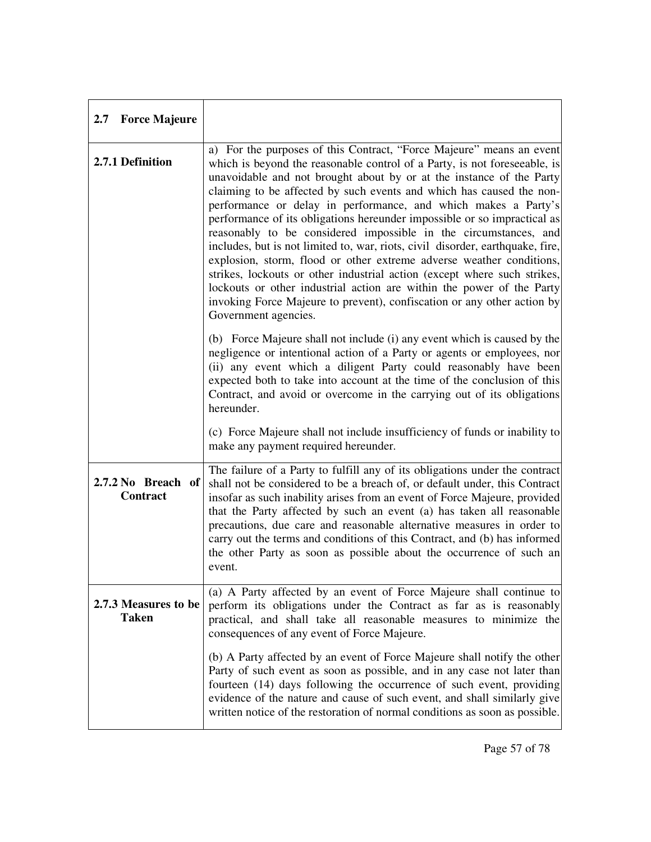| 2.7 Force Majeure                     |                                                                                                                                                                                                                                                                                                                                                                                                                                                                                                                                                                                                                                                                                                                                                                                                                                                                                                                                       |
|---------------------------------------|---------------------------------------------------------------------------------------------------------------------------------------------------------------------------------------------------------------------------------------------------------------------------------------------------------------------------------------------------------------------------------------------------------------------------------------------------------------------------------------------------------------------------------------------------------------------------------------------------------------------------------------------------------------------------------------------------------------------------------------------------------------------------------------------------------------------------------------------------------------------------------------------------------------------------------------|
| 2.7.1 Definition                      | a) For the purposes of this Contract, "Force Majeure" means an event<br>which is beyond the reasonable control of a Party, is not foreseeable, is<br>unavoidable and not brought about by or at the instance of the Party<br>claiming to be affected by such events and which has caused the non-<br>performance or delay in performance, and which makes a Party's<br>performance of its obligations hereunder impossible or so impractical as<br>reasonably to be considered impossible in the circumstances, and<br>includes, but is not limited to, war, riots, civil disorder, earthquake, fire,<br>explosion, storm, flood or other extreme adverse weather conditions,<br>strikes, lockouts or other industrial action (except where such strikes,<br>lockouts or other industrial action are within the power of the Party<br>invoking Force Majeure to prevent), confiscation or any other action by<br>Government agencies. |
|                                       | (b) Force Majeure shall not include (i) any event which is caused by the<br>negligence or intentional action of a Party or agents or employees, nor<br>(ii) any event which a diligent Party could reasonably have been<br>expected both to take into account at the time of the conclusion of this<br>Contract, and avoid or overcome in the carrying out of its obligations<br>hereunder.                                                                                                                                                                                                                                                                                                                                                                                                                                                                                                                                           |
|                                       | (c) Force Majeure shall not include insufficiency of funds or inability to<br>make any payment required hereunder.                                                                                                                                                                                                                                                                                                                                                                                                                                                                                                                                                                                                                                                                                                                                                                                                                    |
| 2.7.2 No Breach of<br><b>Contract</b> | The failure of a Party to fulfill any of its obligations under the contract<br>shall not be considered to be a breach of, or default under, this Contract<br>insofar as such inability arises from an event of Force Majeure, provided<br>that the Party affected by such an event (a) has taken all reasonable<br>precautions, due care and reasonable alternative measures in order to<br>carry out the terms and conditions of this Contract, and (b) has informed<br>the other Party as soon as possible about the occurrence of such an<br>event.                                                                                                                                                                                                                                                                                                                                                                                |
| 2.7.3 Measures to be<br><b>Taken</b>  | (a) A Party affected by an event of Force Majeure shall continue to<br>perform its obligations under the Contract as far as is reasonably<br>practical, and shall take all reasonable measures to minimize the<br>consequences of any event of Force Majeure.                                                                                                                                                                                                                                                                                                                                                                                                                                                                                                                                                                                                                                                                         |
|                                       | (b) A Party affected by an event of Force Majeure shall notify the other<br>Party of such event as soon as possible, and in any case not later than<br>fourteen (14) days following the occurrence of such event, providing<br>evidence of the nature and cause of such event, and shall similarly give<br>written notice of the restoration of normal conditions as soon as possible.                                                                                                                                                                                                                                                                                                                                                                                                                                                                                                                                                |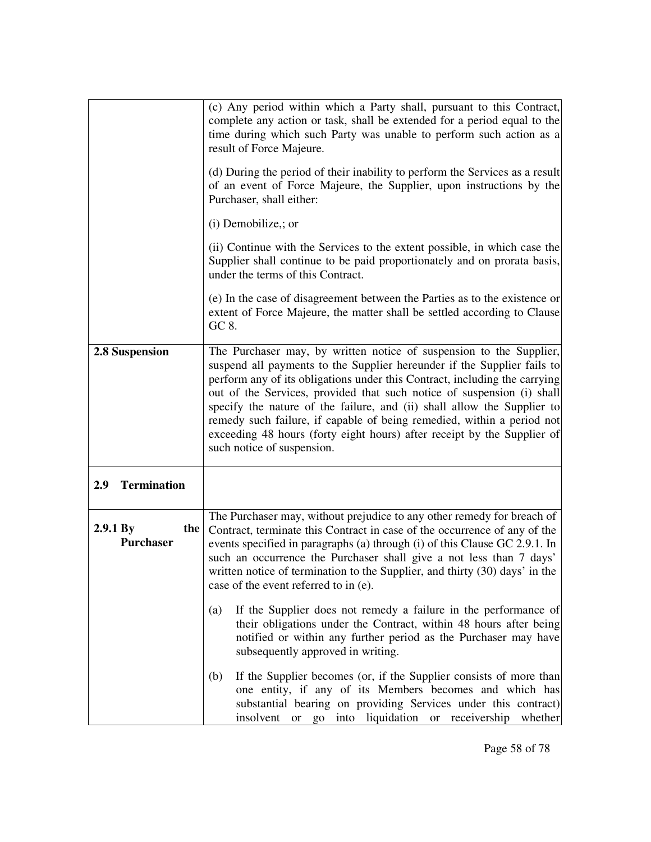|                                     | (c) Any period within which a Party shall, pursuant to this Contract,<br>complete any action or task, shall be extended for a period equal to the<br>time during which such Party was unable to perform such action as a<br>result of Force Majeure.                                                                                                                                                                                                                                                                                                                 |
|-------------------------------------|----------------------------------------------------------------------------------------------------------------------------------------------------------------------------------------------------------------------------------------------------------------------------------------------------------------------------------------------------------------------------------------------------------------------------------------------------------------------------------------------------------------------------------------------------------------------|
|                                     | (d) During the period of their inability to perform the Services as a result<br>of an event of Force Majeure, the Supplier, upon instructions by the<br>Purchaser, shall either:                                                                                                                                                                                                                                                                                                                                                                                     |
|                                     | $(i)$ Demobilize,; or                                                                                                                                                                                                                                                                                                                                                                                                                                                                                                                                                |
|                                     | (ii) Continue with the Services to the extent possible, in which case the<br>Supplier shall continue to be paid proportionately and on prorata basis,<br>under the terms of this Contract.                                                                                                                                                                                                                                                                                                                                                                           |
|                                     | (e) In the case of disagreement between the Parties as to the existence or<br>extent of Force Majeure, the matter shall be settled according to Clause<br>GC 8.                                                                                                                                                                                                                                                                                                                                                                                                      |
| 2.8 Suspension                      | The Purchaser may, by written notice of suspension to the Supplier,<br>suspend all payments to the Supplier hereunder if the Supplier fails to<br>perform any of its obligations under this Contract, including the carrying<br>out of the Services, provided that such notice of suspension (i) shall<br>specify the nature of the failure, and (ii) shall allow the Supplier to<br>remedy such failure, if capable of being remedied, within a period not<br>exceeding 48 hours (forty eight hours) after receipt by the Supplier of<br>such notice of suspension. |
| <b>Termination</b><br>2.9           |                                                                                                                                                                                                                                                                                                                                                                                                                                                                                                                                                                      |
| 2.9.1 By<br>the<br><b>Purchaser</b> | The Purchaser may, without prejudice to any other remedy for breach of<br>Contract, terminate this Contract in case of the occurrence of any of the<br>events specified in paragraphs (a) through (i) of this Clause GC 2.9.1. In<br>such an occurrence the Purchaser shall give a not less than 7 days'<br>written notice of termination to the Supplier, and thirty (30) days' in the<br>case of the event referred to in (e).                                                                                                                                     |
|                                     | If the Supplier does not remedy a failure in the performance of<br>(a)<br>their obligations under the Contract, within 48 hours after being<br>notified or within any further period as the Purchaser may have<br>subsequently approved in writing.                                                                                                                                                                                                                                                                                                                  |
|                                     | If the Supplier becomes (or, if the Supplier consists of more than<br>(b)<br>one entity, if any of its Members becomes and which has<br>substantial bearing on providing Services under this contract)<br>insolvent or go into liquidation or receivership<br>whether                                                                                                                                                                                                                                                                                                |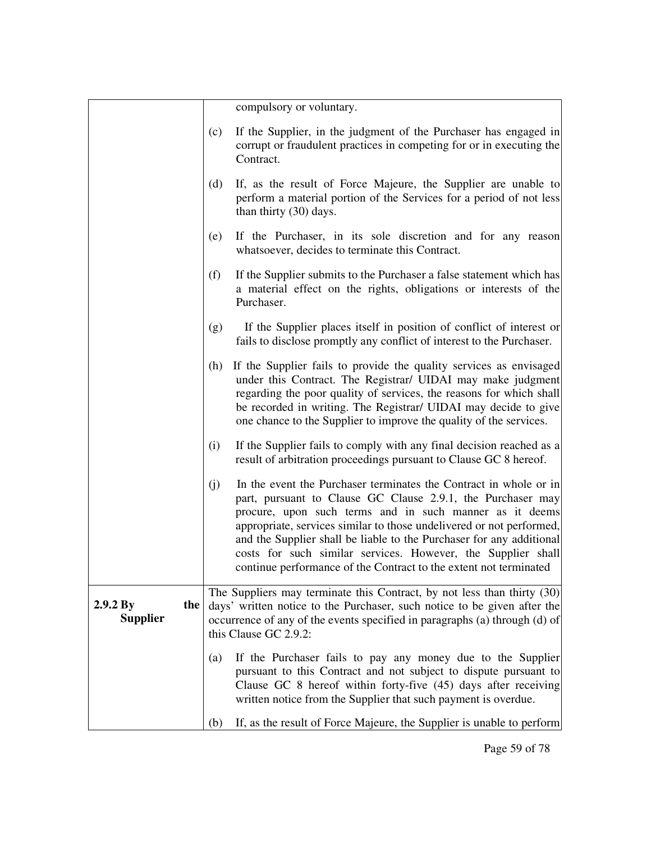|                                    |     | compulsory or voluntary.                                                                                                                                                                                                                                                                                                                                                                                                                                                         |
|------------------------------------|-----|----------------------------------------------------------------------------------------------------------------------------------------------------------------------------------------------------------------------------------------------------------------------------------------------------------------------------------------------------------------------------------------------------------------------------------------------------------------------------------|
|                                    | (c) | If the Supplier, in the judgment of the Purchaser has engaged in<br>corrupt or fraudulent practices in competing for or in executing the<br>Contract.                                                                                                                                                                                                                                                                                                                            |
|                                    | (d) | If, as the result of Force Majeure, the Supplier are unable to<br>perform a material portion of the Services for a period of not less<br>than thirty (30) days.                                                                                                                                                                                                                                                                                                                  |
|                                    | (e) | If the Purchaser, in its sole discretion and for any reason<br>whatsoever, decides to terminate this Contract.                                                                                                                                                                                                                                                                                                                                                                   |
|                                    | (f) | If the Supplier submits to the Purchaser a false statement which has<br>a material effect on the rights, obligations or interests of the<br>Purchaser.                                                                                                                                                                                                                                                                                                                           |
|                                    | (g) | If the Supplier places itself in position of conflict of interest or<br>fails to disclose promptly any conflict of interest to the Purchaser.                                                                                                                                                                                                                                                                                                                                    |
|                                    | (h) | If the Supplier fails to provide the quality services as envisaged<br>under this Contract. The Registrar/ UIDAI may make judgment<br>regarding the poor quality of services, the reasons for which shall<br>be recorded in writing. The Registrar/ UIDAI may decide to give<br>one chance to the Supplier to improve the quality of the services.                                                                                                                                |
|                                    | (i) | If the Supplier fails to comply with any final decision reached as a<br>result of arbitration proceedings pursuant to Clause GC 8 hereof.                                                                                                                                                                                                                                                                                                                                        |
|                                    | (j) | In the event the Purchaser terminates the Contract in whole or in<br>part, pursuant to Clause GC Clause 2.9.1, the Purchaser may<br>procure, upon such terms and in such manner as it deems<br>appropriate, services similar to those undelivered or not performed,<br>and the Supplier shall be liable to the Purchaser for any additional<br>costs for such similar services. However, the Supplier shall<br>continue performance of the Contract to the extent not terminated |
| 2.9.2 By<br>the<br><b>Supplier</b> |     | The Suppliers may terminate this Contract, by not less than thirty (30)<br>days' written notice to the Purchaser, such notice to be given after the<br>occurrence of any of the events specified in paragraphs (a) through (d) of<br>this Clause GC 2.9.2:                                                                                                                                                                                                                       |
|                                    | (a) | If the Purchaser fails to pay any money due to the Supplier<br>pursuant to this Contract and not subject to dispute pursuant to<br>Clause GC 8 hereof within forty-five (45) days after receiving<br>written notice from the Supplier that such payment is overdue.                                                                                                                                                                                                              |
|                                    | (b) | If, as the result of Force Majeure, the Supplier is unable to perform                                                                                                                                                                                                                                                                                                                                                                                                            |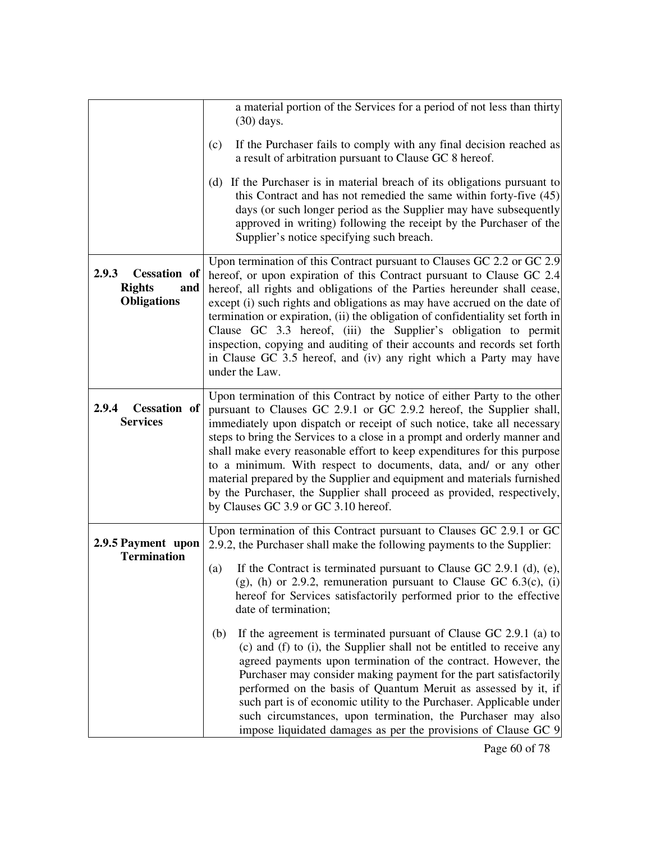|                                                                            | a material portion of the Services for a period of not less than thirty<br>$(30)$ days.                                                                                                                                                                                                                                                                                                                                                                                                                                                                                                                                                                |
|----------------------------------------------------------------------------|--------------------------------------------------------------------------------------------------------------------------------------------------------------------------------------------------------------------------------------------------------------------------------------------------------------------------------------------------------------------------------------------------------------------------------------------------------------------------------------------------------------------------------------------------------------------------------------------------------------------------------------------------------|
|                                                                            | If the Purchaser fails to comply with any final decision reached as<br>(c)<br>a result of arbitration pursuant to Clause GC 8 hereof.                                                                                                                                                                                                                                                                                                                                                                                                                                                                                                                  |
|                                                                            | (d) If the Purchaser is in material breach of its obligations pursuant to<br>this Contract and has not remedied the same within forty-five (45)<br>days (or such longer period as the Supplier may have subsequently<br>approved in writing) following the receipt by the Purchaser of the<br>Supplier's notice specifying such breach.                                                                                                                                                                                                                                                                                                                |
| 2.9.3<br><b>Cessation</b> of<br><b>Rights</b><br>and<br><b>Obligations</b> | Upon termination of this Contract pursuant to Clauses GC 2.2 or GC 2.9<br>hereof, or upon expiration of this Contract pursuant to Clause GC 2.4<br>hereof, all rights and obligations of the Parties hereunder shall cease,<br>except (i) such rights and obligations as may have accrued on the date of<br>termination or expiration, (ii) the obligation of confidentiality set forth in<br>Clause GC 3.3 hereof, (iii) the Supplier's obligation to permit<br>inspection, copying and auditing of their accounts and records set forth<br>in Clause GC 3.5 hereof, and (iv) any right which a Party may have<br>under the Law.                      |
| 2.9.4<br><b>Cessation</b> of<br><b>Services</b>                            | Upon termination of this Contract by notice of either Party to the other<br>pursuant to Clauses GC 2.9.1 or GC 2.9.2 hereof, the Supplier shall,<br>immediately upon dispatch or receipt of such notice, take all necessary<br>steps to bring the Services to a close in a prompt and orderly manner and<br>shall make every reasonable effort to keep expenditures for this purpose<br>to a minimum. With respect to documents, data, and/ or any other<br>material prepared by the Supplier and equipment and materials furnished<br>by the Purchaser, the Supplier shall proceed as provided, respectively,<br>by Clauses GC 3.9 or GC 3.10 hereof. |
| 2.9.5 Payment upon<br><b>Termination</b>                                   | Upon termination of this Contract pursuant to Clauses GC 2.9.1 or GC<br>2.9.2, the Purchaser shall make the following payments to the Supplier:                                                                                                                                                                                                                                                                                                                                                                                                                                                                                                        |
|                                                                            | If the Contract is terminated pursuant to Clause GC 2.9.1 (d), $(e)$ ,<br>(a)<br>(g), (h) or 2.9.2, remuneration pursuant to Clause GC $6.3(c)$ , (i)<br>hereof for Services satisfactorily performed prior to the effective<br>date of termination;                                                                                                                                                                                                                                                                                                                                                                                                   |
|                                                                            | If the agreement is terminated pursuant of Clause GC 2.9.1 (a) to<br>(b)<br>(c) and (f) to (i), the Supplier shall not be entitled to receive any<br>agreed payments upon termination of the contract. However, the<br>Purchaser may consider making payment for the part satisfactorily<br>performed on the basis of Quantum Meruit as assessed by it, if<br>such part is of economic utility to the Purchaser. Applicable under<br>such circumstances, upon termination, the Purchaser may also<br>impose liquidated damages as per the provisions of Clause GC 9                                                                                    |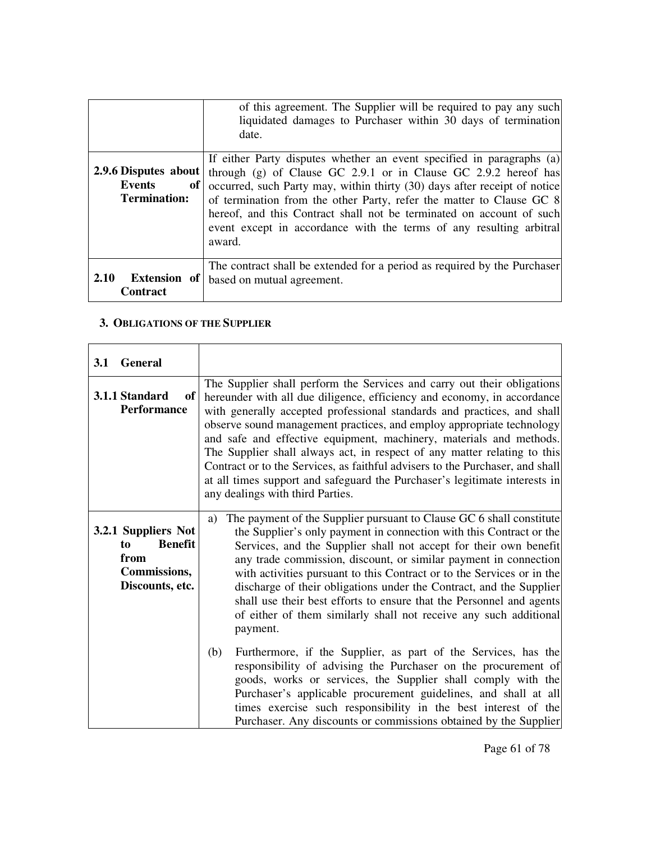|                                                        | of this agreement. The Supplier will be required to pay any such<br>liquidated damages to Purchaser within 30 days of termination<br>date.                                                                                                                                                                                                                                                                                                               |
|--------------------------------------------------------|----------------------------------------------------------------------------------------------------------------------------------------------------------------------------------------------------------------------------------------------------------------------------------------------------------------------------------------------------------------------------------------------------------------------------------------------------------|
| 2.9.6 Disputes about<br>Events<br>of  <br>Termination: | If either Party disputes whether an event specified in paragraphs (a)<br>through $(g)$ of Clause GC 2.9.1 or in Clause GC 2.9.2 hereof has<br>occurred, such Party may, within thirty (30) days after receipt of notice<br>of termination from the other Party, refer the matter to Clause GC 8<br>hereof, and this Contract shall not be terminated on account of such<br>event except in accordance with the terms of any resulting arbitral<br>award. |
| 2.10<br><b>Extension</b> of<br><b>Contract</b>         | The contract shall be extended for a period as required by the Purchaser<br>based on mutual agreement.                                                                                                                                                                                                                                                                                                                                                   |

### **3. OBLIGATIONS OF THE SUPPLIER**

| <b>3.1</b> | <b>General</b>                                                                                |                                                                                                                                                                                                                                                                                                                                                                                                                                                                                                                                                                                                                                                                                                                                                                                                                                                                                                                                                                                                                          |
|------------|-----------------------------------------------------------------------------------------------|--------------------------------------------------------------------------------------------------------------------------------------------------------------------------------------------------------------------------------------------------------------------------------------------------------------------------------------------------------------------------------------------------------------------------------------------------------------------------------------------------------------------------------------------------------------------------------------------------------------------------------------------------------------------------------------------------------------------------------------------------------------------------------------------------------------------------------------------------------------------------------------------------------------------------------------------------------------------------------------------------------------------------|
|            | 3.1.1 Standard<br>of<br><b>Performance</b>                                                    | The Supplier shall perform the Services and carry out their obligations<br>hereunder with all due diligence, efficiency and economy, in accordance<br>with generally accepted professional standards and practices, and shall<br>observe sound management practices, and employ appropriate technology<br>and safe and effective equipment, machinery, materials and methods.<br>The Supplier shall always act, in respect of any matter relating to this<br>Contract or to the Services, as faithful advisers to the Purchaser, and shall<br>at all times support and safeguard the Purchaser's legitimate interests in<br>any dealings with third Parties.                                                                                                                                                                                                                                                                                                                                                             |
|            | 3.2.1 Suppliers Not<br><b>Benefit</b><br>to<br>from<br><b>Commissions,</b><br>Discounts, etc. | The payment of the Supplier pursuant to Clause GC 6 shall constitute<br>a)<br>the Supplier's only payment in connection with this Contract or the<br>Services, and the Supplier shall not accept for their own benefit<br>any trade commission, discount, or similar payment in connection<br>with activities pursuant to this Contract or to the Services or in the<br>discharge of their obligations under the Contract, and the Supplier<br>shall use their best efforts to ensure that the Personnel and agents<br>of either of them similarly shall not receive any such additional<br>payment.<br>Furthermore, if the Supplier, as part of the Services, has the<br>(b)<br>responsibility of advising the Purchaser on the procurement of<br>goods, works or services, the Supplier shall comply with the<br>Purchaser's applicable procurement guidelines, and shall at all<br>times exercise such responsibility in the best interest of the<br>Purchaser. Any discounts or commissions obtained by the Supplier |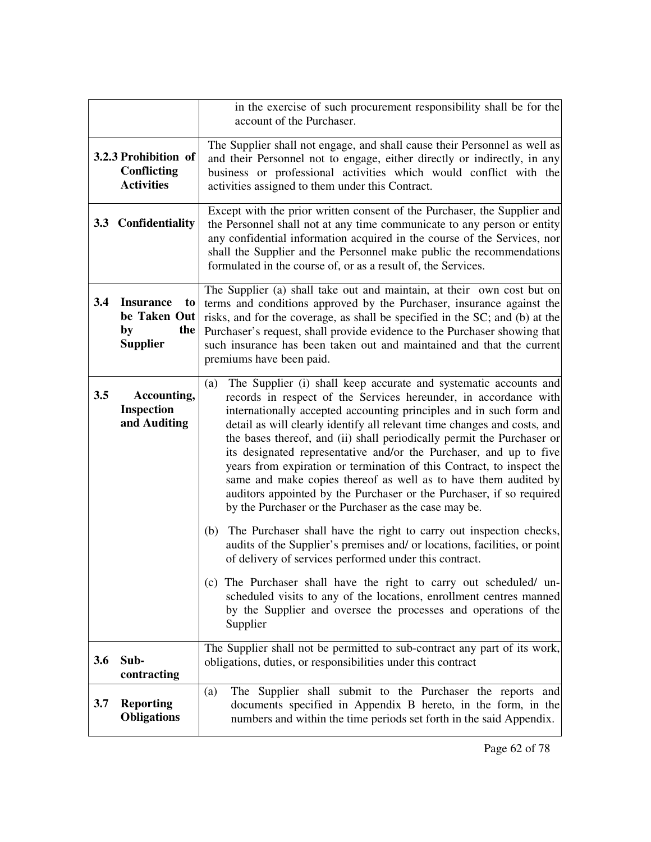|     |                        | in the exercise of such procurement responsibility shall be for the                                                                         |
|-----|------------------------|---------------------------------------------------------------------------------------------------------------------------------------------|
|     |                        | account of the Purchaser.                                                                                                                   |
|     |                        |                                                                                                                                             |
|     | 3.2.3 Prohibition of   | The Supplier shall not engage, and shall cause their Personnel as well as                                                                   |
|     | Conflicting            | and their Personnel not to engage, either directly or indirectly, in any                                                                    |
|     | <b>Activities</b>      | business or professional activities which would conflict with the<br>activities assigned to them under this Contract.                       |
|     |                        |                                                                                                                                             |
|     |                        | Except with the prior written consent of the Purchaser, the Supplier and                                                                    |
|     | 3.3 Confidentiality    | the Personnel shall not at any time communicate to any person or entity                                                                     |
|     |                        | any confidential information acquired in the course of the Services, nor                                                                    |
|     |                        | shall the Supplier and the Personnel make public the recommendations                                                                        |
|     |                        | formulated in the course of, or as a result of, the Services.                                                                               |
|     |                        | The Supplier (a) shall take out and maintain, at their own cost but on                                                                      |
| 3.4 | <b>Insurance</b><br>to | terms and conditions approved by the Purchaser, insurance against the                                                                       |
|     | be Taken Out           | risks, and for the coverage, as shall be specified in the SC; and (b) at the                                                                |
|     | the<br>by              | Purchaser's request, shall provide evidence to the Purchaser showing that                                                                   |
|     | <b>Supplier</b>        | such insurance has been taken out and maintained and that the current                                                                       |
|     |                        | premiums have been paid.                                                                                                                    |
|     |                        |                                                                                                                                             |
| 3.5 | Accounting,            | The Supplier (i) shall keep accurate and systematic accounts and<br>(a)<br>records in respect of the Services hereunder, in accordance with |
|     | <b>Inspection</b>      | internationally accepted accounting principles and in such form and                                                                         |
|     | and Auditing           | detail as will clearly identify all relevant time changes and costs, and                                                                    |
|     |                        | the bases thereof, and (ii) shall periodically permit the Purchaser or                                                                      |
|     |                        | its designated representative and/or the Purchaser, and up to five                                                                          |
|     |                        | years from expiration or termination of this Contract, to inspect the                                                                       |
|     |                        | same and make copies thereof as well as to have them audited by                                                                             |
|     |                        | auditors appointed by the Purchaser or the Purchaser, if so required                                                                        |
|     |                        | by the Purchaser or the Purchaser as the case may be.                                                                                       |
|     |                        |                                                                                                                                             |
|     |                        | (b) The Purchaser shall have the right to carry out inspection checks,                                                                      |
|     |                        | audits of the Supplier's premises and/ or locations, facilities, or point<br>of delivery of services performed under this contract.         |
|     |                        |                                                                                                                                             |
|     |                        | (c) The Purchaser shall have the right to carry out scheduled/ un-                                                                          |
|     |                        | scheduled visits to any of the locations, enrollment centres manned                                                                         |
|     |                        | by the Supplier and oversee the processes and operations of the                                                                             |
|     |                        | Supplier                                                                                                                                    |
|     |                        | The Supplier shall not be permitted to sub-contract any part of its work,                                                                   |
| 3.6 | Sub-                   | obligations, duties, or responsibilities under this contract                                                                                |
|     | contracting            |                                                                                                                                             |
|     |                        | The Supplier shall submit to the Purchaser the reports and<br>(a)                                                                           |
| 3.7 | <b>Reporting</b>       | documents specified in Appendix B hereto, in the form, in the                                                                               |
|     | <b>Obligations</b>     | numbers and within the time periods set forth in the said Appendix.                                                                         |
|     |                        |                                                                                                                                             |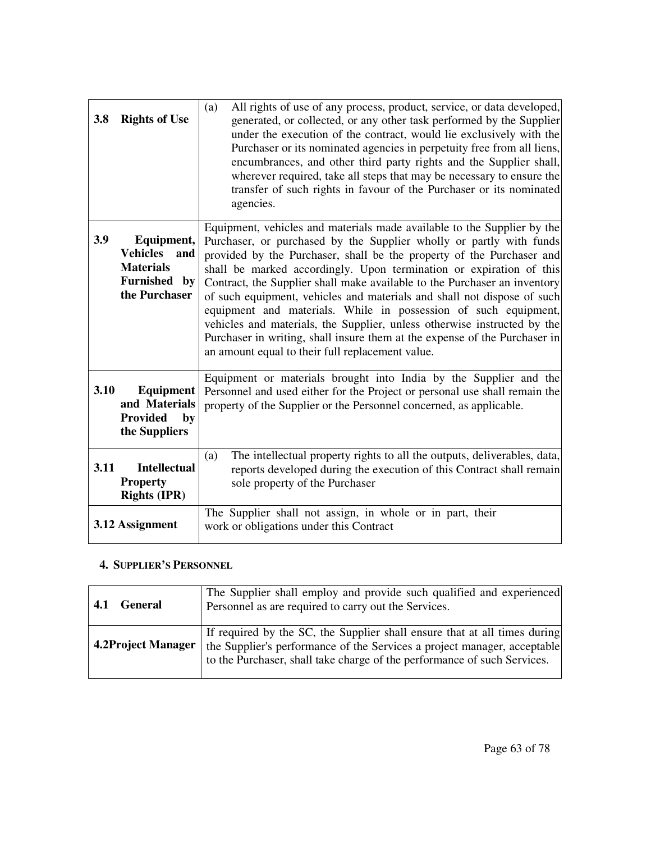| 3.8  | <b>Rights of Use</b>                                                                                | All rights of use of any process, product, service, or data developed,<br>(a)<br>generated, or collected, or any other task performed by the Supplier<br>under the execution of the contract, would lie exclusively with the<br>Purchaser or its nominated agencies in perpetuity free from all liens,<br>encumbrances, and other third party rights and the Supplier shall,<br>wherever required, take all steps that may be necessary to ensure the<br>transfer of such rights in favour of the Purchaser or its nominated<br>agencies.                                                                                                                                                                                               |
|------|-----------------------------------------------------------------------------------------------------|-----------------------------------------------------------------------------------------------------------------------------------------------------------------------------------------------------------------------------------------------------------------------------------------------------------------------------------------------------------------------------------------------------------------------------------------------------------------------------------------------------------------------------------------------------------------------------------------------------------------------------------------------------------------------------------------------------------------------------------------|
| 3.9  | Equipment,<br><b>Vehicles</b><br>and<br><b>Materials</b><br><b>Furnished</b><br>by<br>the Purchaser | Equipment, vehicles and materials made available to the Supplier by the<br>Purchaser, or purchased by the Supplier wholly or partly with funds<br>provided by the Purchaser, shall be the property of the Purchaser and<br>shall be marked accordingly. Upon termination or expiration of this<br>Contract, the Supplier shall make available to the Purchaser an inventory<br>of such equipment, vehicles and materials and shall not dispose of such<br>equipment and materials. While in possession of such equipment,<br>vehicles and materials, the Supplier, unless otherwise instructed by the<br>Purchaser in writing, shall insure them at the expense of the Purchaser in<br>an amount equal to their full replacement value. |
| 3.10 | <b>Equipment</b><br>and Materials<br><b>Provided</b><br>by<br>the Suppliers                         | Equipment or materials brought into India by the Supplier and the<br>Personnel and used either for the Project or personal use shall remain the<br>property of the Supplier or the Personnel concerned, as applicable.                                                                                                                                                                                                                                                                                                                                                                                                                                                                                                                  |
| 3.11 | <b>Intellectual</b><br><b>Property</b><br><b>Rights (IPR)</b>                                       | The intellectual property rights to all the outputs, deliverables, data,<br>(a)<br>reports developed during the execution of this Contract shall remain<br>sole property of the Purchaser                                                                                                                                                                                                                                                                                                                                                                                                                                                                                                                                               |
|      | 3.12 Assignment                                                                                     | The Supplier shall not assign, in whole or in part, their<br>work or obligations under this Contract                                                                                                                                                                                                                                                                                                                                                                                                                                                                                                                                                                                                                                    |

### **4. SUPPLIER'S PERSONNEL**

| <b>General</b>     | The Supplier shall employ and provide such qualified and experienced                                                                                                                                                              |
|--------------------|-----------------------------------------------------------------------------------------------------------------------------------------------------------------------------------------------------------------------------------|
| 4.1                | Personnel as are required to carry out the Services.                                                                                                                                                                              |
| 4.2Project Manager | If required by the SC, the Supplier shall ensure that at all times during<br>the Supplier's performance of the Services a project manager, acceptable<br>to the Purchaser, shall take charge of the performance of such Services. |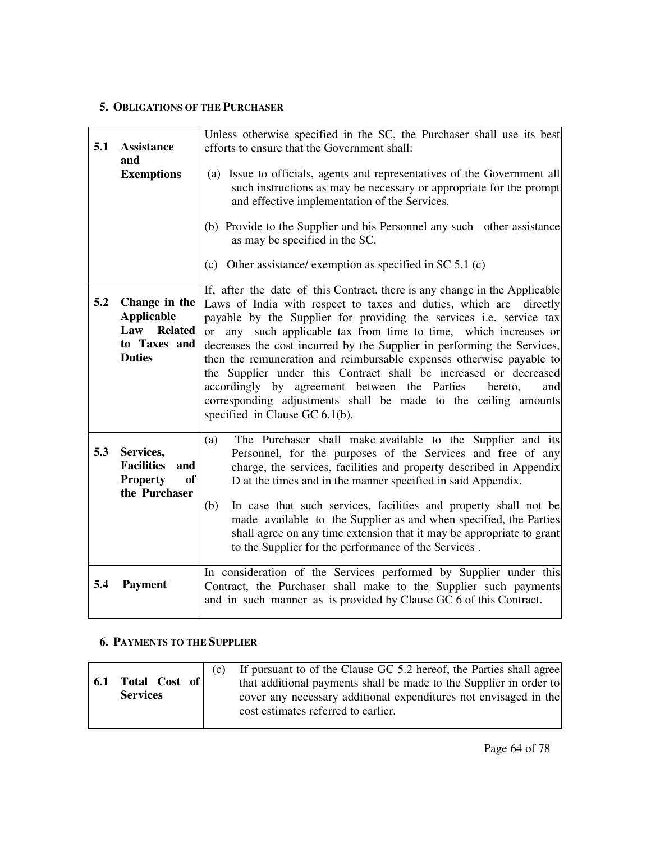### **5. OBLIGATIONS OF THE PURCHASER**

| 5.1 | <b>Assistance</b><br>and<br><b>Exemptions</b>                                          | Unless otherwise specified in the SC, the Purchaser shall use its best<br>efforts to ensure that the Government shall:<br>(a) Issue to officials, agents and representatives of the Government all<br>such instructions as may be necessary or appropriate for the prompt<br>and effective implementation of the Services.<br>(b) Provide to the Supplier and his Personnel any such other assistance<br>as may be specified in the SC.<br>(c) Other assistance/ exemption as specified in SC $5.1$ (c)                                                                                                                                                                                     |
|-----|----------------------------------------------------------------------------------------|---------------------------------------------------------------------------------------------------------------------------------------------------------------------------------------------------------------------------------------------------------------------------------------------------------------------------------------------------------------------------------------------------------------------------------------------------------------------------------------------------------------------------------------------------------------------------------------------------------------------------------------------------------------------------------------------|
| 5.2 | Change in the<br><b>Applicable</b><br>Law Related<br>to Taxes and<br><b>Duties</b>     | If, after the date of this Contract, there is any change in the Applicable<br>Laws of India with respect to taxes and duties, which are directly<br>payable by the Supplier for providing the services i.e. service tax<br>or any such applicable tax from time to time, which increases or<br>decreases the cost incurred by the Supplier in performing the Services,<br>then the remuneration and reimbursable expenses otherwise payable to<br>the Supplier under this Contract shall be increased or decreased<br>accordingly by agreement between the Parties<br>hereto,<br>and<br>corresponding adjustments shall be made to the ceiling amounts<br>specified in Clause GC $6.1(b)$ . |
| 5.3 | Services,<br><b>Facilities</b><br>and<br><b>Property</b><br><b>of</b><br>the Purchaser | The Purchaser shall make available to the Supplier and its<br>(a)<br>Personnel, for the purposes of the Services and free of any<br>charge, the services, facilities and property described in Appendix<br>D at the times and in the manner specified in said Appendix.<br>In case that such services, facilities and property shall not be<br>(b)<br>made available to the Supplier as and when specified, the Parties<br>shall agree on any time extension that it may be appropriate to grant<br>to the Supplier for the performance of the Services.                                                                                                                                    |
| 5.4 | <b>Payment</b>                                                                         | In consideration of the Services performed by Supplier under this<br>Contract, the Purchaser shall make to the Supplier such payments<br>and in such manner as is provided by Clause GC 6 of this Contract.                                                                                                                                                                                                                                                                                                                                                                                                                                                                                 |

#### **6. PAYMENTS TO THE SUPPLIER**

| Total Cost of<br>6.1<br><b>Services</b> | (C) | If pursuant to of the Clause GC 5.2 hereof, the Parties shall agree<br>that additional payments shall be made to the Supplier in order to<br>cover any necessary additional expenditures not envisaged in the<br>cost estimates referred to earlier. |
|-----------------------------------------|-----|------------------------------------------------------------------------------------------------------------------------------------------------------------------------------------------------------------------------------------------------------|
|-----------------------------------------|-----|------------------------------------------------------------------------------------------------------------------------------------------------------------------------------------------------------------------------------------------------------|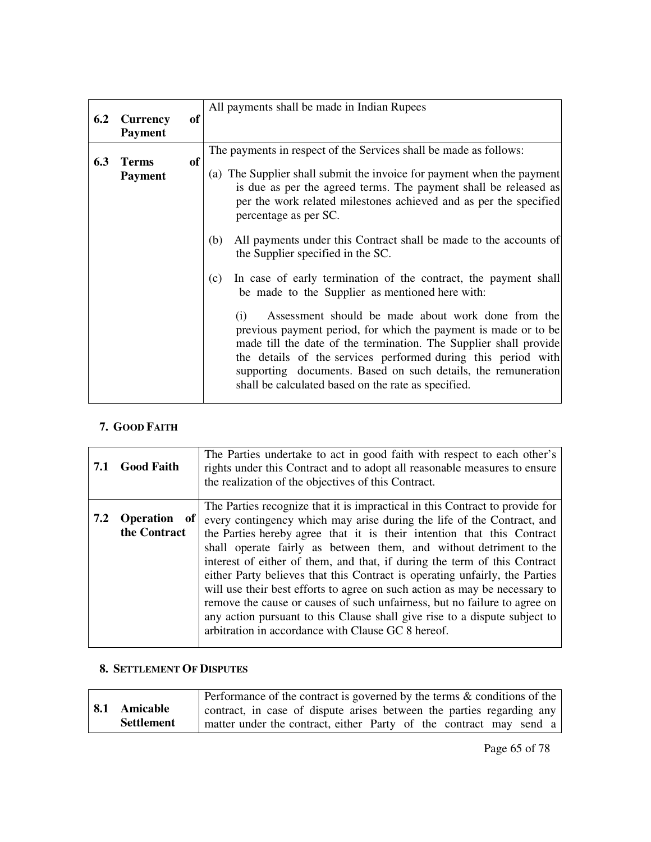|     |                 |    | All payments shall be made in Indian Rupees                                                                                                                                                                                                                                                                                                                                                |
|-----|-----------------|----|--------------------------------------------------------------------------------------------------------------------------------------------------------------------------------------------------------------------------------------------------------------------------------------------------------------------------------------------------------------------------------------------|
| 6.2 | <b>Currency</b> | of |                                                                                                                                                                                                                                                                                                                                                                                            |
|     | <b>Payment</b>  |    |                                                                                                                                                                                                                                                                                                                                                                                            |
|     |                 |    | The payments in respect of the Services shall be made as follows:                                                                                                                                                                                                                                                                                                                          |
| 6.3 | <b>Terms</b>    | of |                                                                                                                                                                                                                                                                                                                                                                                            |
|     | <b>Payment</b>  |    | (a) The Supplier shall submit the invoice for payment when the payment                                                                                                                                                                                                                                                                                                                     |
|     |                 |    | is due as per the agreed terms. The payment shall be released as                                                                                                                                                                                                                                                                                                                           |
|     |                 |    | per the work related milestones achieved and as per the specified<br>percentage as per SC.                                                                                                                                                                                                                                                                                                 |
|     |                 |    | All payments under this Contract shall be made to the accounts of<br>(b)                                                                                                                                                                                                                                                                                                                   |
|     |                 |    | the Supplier specified in the SC.                                                                                                                                                                                                                                                                                                                                                          |
|     |                 |    | In case of early termination of the contract, the payment shall<br>(c)<br>be made to the Supplier as mentioned here with:                                                                                                                                                                                                                                                                  |
|     |                 |    | Assessment should be made about work done from the<br>(i)<br>previous payment period, for which the payment is made or to be<br>made till the date of the termination. The Supplier shall provide<br>the details of the services performed during this period with<br>supporting documents. Based on such details, the remuneration<br>shall be calculated based on the rate as specified. |

### **7. GOOD FAITH**

| 7.1 | <b>Good Faith</b>                        | The Parties undertake to act in good faith with respect to each other's<br>rights under this Contract and to adopt all reasonable measures to ensure<br>the realization of the objectives of this Contract.                                                                                                                                                                                                                                                                                                                                                                                                                                                                                                                                                       |
|-----|------------------------------------------|-------------------------------------------------------------------------------------------------------------------------------------------------------------------------------------------------------------------------------------------------------------------------------------------------------------------------------------------------------------------------------------------------------------------------------------------------------------------------------------------------------------------------------------------------------------------------------------------------------------------------------------------------------------------------------------------------------------------------------------------------------------------|
| 7.2 | <b>Operation</b><br>  of<br>the Contract | The Parties recognize that it is impractical in this Contract to provide for<br>every contingency which may arise during the life of the Contract, and<br>the Parties hereby agree that it is their intention that this Contract<br>shall operate fairly as between them, and without detriment to the<br>interest of either of them, and that, if during the term of this Contract<br>either Party believes that this Contract is operating unfairly, the Parties<br>will use their best efforts to agree on such action as may be necessary to<br>remove the cause or causes of such unfairness, but no failure to agree on<br>any action pursuant to this Clause shall give rise to a dispute subject to<br>arbitration in accordance with Clause GC 8 hereof. |

### **8. SETTLEMENT OF DISPUTES**

|                   | Performance of the contract is governed by the terms & conditions of the |
|-------------------|--------------------------------------------------------------------------|
| 8.1 Amicable      | contract, in case of dispute arises between the parties regarding any    |
| <b>Settlement</b> | matter under the contract, either Party of the contract may send a       |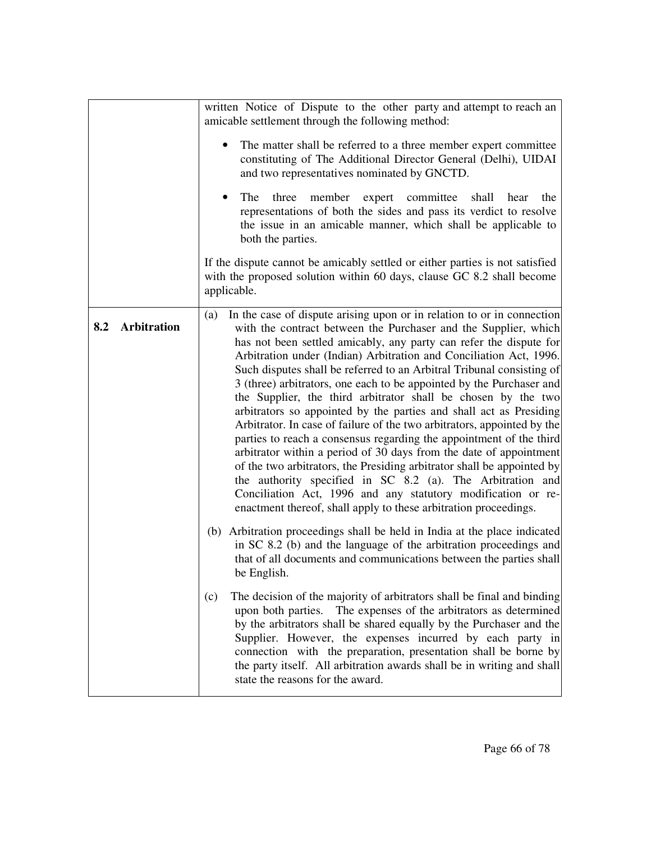|                           | written Notice of Dispute to the other party and attempt to reach an<br>amicable settlement through the following method:<br>The matter shall be referred to a three member expert committee<br>constituting of The Additional Director General (Delhi), UIDAI<br>and two representatives nominated by GNCTD.<br>three<br>member expert committee shall hear the<br><b>The</b><br>representations of both the sides and pass its verdict to resolve<br>the issue in an amicable manner, which shall be applicable to<br>both the parties.<br>If the dispute cannot be amicably settled or either parties is not satisfied                                                                                                                                                                                                                                                                                                                                                                                                                                                                |
|---------------------------|------------------------------------------------------------------------------------------------------------------------------------------------------------------------------------------------------------------------------------------------------------------------------------------------------------------------------------------------------------------------------------------------------------------------------------------------------------------------------------------------------------------------------------------------------------------------------------------------------------------------------------------------------------------------------------------------------------------------------------------------------------------------------------------------------------------------------------------------------------------------------------------------------------------------------------------------------------------------------------------------------------------------------------------------------------------------------------------|
|                           | with the proposed solution within 60 days, clause GC 8.2 shall become<br>applicable.                                                                                                                                                                                                                                                                                                                                                                                                                                                                                                                                                                                                                                                                                                                                                                                                                                                                                                                                                                                                     |
| <b>Arbitration</b><br>8.2 | In the case of dispute arising upon or in relation to or in connection<br>(a)<br>with the contract between the Purchaser and the Supplier, which<br>has not been settled amicably, any party can refer the dispute for<br>Arbitration under (Indian) Arbitration and Conciliation Act, 1996.<br>Such disputes shall be referred to an Arbitral Tribunal consisting of<br>3 (three) arbitrators, one each to be appointed by the Purchaser and<br>the Supplier, the third arbitrator shall be chosen by the two<br>arbitrators so appointed by the parties and shall act as Presiding<br>Arbitrator. In case of failure of the two arbitrators, appointed by the<br>parties to reach a consensus regarding the appointment of the third<br>arbitrator within a period of 30 days from the date of appointment<br>of the two arbitrators, the Presiding arbitrator shall be appointed by<br>the authority specified in SC 8.2 (a). The Arbitration and<br>Conciliation Act, 1996 and any statutory modification or re-<br>enactment thereof, shall apply to these arbitration proceedings. |
|                           | (b) Arbitration proceedings shall be held in India at the place indicated<br>in SC 8.2 (b) and the language of the arbitration proceedings and<br>that of all documents and communications between the parties shall<br>be English.                                                                                                                                                                                                                                                                                                                                                                                                                                                                                                                                                                                                                                                                                                                                                                                                                                                      |
|                           | The decision of the majority of arbitrators shall be final and binding<br>(c)<br>upon both parties. The expenses of the arbitrators as determined<br>by the arbitrators shall be shared equally by the Purchaser and the<br>Supplier. However, the expenses incurred by each party in<br>connection with the preparation, presentation shall be borne by<br>the party itself. All arbitration awards shall be in writing and shall<br>state the reasons for the award.                                                                                                                                                                                                                                                                                                                                                                                                                                                                                                                                                                                                                   |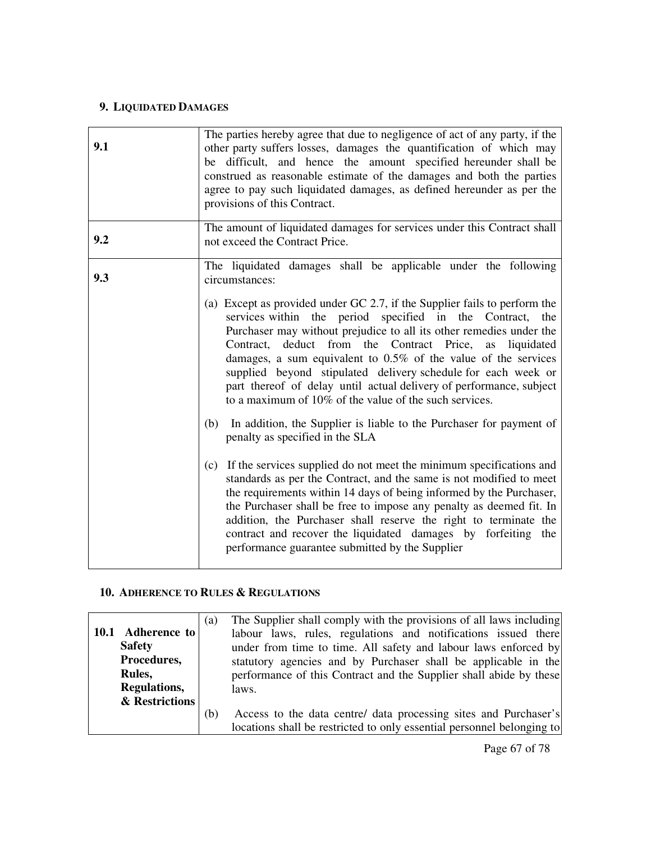### **9. LIQUIDATED DAMAGES**

| 9.1 | The parties hereby agree that due to negligence of act of any party, if the<br>other party suffers losses, damages the quantification of which may<br>be difficult, and hence the amount specified hereunder shall be<br>construed as reasonable estimate of the damages and both the parties<br>agree to pay such liquidated damages, as defined hereunder as per the<br>provisions of this Contract.                                                                                                                                                                                                                                                                                                                                                                                                                                                                                                                                                                                                                                                                                                                                                   |
|-----|----------------------------------------------------------------------------------------------------------------------------------------------------------------------------------------------------------------------------------------------------------------------------------------------------------------------------------------------------------------------------------------------------------------------------------------------------------------------------------------------------------------------------------------------------------------------------------------------------------------------------------------------------------------------------------------------------------------------------------------------------------------------------------------------------------------------------------------------------------------------------------------------------------------------------------------------------------------------------------------------------------------------------------------------------------------------------------------------------------------------------------------------------------|
| 9.2 | The amount of liquidated damages for services under this Contract shall<br>not exceed the Contract Price.                                                                                                                                                                                                                                                                                                                                                                                                                                                                                                                                                                                                                                                                                                                                                                                                                                                                                                                                                                                                                                                |
| 9.3 | The liquidated damages shall be applicable under the following<br>circumstances:                                                                                                                                                                                                                                                                                                                                                                                                                                                                                                                                                                                                                                                                                                                                                                                                                                                                                                                                                                                                                                                                         |
|     | (a) Except as provided under GC 2.7, if the Supplier fails to perform the<br>services within the period specified in the Contract, the<br>Purchaser may without prejudice to all its other remedies under the<br>Contract, deduct from the Contract Price, as liquidated<br>damages, a sum equivalent to $0.5\%$ of the value of the services<br>supplied beyond stipulated delivery schedule for each week or<br>part thereof of delay until actual delivery of performance, subject<br>to a maximum of 10% of the value of the such services.<br>In addition, the Supplier is liable to the Purchaser for payment of<br>(b)<br>penalty as specified in the SLA<br>(c) If the services supplied do not meet the minimum specifications and<br>standards as per the Contract, and the same is not modified to meet<br>the requirements within 14 days of being informed by the Purchaser,<br>the Purchaser shall be free to impose any penalty as deemed fit. In<br>addition, the Purchaser shall reserve the right to terminate the<br>contract and recover the liquidated damages by forfeiting the<br>performance guarantee submitted by the Supplier |

### **10. ADHERENCE TO RULES & REGULATIONS**

|                   | (a) | The Supplier shall comply with the provisions of all laws including    |
|-------------------|-----|------------------------------------------------------------------------|
| 10.1 Adherence to |     | labour laws, rules, regulations and notifications issued there         |
| <b>Safety</b>     |     | under from time to time. All safety and labour laws enforced by        |
| Procedures,       |     | statutory agencies and by Purchaser shall be applicable in the         |
| Rules,            |     | performance of this Contract and the Supplier shall abide by these     |
| Regulations,      |     | laws.                                                                  |
| & Restrictions    |     |                                                                        |
|                   | (b) | Access to the data centre/ data processing sites and Purchaser's       |
|                   |     | locations shall be restricted to only essential personnel belonging to |

Page 67 of 78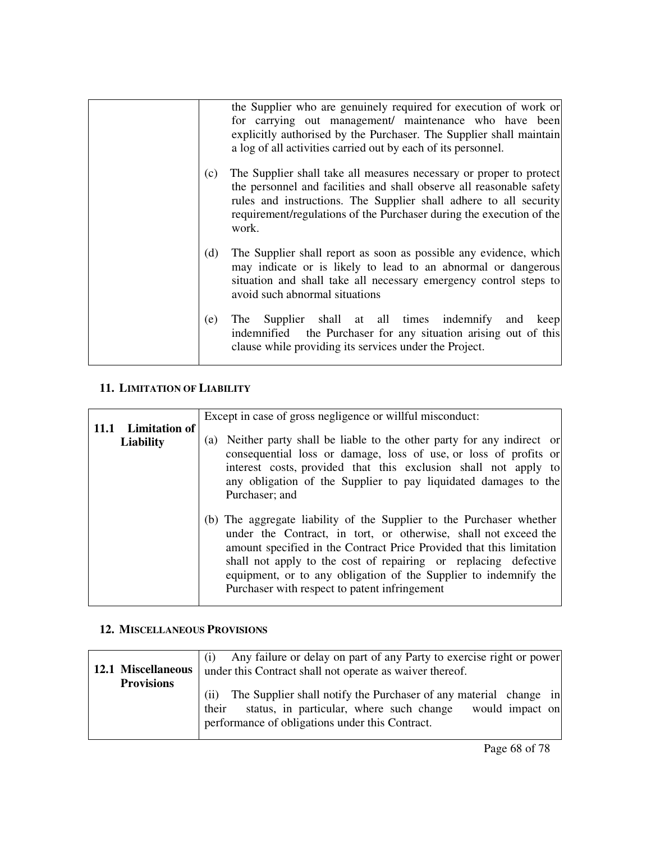|     | the Supplier who are genuinely required for execution of work or<br>for carrying out management/ maintenance who have been<br>explicitly authorised by the Purchaser. The Supplier shall maintain<br>a log of all activities carried out by each of its personnel.                                |
|-----|---------------------------------------------------------------------------------------------------------------------------------------------------------------------------------------------------------------------------------------------------------------------------------------------------|
| (c) | The Supplier shall take all measures necessary or proper to protect<br>the personnel and facilities and shall observe all reasonable safety<br>rules and instructions. The Supplier shall adhere to all security<br>requirement/regulations of the Purchaser during the execution of the<br>work. |
| (d) | The Supplier shall report as soon as possible any evidence, which<br>may indicate or is likely to lead to an abnormal or dangerous<br>situation and shall take all necessary emergency control steps to<br>avoid such abnormal situations                                                         |
| (e) | Supplier shall at all times indemnify<br>The<br>and keep<br>indemnified the Purchaser for any situation arising out of this<br>clause while providing its services under the Project.                                                                                                             |

### **11. LIMITATION OF LIABILITY**

|             |                                          | Except in case of gross negligence or will ful misconduct:                                                                                                                                                                                                                                                                                                                                              |
|-------------|------------------------------------------|---------------------------------------------------------------------------------------------------------------------------------------------------------------------------------------------------------------------------------------------------------------------------------------------------------------------------------------------------------------------------------------------------------|
| <b>11.1</b> | <b>Limitation of</b><br><b>Liability</b> | (a) Neither party shall be liable to the other party for any indirect or<br>consequential loss or damage, loss of use, or loss of profits or<br>interest costs, provided that this exclusion shall not apply to<br>any obligation of the Supplier to pay liquidated damages to the<br>Purchaser; and                                                                                                    |
|             |                                          | (b) The aggregate liability of the Supplier to the Purchaser whether<br>under the Contract, in tort, or otherwise, shall not exceed the<br>amount specified in the Contract Price Provided that this limitation<br>shall not apply to the cost of repairing or replacing defective<br>equipment, or to any obligation of the Supplier to indemnify the<br>Purchaser with respect to patent infringement |

### **12. MISCELLANEOUS PROVISIONS**

|                    | Any failure or delay on part of any Party to exercise right or power      |
|--------------------|---------------------------------------------------------------------------|
| 12.1 Miscellaneous | under this Contract shall not operate as waiver thereof.                  |
| <b>Provisions</b>  |                                                                           |
|                    | The Supplier shall notify the Purchaser of any material change in<br>(ii) |
|                    | status, in particular, where such change<br>would impact on<br>their      |
|                    | performance of obligations under this Contract.                           |
|                    |                                                                           |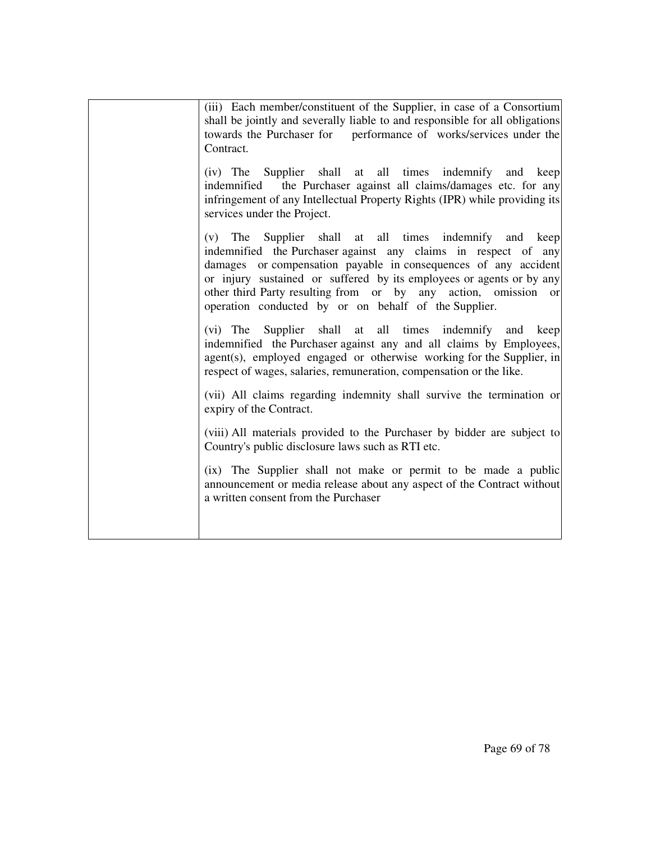| (iv) The Supplier shall at all times indemnify and keep<br>indemnified the Purchaser against all claims/damages etc. for any<br>infringement of any Intellectual Property Rights (IPR) while providing its<br>services under the Project.                                                                                                                                                          |
|----------------------------------------------------------------------------------------------------------------------------------------------------------------------------------------------------------------------------------------------------------------------------------------------------------------------------------------------------------------------------------------------------|
| Supplier shall at all times indemnify and keep<br>$(v)$ The<br>indemnified the Purchaser against any claims in respect of any<br>damages or compensation payable in consequences of any accident<br>or injury sustained or suffered by its employees or agents or by any<br>other third Party resulting from or by any action, omission or<br>operation conducted by or on behalf of the Supplier. |
| Supplier shall at all times indemnify and<br>$(vi)$ The<br>keep<br>indemnified the Purchaser against any and all claims by Employees,<br>agent(s), employed engaged or otherwise working for the Supplier, in<br>respect of wages, salaries, remuneration, compensation or the like.                                                                                                               |
| (vii) All claims regarding indemnity shall survive the termination or<br>expiry of the Contract.                                                                                                                                                                                                                                                                                                   |
| (viii) All materials provided to the Purchaser by bidder are subject to<br>Country's public disclosure laws such as RTI etc.                                                                                                                                                                                                                                                                       |
| (ix) The Supplier shall not make or permit to be made a public<br>announcement or media release about any aspect of the Contract without<br>a written consent from the Purchaser                                                                                                                                                                                                                   |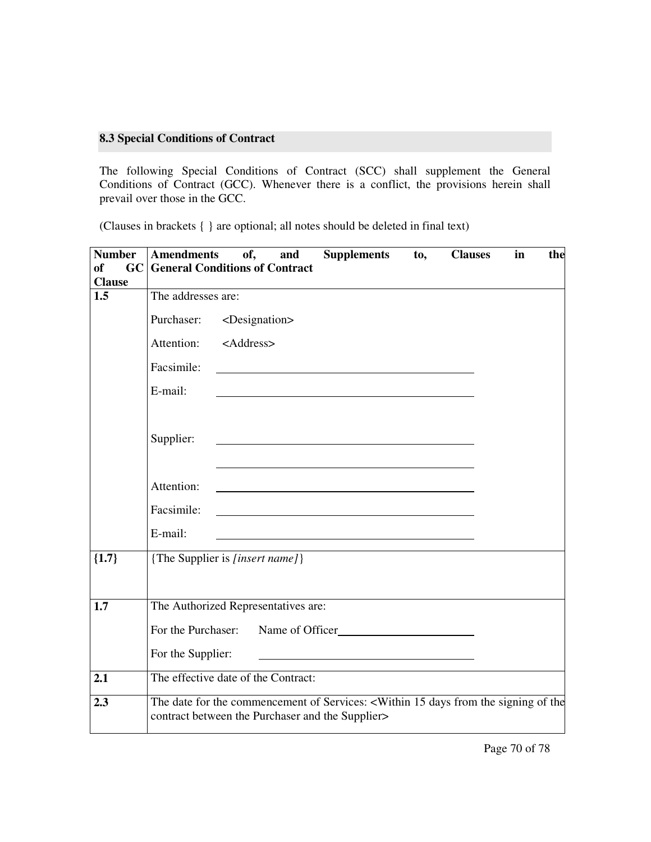#### **8.3 Special Conditions of Contract**

The following Special Conditions of Contract (SCC) shall supplement the General Conditions of Contract (GCC). Whenever there is a conflict, the provisions herein shall prevail over those in the GCC.

(Clauses in brackets { } are optional; all notes should be deleted in final text)

| <b>Number</b> | <b>Amendments</b><br><b>Supplements</b><br>of,<br>and<br><b>Clauses</b><br>to,<br>in<br>the                                                                             |
|---------------|-------------------------------------------------------------------------------------------------------------------------------------------------------------------------|
| of            | <b>GC</b> General Conditions of Contract                                                                                                                                |
| <b>Clause</b> |                                                                                                                                                                         |
| 1.5           | The addresses are:                                                                                                                                                      |
|               | Purchaser:<br><designation></designation>                                                                                                                               |
|               | Attention: <address></address>                                                                                                                                          |
|               | Facsimile:                                                                                                                                                              |
|               | E-mail:                                                                                                                                                                 |
|               | Supplier:<br><u> 1989 - John Stein, Amerikaansk politiker (</u>                                                                                                         |
|               | Attention:                                                                                                                                                              |
|               | Facsimile:                                                                                                                                                              |
|               | E-mail:                                                                                                                                                                 |
| ${1.7}$       | {The Supplier is [insert name]}                                                                                                                                         |
| 1.7           | The Authorized Representatives are:                                                                                                                                     |
|               | For the Purchaser: Name of Officer                                                                                                                                      |
|               | For the Supplier:                                                                                                                                                       |
| 2.1           | The effective date of the Contract:                                                                                                                                     |
| 2.3           | The date for the commencement of Services: <within 15="" days="" from="" of="" signing="" the="" the<br="">contract between the Purchaser and the Supplier&gt;</within> |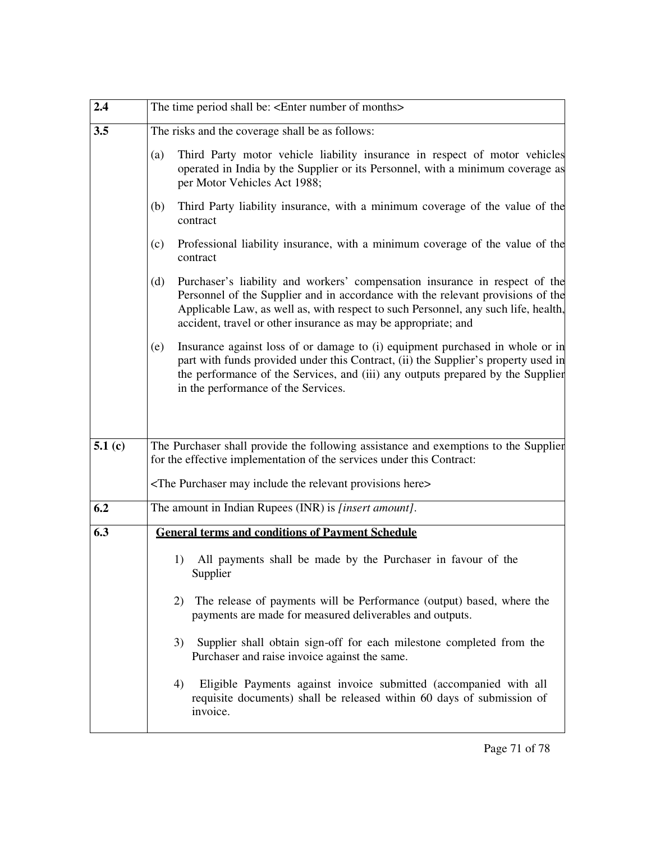| 2.4                | The time period shall be: <enter months="" number="" of=""></enter>                                                                                                                                                                                                                                                           |
|--------------------|-------------------------------------------------------------------------------------------------------------------------------------------------------------------------------------------------------------------------------------------------------------------------------------------------------------------------------|
| 3.5                | The risks and the coverage shall be as follows:                                                                                                                                                                                                                                                                               |
|                    | (a)<br>Third Party motor vehicle liability insurance in respect of motor vehicles<br>operated in India by the Supplier or its Personnel, with a minimum coverage as<br>per Motor Vehicles Act 1988;                                                                                                                           |
|                    | Third Party liability insurance, with a minimum coverage of the value of the<br>(b)<br>contract                                                                                                                                                                                                                               |
|                    | Professional liability insurance, with a minimum coverage of the value of the<br>(c)<br>contract                                                                                                                                                                                                                              |
|                    | Purchaser's liability and workers' compensation insurance in respect of the<br>(d)<br>Personnel of the Supplier and in accordance with the relevant provisions of the<br>Applicable Law, as well as, with respect to such Personnel, any such life, health,<br>accident, travel or other insurance as may be appropriate; and |
|                    | Insurance against loss of or damage to (i) equipment purchased in whole or in<br>(e)<br>part with funds provided under this Contract, (ii) the Supplier's property used in<br>the performance of the Services, and (iii) any outputs prepared by the Supplier<br>in the performance of the Services.                          |
| 5.1 <sub>(c)</sub> | The Purchaser shall provide the following assistance and exemptions to the Supplier<br>for the effective implementation of the services under this Contract:                                                                                                                                                                  |
|                    | <the here="" include="" may="" provisions="" purchaser="" relevant="" the=""></the>                                                                                                                                                                                                                                           |
| 6.2                | The amount in Indian Rupees (INR) is [insert amount].                                                                                                                                                                                                                                                                         |
| 6.3                | <b>General terms and conditions of Payment Schedule</b>                                                                                                                                                                                                                                                                       |
|                    | All payments shall be made by the Purchaser in favour of the<br>1)<br>Supplier                                                                                                                                                                                                                                                |
|                    | The release of payments will be Performance (output) based, where the<br>2)<br>payments are made for measured deliverables and outputs.                                                                                                                                                                                       |
|                    | Supplier shall obtain sign-off for each milestone completed from the<br>3)<br>Purchaser and raise invoice against the same.                                                                                                                                                                                                   |
|                    | Eligible Payments against invoice submitted (accompanied with all<br>4)<br>requisite documents) shall be released within 60 days of submission of<br>invoice.                                                                                                                                                                 |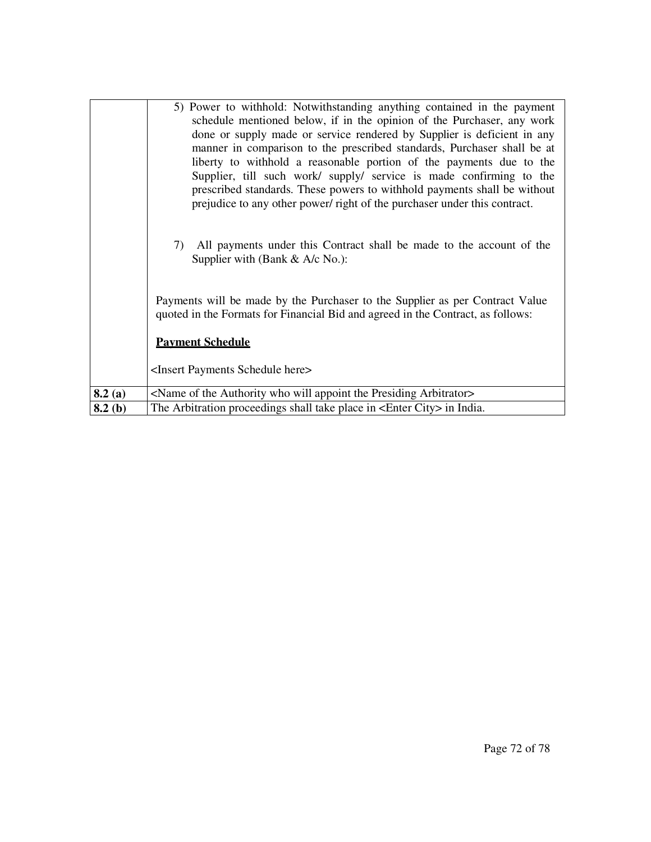|        | 5) Power to withhold: Notwithstanding anything contained in the payment<br>schedule mentioned below, if in the opinion of the Purchaser, any work<br>done or supply made or service rendered by Supplier is deficient in any<br>manner in comparison to the prescribed standards, Purchaser shall be at<br>liberty to withhold a reasonable portion of the payments due to the<br>Supplier, till such work/ supply/ service is made confirming to the<br>prescribed standards. These powers to withhold payments shall be without<br>prejudice to any other power/ right of the purchaser under this contract.<br>All payments under this Contract shall be made to the account of the<br>7)<br>Supplier with (Bank $& A/c$ No.): |
|--------|-----------------------------------------------------------------------------------------------------------------------------------------------------------------------------------------------------------------------------------------------------------------------------------------------------------------------------------------------------------------------------------------------------------------------------------------------------------------------------------------------------------------------------------------------------------------------------------------------------------------------------------------------------------------------------------------------------------------------------------|
|        | Payments will be made by the Purchaser to the Supplier as per Contract Value<br>quoted in the Formats for Financial Bid and agreed in the Contract, as follows:<br><b>Payment Schedule</b><br><insert here="" payments="" schedule=""></insert>                                                                                                                                                                                                                                                                                                                                                                                                                                                                                   |
| 8.2(a) | <name appoint="" arbitrator="" authority="" of="" presiding="" the="" who="" will=""></name>                                                                                                                                                                                                                                                                                                                                                                                                                                                                                                                                                                                                                                      |
| 8.2(b) | The Arbitration proceedings shall take place in <enter city=""> in India.</enter>                                                                                                                                                                                                                                                                                                                                                                                                                                                                                                                                                                                                                                                 |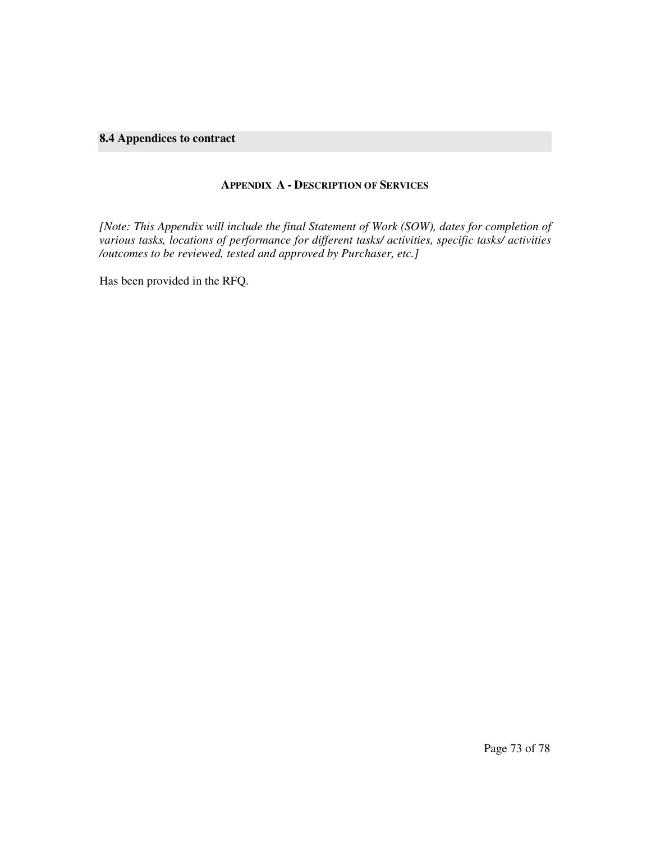### **8.4 Appendices to contract**

#### **APPENDIX A - DESCRIPTION OF SERVICES**

*[Note: This Appendix will include the final Statement of Work (SOW), dates for completion of various tasks, locations of performance for different tasks/ activities, specific tasks/ activities /outcomes to be reviewed, tested and approved by Purchaser, etc.]* 

Has been provided in the RFQ.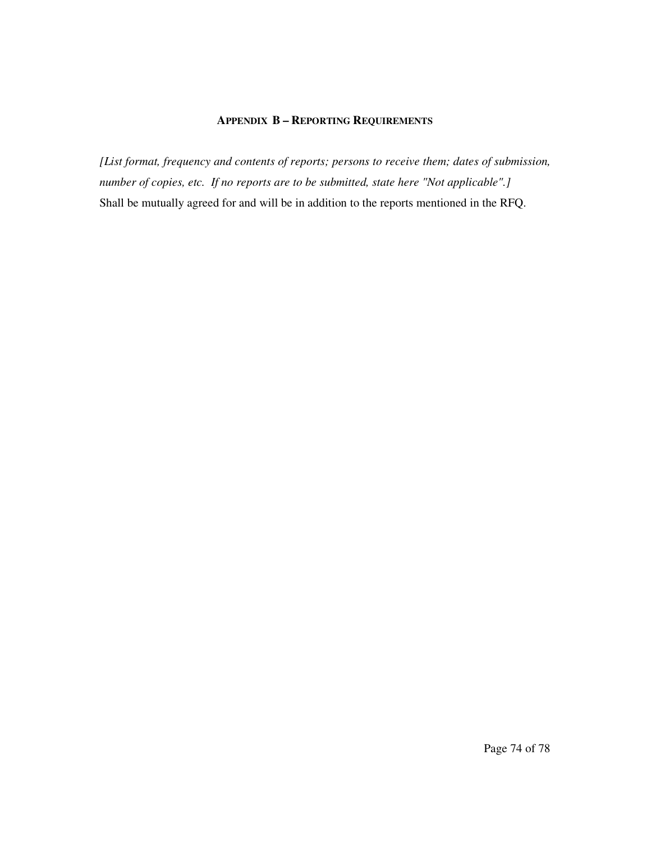### **APPENDIX B – REPORTING REQUIREMENTS**

*[List format, frequency and contents of reports; persons to receive them; dates of submission, number of copies, etc. If no reports are to be submitted, state here "Not applicable".]*  Shall be mutually agreed for and will be in addition to the reports mentioned in the RFQ.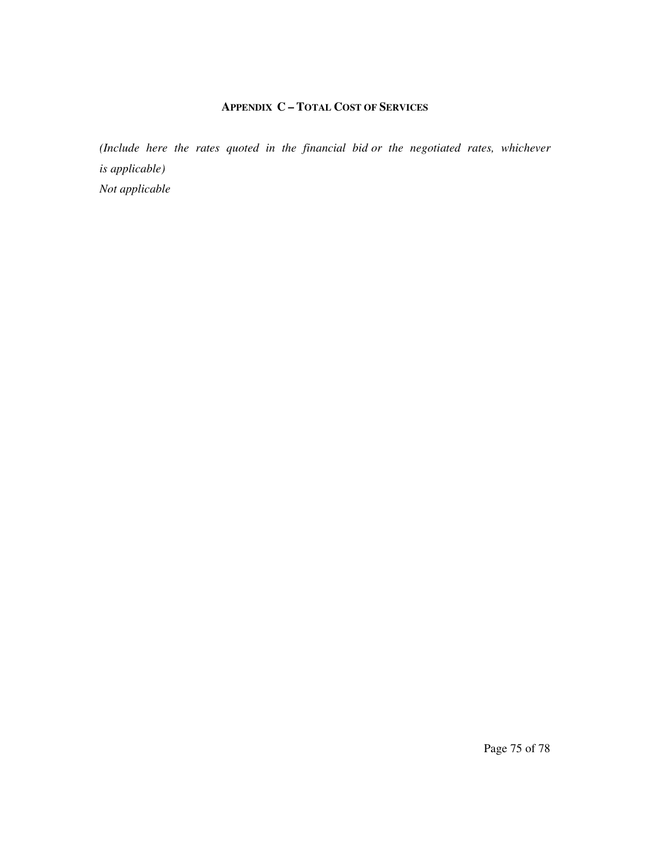## **APPENDIX C – TOTAL COST OF SERVICES**

*(Include here the rates quoted in the financial bid or the negotiated rates, whichever is applicable) Not applicable*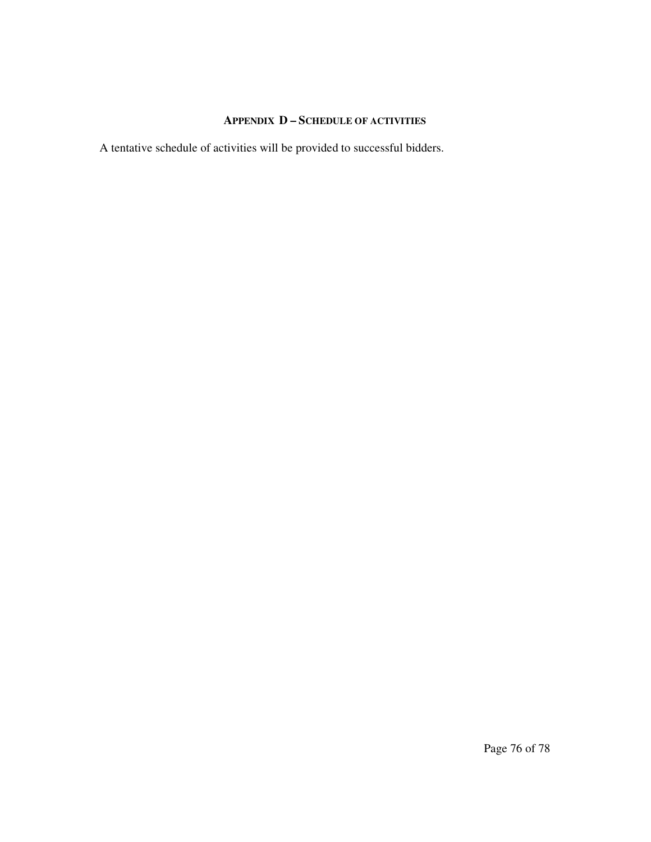# **APPENDIX D – SCHEDULE OF ACTIVITIES**

A tentative schedule of activities will be provided to successful bidders.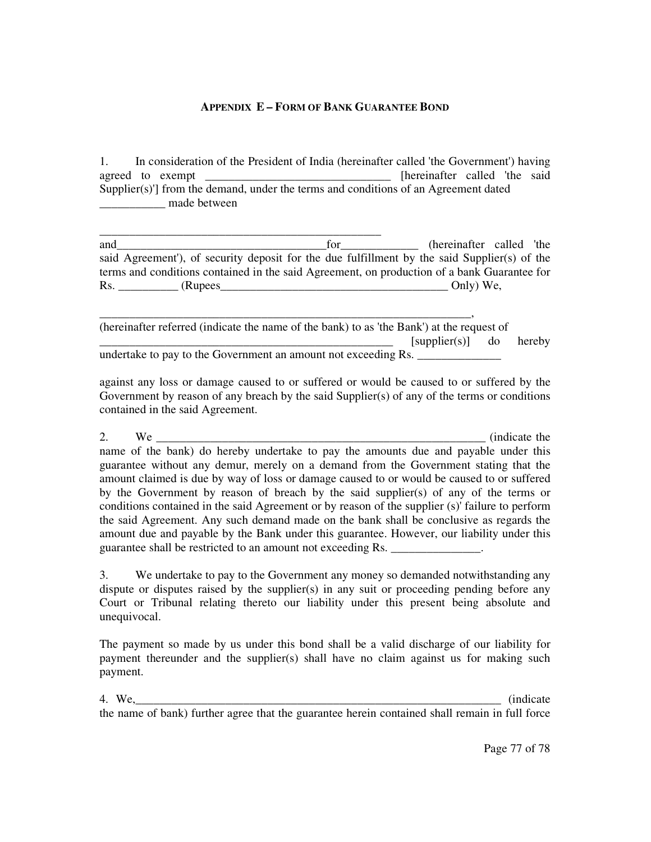#### **APPENDIX E – FORM OF BANK GUARANTEE BOND**

1. In consideration of the President of India (hereinafter called 'the Government') having agreed to exempt \_\_\_\_\_\_\_\_\_\_\_\_\_\_\_\_\_\_\_\_\_\_\_\_\_\_\_\_\_\_\_\_\_\_ [hereinafter called 'the said Supplier $(s)$ <sup>'</sup>] from the demand, under the terms and conditions of an Agreement dated \_\_\_\_\_\_\_\_\_\_\_ made between

\_\_\_\_\_\_\_\_\_\_\_\_\_\_\_\_\_\_\_\_\_\_\_\_\_\_\_\_\_\_\_\_\_\_\_\_\_\_\_\_\_\_\_\_\_\_\_ and\_\_\_\_\_\_\_\_\_\_\_\_\_\_\_\_\_\_\_\_\_\_\_\_\_\_\_\_\_\_\_\_\_\_\_for\_\_\_\_\_\_\_\_\_\_\_\_\_ (hereinafter called 'the said Agreement'), of security deposit for the due fulfillment by the said Supplier(s) of the terms and conditions contained in the said Agreement, on production of a bank Guarantee for Rs. CRupees and the contract of the contract of the contract of the contract of the contract of the contract of the contract of the contract of the contract of the contract of the contract of the contract of the contract o

\_\_\_\_\_\_\_\_\_\_\_\_\_\_\_\_\_\_\_\_\_\_\_\_\_\_\_\_\_\_\_\_\_\_\_\_\_\_\_\_\_\_\_\_\_\_\_\_\_\_\_\_\_\_\_\_\_\_\_\_\_\_, (hereinafter referred (indicate the name of the bank) to as 'the Bank') at the request of  $[supplier(s)]$  do hereby undertake to pay to the Government an amount not exceeding Rs. \_\_\_\_\_\_\_\_\_\_\_\_\_\_\_\_\_

against any loss or damage caused to or suffered or would be caused to or suffered by the Government by reason of any breach by the said Supplier(s) of any of the terms or conditions contained in the said Agreement.

2. We  $\frac{1}{2}$  (indicate the name of the bank) do hereby undertake to pay the amounts due and payable under this guarantee without any demur, merely on a demand from the Government stating that the amount claimed is due by way of loss or damage caused to or would be caused to or suffered by the Government by reason of breach by the said supplier(s) of any of the terms or conditions contained in the said Agreement or by reason of the supplier (s)' failure to perform the said Agreement. Any such demand made on the bank shall be conclusive as regards the amount due and payable by the Bank under this guarantee. However, our liability under this guarantee shall be restricted to an amount not exceeding Rs. \_\_\_\_\_\_\_\_\_\_\_\_\_\_\_.

3. We undertake to pay to the Government any money so demanded notwithstanding any dispute or disputes raised by the supplier(s) in any suit or proceeding pending before any Court or Tribunal relating thereto our liability under this present being absolute and unequivocal.

The payment so made by us under this bond shall be a valid discharge of our liability for payment thereunder and the supplier(s) shall have no claim against us for making such payment.

4. We,\_\_\_\_\_\_\_\_\_\_\_\_\_\_\_\_\_\_\_\_\_\_\_\_\_\_\_\_\_\_\_\_\_\_\_\_\_\_\_\_\_\_\_\_\_\_\_\_\_\_\_\_\_\_\_\_\_\_\_\_\_ (indicate the name of bank) further agree that the guarantee herein contained shall remain in full force

Page 77 of 78